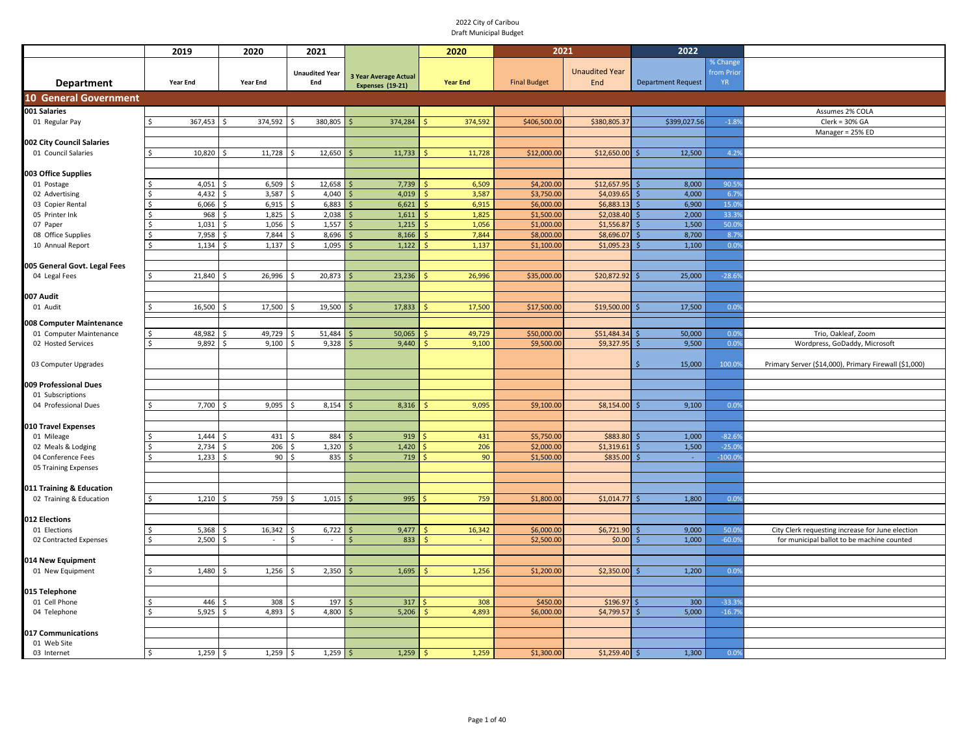|                                  | 2019               | 2020           | 2021                  |                              | 2020            | 2021                     |                       | 2022                      |           |                                                       |
|----------------------------------|--------------------|----------------|-----------------------|------------------------------|-----------------|--------------------------|-----------------------|---------------------------|-----------|-------------------------------------------------------|
|                                  |                    |                |                       |                              |                 |                          |                       |                           | % Change  |                                                       |
|                                  |                    |                | <b>Unaudited Year</b> | <b>3 Year Average Actual</b> |                 |                          | <b>Unaudited Year</b> |                           | from Prio |                                                       |
| <b>Department</b>                | <b>Year End</b>    | Year End       | End                   | Expenses (19-21)             | <b>Year End</b> | <b>Final Budget</b>      | End                   | <b>Department Request</b> | <b>YR</b> |                                                       |
| <b>10 General Government</b>     |                    |                |                       |                              |                 |                          |                       |                           |           |                                                       |
| 001 Salaries                     |                    |                |                       |                              |                 |                          |                       |                           |           | Assumes 2% COLA                                       |
| 01 Regular Pay                   | 367,453<br>$\zeta$ | 374,592<br>Ŝ.  | 380,805<br>\$         | 374,284                      | 374,592         | \$406,500.00             | \$380,805.3           | \$399,027.56              | $-1.8%$   | $Clerk = 30% GA$                                      |
|                                  |                    |                |                       |                              |                 |                          |                       |                           |           | Manager = 25% ED                                      |
| 002 City Council Salaries        |                    |                |                       |                              |                 |                          |                       |                           |           |                                                       |
| 01 Council Salaries              | 10,820<br>ς.       | 11,728         | 12,650<br>\$          | 11,733                       | 11,728          | \$12,000.00              | \$12,650.00           | 12,500                    | 4.2%      |                                                       |
|                                  |                    |                |                       |                              |                 |                          |                       |                           |           |                                                       |
| 003 Office Supplies              |                    |                |                       |                              |                 |                          |                       |                           |           |                                                       |
| 01 Postage                       | 4,051              | 6,509          | 12,658                | 7,739                        | 6,509           | \$4,200.00               | \$12,657.95           | 8,000                     | 90.5%     |                                                       |
| 02 Advertising                   | 4,432              | 3,587          | 4,040                 | 4,019                        | 3,587           | \$3,750.00               | \$4,039.65            | 4,000                     | 6.7%      |                                                       |
| 03 Copier Rental                 | 6,066              | 6,915          | 6,883                 | 6,621                        | 6,915           | \$6,000.00               | \$6,883.13            | 6,900                     | 15.0%     |                                                       |
| 05 Printer Ink                   | 968                | 1,825          | 2,038                 | 1,611                        | 1,825           | \$1,500.00               | \$2,038.40            | 2,000                     | 33.3%     |                                                       |
| 07 Paper                         | 1,031              | 1,056<br>\$    | 1,557<br>\$           | 1,215                        | 1,056           | \$1,000.00               | \$1,556.87            | 1,500                     | 50.09     |                                                       |
| 08 Office Supplies               | 7,958              | 7,844<br>Ś     | 8,696                 | 8,166                        | 7,844           | \$8,000.00               | \$8,696.07            | 8,700                     | 8.7%      |                                                       |
| 10 Annual Report                 | 1,134<br>Ś         | 1,137<br>.S    | 1,095<br>Ś            | 1,122                        | 1,137           | \$1,100.00               | \$1,095.23            | 1,100                     | 0.0%      |                                                       |
|                                  |                    |                |                       |                              |                 |                          |                       |                           |           |                                                       |
| 005 General Govt. Legal Fees     |                    |                |                       |                              |                 |                          |                       |                           |           |                                                       |
| 04 Legal Fees                    | 21,840<br>\$.      | 26,996<br>\$   | 20,873                | 23,236                       | 26,996          | \$35,000.00              | \$20,872.92           | 25,000                    | $-28.69$  |                                                       |
|                                  |                    |                |                       |                              |                 |                          |                       |                           |           |                                                       |
| 007 Audit                        |                    |                |                       |                              |                 |                          |                       |                           |           |                                                       |
| 01 Audit                         | 16,500<br>Ś.       | 17,500<br>-Ś   | 19,500                | 17,833                       | 17,500          | \$17,500.00              | \$19,500.00           | 17,500                    | 0.0%      |                                                       |
| 008 Computer Maintenance         |                    |                |                       |                              |                 |                          |                       |                           |           |                                                       |
| 01 Computer Maintenance          | 48,982             | 49,729         | 51,484                | 50,065                       | 49,729          | \$50,000.00              | \$51,484.34           | 50,000                    | 0.0%      | Trio, Oakleaf, Zoom                                   |
| 02 Hosted Services               | 9,892              | 9,100          | 9,328                 | 9,440                        | 9,100           | \$9,500.00               | \$9,327.95            | 9,500                     | 0.0%      | Wordpress, GoDaddy, Microsoft                         |
|                                  |                    |                |                       |                              |                 |                          |                       |                           |           |                                                       |
| 03 Computer Upgrades             |                    |                |                       |                              |                 |                          |                       | 15,000                    | 100.0%    | Primary Server (\$14,000), Primary Firewall (\$1,000) |
|                                  |                    |                |                       |                              |                 |                          |                       |                           |           |                                                       |
| 009 Professional Dues            |                    |                |                       |                              |                 |                          |                       |                           |           |                                                       |
| 01 Subscriptions                 |                    |                |                       |                              |                 |                          |                       |                           |           |                                                       |
| 04 Professional Dues             | 7,700<br>Ś         | 9,095          | 8,154                 | 8,316                        | 9,095           | \$9,100.00               | \$8,154.00            | 9,100                     | 0.0%      |                                                       |
|                                  |                    |                |                       |                              |                 |                          |                       |                           |           |                                                       |
| 010 Travel Expenses              | 1,444              | 431            | 884                   | 919                          | 431             |                          | \$883.80              | 1,000                     | $-82.69$  |                                                       |
| 01 Mileage<br>02 Meals & Lodging | 2,734              | Ś<br>206<br>\$ | Ś<br>1,320<br>Ŝ.      | 1,420                        | 206             | \$5,750.00<br>\$2,000.00 | \$1,319.61            | 1,500                     | $-25.09$  |                                                       |
| 04 Conference Fees               | 1,233              | 90             | 835<br>Ś,             | 719                          | 90              | \$1,500.00               | \$835.00              | $\sim$                    | $-100.09$ |                                                       |
| 05 Training Expenses             |                    |                |                       |                              |                 |                          |                       |                           |           |                                                       |
|                                  |                    |                |                       |                              |                 |                          |                       |                           |           |                                                       |
| 011 Training & Education         |                    |                |                       |                              |                 |                          |                       |                           |           |                                                       |
| 02 Training & Education          | \$<br>1,210        | 759<br>-Ś      | 1,015<br>l\$          | 995                          | 759             | \$1,800.00               | \$1,014.77            | 1,800                     | 0.0%      |                                                       |
|                                  |                    |                |                       |                              |                 |                          |                       |                           |           |                                                       |
| 012 Elections                    |                    |                |                       |                              |                 |                          |                       |                           |           |                                                       |
| 01 Elections                     | 5,368              | 16,342<br>- Ś  | 6,722<br>Ś            | 9,477                        | 16,342          | \$6,000.00               | \$6,721.90            | 9,000                     | 50.0%     | City Clerk requesting increase for June election      |
| 02 Contracted Expenses           | 2,500              |                |                       | 833<br>Ś                     |                 | \$2,500.00               | \$0.00                | 1,000                     | $-60.09$  | for municipal ballot to be machine counted            |
|                                  |                    |                |                       |                              |                 |                          |                       |                           |           |                                                       |
| 014 New Equipment                |                    |                |                       |                              |                 |                          |                       |                           |           |                                                       |
| 01 New Equipment                 | 1,480              | 1,256          | 2,350                 | 1,695                        | 1,256           | \$1,200.00               | \$2,350.00            | 1,200                     | 0.09      |                                                       |
|                                  |                    |                |                       |                              |                 |                          |                       |                           |           |                                                       |
| 015 Telephone                    |                    |                |                       |                              |                 |                          |                       |                           |           |                                                       |
| 01 Cell Phone                    | 446                | 308            | 197                   | 317                          | 308             | \$450.00                 | \$196.97              | 300                       | $-33.39$  |                                                       |
| 04 Telephone                     | 5,925              | 4,893<br>Ś,    | 4,800                 | 5,206                        | 4,893           | \$6,000.00               | \$4,799.57            | 5,000                     | $-16.79$  |                                                       |
|                                  |                    |                |                       |                              |                 |                          |                       |                           |           |                                                       |
| 017 Communications               |                    |                |                       |                              |                 |                          |                       |                           |           |                                                       |
| 01 Web Site                      |                    |                |                       |                              |                 |                          |                       |                           |           |                                                       |
| 03 Internet                      | 1,259<br>Ŝ         | 1,259<br>\$    | 1,259<br>- Ś          | 1,259<br>Ś                   | 1,259           | \$1,300.00               | \$1,259.40            | 1,300                     | 0.0%      |                                                       |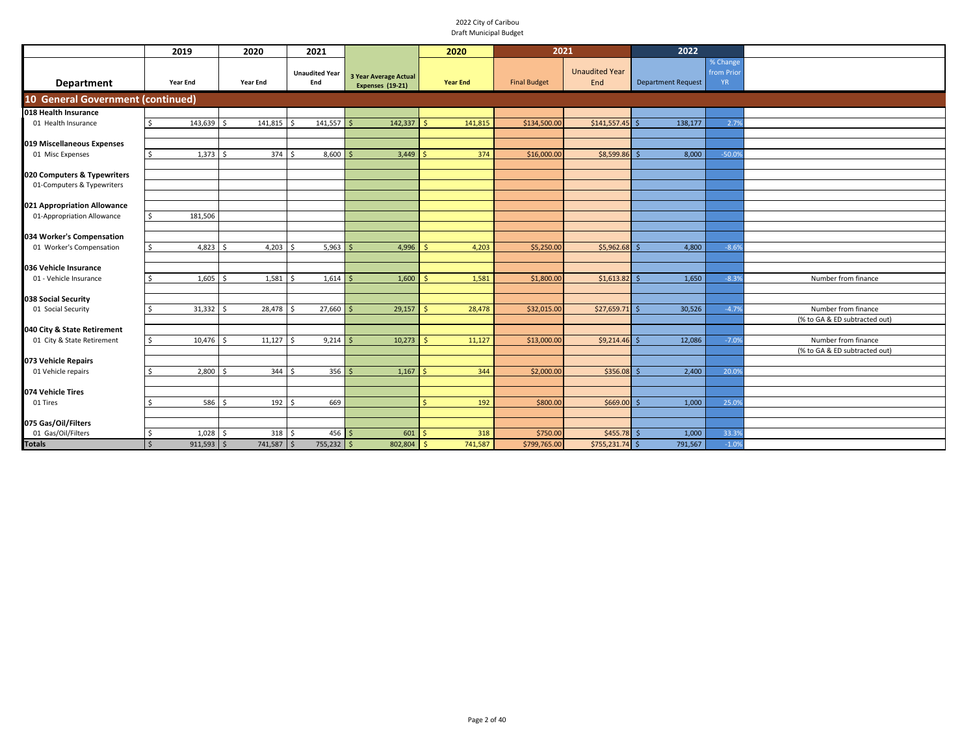|                                   | 2019                                 | 2020             | 2021                         |                                                  | 2020                | 2021                |                              | 2022                      |                                    |                               |
|-----------------------------------|--------------------------------------|------------------|------------------------------|--------------------------------------------------|---------------------|---------------------|------------------------------|---------------------------|------------------------------------|-------------------------------|
| <b>Department</b>                 | Year End                             | <b>Year End</b>  | <b>Unaudited Year</b><br>End | <b>3 Year Average Actual</b><br>Expenses (19-21) | <b>Year End</b>     | <b>Final Budget</b> | <b>Unaudited Year</b><br>End | <b>Department Request</b> | % Change<br>from Prio<br><b>YR</b> |                               |
| 10 General Government (continued) |                                      |                  |                              |                                                  |                     |                     |                              |                           |                                    |                               |
| 018 Health Insurance              |                                      |                  |                              |                                                  |                     |                     |                              |                           |                                    |                               |
| 01 Health Insurance               | 143,639 \$                           | 141,815          | 141,557                      | 142,337                                          | 141,815             | \$134,500.00        | \$141,557.45                 | 138,177                   | 2.79                               |                               |
|                                   |                                      |                  |                              |                                                  |                     |                     |                              |                           |                                    |                               |
| 019 Miscellaneous Expenses        |                                      |                  |                              |                                                  |                     |                     |                              |                           |                                    |                               |
| 01 Misc Expenses                  | $1,373$ \$                           | 374S             | $8,600$ \$                   | 3,449                                            | 374                 | \$16,000.00         | \$8,599.86                   | 8,000                     | $-50.09$                           |                               |
| 020 Computers & Typewriters       |                                      |                  |                              |                                                  |                     |                     |                              |                           |                                    |                               |
| 01-Computers & Typewriters        |                                      |                  |                              |                                                  |                     |                     |                              |                           |                                    |                               |
|                                   |                                      |                  |                              |                                                  |                     |                     |                              |                           |                                    |                               |
| 021 Appropriation Allowance       |                                      |                  |                              |                                                  |                     |                     |                              |                           |                                    |                               |
| 01-Appropriation Allowance        | 181,506<br>\$                        |                  |                              |                                                  |                     |                     |                              |                           |                                    |                               |
| 034 Worker's Compensation         |                                      |                  |                              |                                                  |                     |                     |                              |                           |                                    |                               |
| 01 Worker's Compensation          | 4,823                                | 4,203<br>l s     | $5,963$ \$<br>l s            | 4,996                                            | 4,203               | \$5,250.00          | \$5,962.68                   | 4,800                     | $-8.69$                            |                               |
|                                   |                                      |                  |                              |                                                  |                     |                     |                              |                           |                                    |                               |
| 036 Vehicle Insurance             |                                      |                  |                              |                                                  |                     |                     |                              |                           |                                    |                               |
| 01 - Vehicle Insurance            | 1,605                                | 1,581<br>l s     | $1,614$ \$<br>l s            | 1,600                                            | 1,581               | \$1,800.00          | \$1,613.82                   | 1,650                     | $-8.39$                            | Number from finance           |
|                                   |                                      |                  |                              |                                                  |                     |                     |                              |                           |                                    |                               |
| 038 Social Security               |                                      |                  |                              |                                                  |                     |                     |                              |                           |                                    |                               |
| 01 Social Security                | 31,332                               | 28,478<br>l \$   | 27,660<br><b>¢</b>           | 29,157                                           | 28,478              | \$32,015.00         | \$27,659.71                  | 30,526                    | $-4.79$                            | Number from finance           |
| 040 City & State Retirement       |                                      |                  |                              |                                                  |                     |                     |                              |                           |                                    | (% to GA & ED subtracted out) |
| 01 City & State Retirement        | 10,476                               | 11,127<br>l \$   | $9,214$ \$                   | 10,273                                           | 11,127<br>-Ś        | \$13,000.00         | \$9,214.46                   | 12,086                    | $-7.09$                            | Number from finance           |
|                                   |                                      |                  |                              |                                                  |                     |                     |                              |                           |                                    | (% to GA & ED subtracted out) |
| 073 Vehicle Repairs               |                                      |                  |                              |                                                  |                     |                     |                              |                           |                                    |                               |
| 01 Vehicle repairs                | 2,800                                | 344<br>l s       | $356$ \$<br>l \$             | 1,167                                            | 344                 | \$2,000.00          | \$356.08                     | 2,400                     | 20.09                              |                               |
|                                   |                                      |                  |                              |                                                  |                     |                     |                              |                           |                                    |                               |
| 074 Vehicle Tires                 |                                      |                  |                              |                                                  |                     |                     |                              |                           |                                    |                               |
| 01 Tires                          | 586 \$                               | $192 \quad$ \$   | 669                          |                                                  | 192                 | \$800.00            | \$669.00                     | 1,000                     | 25.09                              |                               |
| 075 Gas/Oil/Filters               |                                      |                  |                              |                                                  |                     |                     |                              |                           |                                    |                               |
| 01 Gas/Oil/Filters                | 1,028                                | $318$ \$<br>l \$ | $456$ \$                     | 601                                              | 318                 | \$750.00            | $$455.78$ \$                 | 1,000                     | 33.39                              |                               |
| <b>Totals</b>                     | $911,593$ \$<br>$\ddot{\phantom{0}}$ | 741,587 \$       | $755,232$ \$                 | 802,804                                          | 741,587<br><b>S</b> | \$799,765.00        | \$755,231.74 \$              | 791,567                   | $-1.09$                            |                               |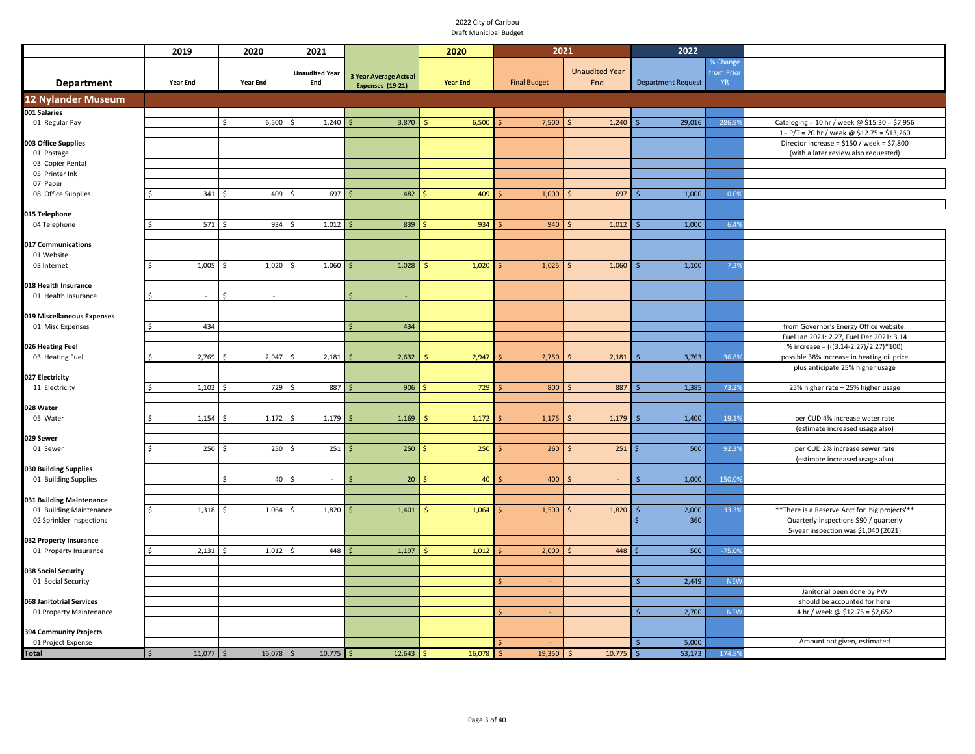|                                                 | 2019                 | 2020                | 2021                         |                                                         | 2020            |                      | 2021                         | 2022                      |                                    |                                                 |
|-------------------------------------------------|----------------------|---------------------|------------------------------|---------------------------------------------------------|-----------------|----------------------|------------------------------|---------------------------|------------------------------------|-------------------------------------------------|
| <b>Department</b>                               | <b>Year End</b>      | Year End            | <b>Unaudited Year</b><br>End | <b>3 Year Average Actual</b><br><b>Expenses (19-21)</b> | <b>Year End</b> | <b>Final Budget</b>  | <b>Unaudited Year</b><br>End | <b>Department Request</b> | % Change<br>from Prio<br><b>YR</b> |                                                 |
| <b>12 Nylander Museum</b>                       |                      |                     |                              |                                                         |                 |                      |                              |                           |                                    |                                                 |
| 001 Salaries                                    |                      |                     |                              |                                                         |                 |                      |                              |                           |                                    |                                                 |
| 01 Regular Pay                                  |                      | \$<br>6,500         | 1,240<br>Ŝ.                  | 3,870                                                   | 6,500           | 7,500                | 1,240                        | 29,016                    | 286.9%                             | Cataloging = 10 hr / week @ \$15.30 = \$7,956   |
|                                                 |                      |                     |                              |                                                         |                 |                      |                              |                           |                                    | 1 - P/T = 20 hr / week @ \$12.75 = \$13,260     |
| 03 Office Supplies                              |                      |                     |                              |                                                         |                 |                      |                              |                           |                                    | Director increase = $$150 / week = $7,800$      |
| 01 Postage                                      |                      |                     |                              |                                                         |                 |                      |                              |                           |                                    | (with a later review also requested)            |
| 03 Copier Rental                                |                      |                     |                              |                                                         |                 |                      |                              |                           |                                    |                                                 |
| 05 Printer Ink                                  |                      |                     |                              |                                                         |                 |                      |                              |                           |                                    |                                                 |
| 07 Paper                                        |                      |                     |                              |                                                         |                 |                      |                              |                           |                                    |                                                 |
| 08 Office Supplies                              | 341                  | 409                 | 697                          | 482                                                     | 409             | 1,000                | 697                          | 1,000                     | 0.0%                               |                                                 |
|                                                 |                      |                     |                              |                                                         |                 |                      |                              |                           |                                    |                                                 |
| 015 Telephone                                   |                      |                     |                              |                                                         |                 |                      |                              |                           |                                    |                                                 |
| 04 Telephone                                    |                      | 571S<br>934         | 1,012<br>Ŝ.                  | 839                                                     | 934             | 940                  | 1,012                        | 1,000                     | 6.4%                               |                                                 |
|                                                 |                      |                     |                              |                                                         |                 |                      |                              |                           |                                    |                                                 |
| 017 Communications<br>01 Website                |                      |                     |                              |                                                         |                 |                      |                              |                           |                                    |                                                 |
| 03 Internet                                     | 1,005                | 1,020<br>Ŝ.         | 1,060<br>Ŝ.                  | 1,028                                                   | 1,020           | 1,025                | 1,060                        | 1,100                     | 7.3%                               |                                                 |
|                                                 |                      |                     |                              |                                                         |                 |                      |                              |                           |                                    |                                                 |
| 18 Health Insurance                             |                      |                     |                              |                                                         |                 |                      |                              |                           |                                    |                                                 |
| 01 Health Insurance                             | $\sim$               | Ŝ.<br>$\sim$        |                              | -Ś                                                      |                 |                      |                              |                           |                                    |                                                 |
|                                                 |                      |                     |                              |                                                         |                 |                      |                              |                           |                                    |                                                 |
| 019 Miscellaneous Expenses                      |                      |                     |                              |                                                         |                 |                      |                              |                           |                                    |                                                 |
| 01 Misc Expenses                                | \$<br>434            |                     |                              | 434<br>$\varsigma$                                      |                 |                      |                              |                           |                                    | from Governor's Energy Office website:          |
|                                                 |                      |                     |                              |                                                         |                 |                      |                              |                           |                                    | Fuel Jan 2021: 2.27, Fuel Dec 2021: 3.14        |
| 026 Heating Fuel                                |                      |                     |                              |                                                         |                 |                      |                              |                           |                                    | % increase = (((3.14-2.27)/2.27)*100)           |
| 03 Heating Fuel                                 | 2,769                | 2,947               | 2,181                        | 2,632                                                   | 2,947           | 2,750                | 2,181                        | 3,763                     | 36.89                              | possible 38% increase in heating oil price      |
|                                                 |                      |                     |                              |                                                         |                 |                      |                              |                           |                                    | plus anticipate 25% higher usage                |
| 027 Electricity                                 |                      |                     |                              |                                                         |                 |                      |                              |                           |                                    |                                                 |
| 11 Electricity                                  | 1,102                | 729                 | 887<br>Ś                     | 906                                                     | 729             | 800                  | 887                          | 1,385                     | 73.29                              | 25% higher rate + 25% higher usage              |
|                                                 |                      |                     |                              |                                                         |                 |                      |                              |                           |                                    |                                                 |
| 028 Water                                       |                      |                     |                              |                                                         |                 |                      |                              |                           |                                    |                                                 |
| 05 Water                                        | 1,154                | 1,172               | 1,179                        | 1,169                                                   | 1,172           | 1,175                | 1,179                        | 1,400                     | 19.19                              | per CUD 4% increase water rate                  |
|                                                 |                      |                     |                              |                                                         |                 |                      |                              |                           |                                    | (estimate increased usage also)                 |
| 029 Sewer                                       |                      |                     |                              |                                                         |                 |                      |                              |                           |                                    |                                                 |
| 01 Sewer                                        |                      | $250 \,$ \$         | $250 \,$ \$<br>251           | 250                                                     | 250             | 260                  | 251                          | 500                       | 92.39                              | per CUD 2% increase sewer rate                  |
|                                                 |                      |                     |                              |                                                         |                 |                      |                              |                           |                                    | (estimate increased usage also)                 |
| 030 Building Supplies                           |                      |                     |                              |                                                         |                 |                      |                              |                           |                                    |                                                 |
| 01 Building Supplies                            |                      | $\mathsf{\hat{S}}$  | $40 \,$ \$<br>$\sim$         | 20 <sup>°</sup>                                         | 40              | 400                  | -S<br>$\sim$                 | 1,000                     | 150.0%                             |                                                 |
|                                                 |                      |                     |                              |                                                         |                 |                      |                              |                           |                                    |                                                 |
| 031 Building Maintenance                        |                      |                     |                              |                                                         |                 |                      |                              |                           |                                    |                                                 |
| 01 Building Maintenance                         | 1,318<br>\$.         | 1,064               | 1,820<br>Ŝ.                  | 1,401                                                   | 1,064           | 1,500                | 1,820                        | 2,000                     | 33.39                              | ** There is a Reserve Acct for 'big projects'** |
| 02 Sprinkler Inspections                        |                      |                     |                              |                                                         |                 |                      |                              | 360                       |                                    | Quarterly inspections \$90 / quarterly          |
|                                                 |                      |                     |                              |                                                         |                 |                      |                              |                           |                                    | 5-year inspection was \$1,040 (2021)            |
| 032 Property Insurance<br>01 Property Insurance | 2,131<br>\$.         | 1,012<br>Ŝ.         | 448<br><sup>\$</sup>         | 1,197                                                   | 1,012           | 2,000                | 448                          | 500                       | $-75.09$                           |                                                 |
|                                                 |                      |                     |                              |                                                         |                 |                      |                              |                           |                                    |                                                 |
| 038 Social Security                             |                      |                     |                              |                                                         |                 |                      |                              |                           |                                    |                                                 |
| 01 Social Security                              |                      |                     |                              |                                                         |                 | $\mathsf{S}$         |                              | 2,449                     | <b>NEW</b>                         |                                                 |
|                                                 |                      |                     |                              |                                                         |                 |                      |                              |                           |                                    | Janitorial been done by PW                      |
| 068 Janitotrial Services                        |                      |                     |                              |                                                         |                 |                      |                              |                           |                                    | should be accounted for here                    |
| 01 Property Maintenance                         |                      |                     |                              |                                                         |                 |                      |                              | 2,700                     | <b>NEW</b>                         | 4 hr / week @ \$12.75 = \$2,652                 |
|                                                 |                      |                     |                              |                                                         |                 |                      |                              |                           |                                    |                                                 |
| 394 Community Projects                          |                      |                     |                              |                                                         |                 |                      |                              |                           |                                    |                                                 |
| 01 Project Expense                              |                      |                     |                              |                                                         |                 |                      |                              | 5,000<br>Š.               |                                    | Amount not given, estimated                     |
| <b>Total</b>                                    | $\sqrt{5}$<br>11,077 | $16,078$ \$<br>  \$ | 10,775                       | 12,643<br>l \$                                          | 16,078          | $\sqrt{5}$<br>19,350 | 10,775<br>-S                 | $\sqrt{5}$<br>53,173      | 174.8%                             |                                                 |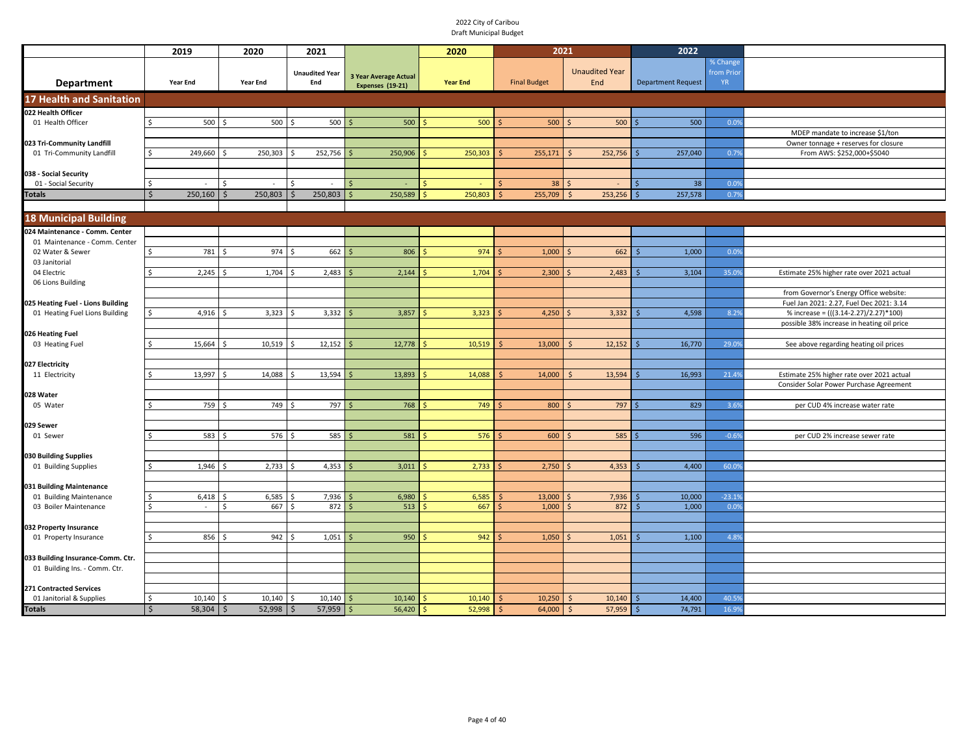|                                                            | 2019               | 2020            | 2021                         |                                                  | 2020            | 2021                   |                                  | 2022                          |                                    |                                                                    |
|------------------------------------------------------------|--------------------|-----------------|------------------------------|--------------------------------------------------|-----------------|------------------------|----------------------------------|-------------------------------|------------------------------------|--------------------------------------------------------------------|
| Department                                                 | <b>Year End</b>    | <b>Year End</b> | <b>Unaudited Year</b><br>End | <b>3 Year Average Actual</b><br>Expenses (19-21) | <b>Year End</b> | <b>Final Budget</b>    | <b>Unaudited Year</b><br>End     | <b>Department Request</b>     | % Change<br>from Prio<br><b>YR</b> |                                                                    |
| <b>17 Health and Sanitation</b>                            |                    |                 |                              |                                                  |                 |                        |                                  |                               |                                    |                                                                    |
| 022 Health Officer                                         |                    |                 |                              |                                                  |                 |                        |                                  |                               |                                    |                                                                    |
| 01 Health Officer                                          | 500<br>ς           | 500             | 500                          | 500                                              | 500             | 500                    | 500                              | 500                           | 0.0%                               |                                                                    |
|                                                            |                    |                 |                              |                                                  |                 |                        |                                  |                               |                                    | MDEP mandate to increase \$1/ton                                   |
| 023 Tri-Community Landfill<br>01 Tri-Community Landfill    | 249,660<br>Ś       | 250,303         | 252,756                      | 250,906                                          | 250,303         | 255,171                | 252,756<br>-S                    | 257,040                       | 0.79                               | Owner tonnage + reserves for closure<br>From AWS: \$252,000+\$5040 |
|                                                            |                    |                 |                              |                                                  |                 |                        |                                  |                               |                                    |                                                                    |
| 038 - Social Security                                      |                    |                 |                              |                                                  |                 |                        |                                  |                               |                                    |                                                                    |
| 01 - Social Security                                       | Ś<br>$\sim$        | Ś<br>$\sim$     | Ś                            |                                                  |                 | 38                     |                                  | 38                            | 0.0%                               |                                                                    |
| <b>Totals</b>                                              | \$<br>$250,160$ \$ | 250,803         | 250,803<br>Ś                 | 250,589<br>\$                                    | 250,803         | 255,709<br>Š.          | 253,256<br>$\mathsf{S}$          | 257,578<br>$\zeta$            | 0.7%                               |                                                                    |
|                                                            |                    |                 |                              |                                                  |                 |                        |                                  |                               |                                    |                                                                    |
| <b>18 Municipal Building</b>                               |                    |                 |                              |                                                  |                 |                        |                                  |                               |                                    |                                                                    |
| 024 Maintenance - Comm. Center                             |                    |                 |                              |                                                  |                 |                        |                                  |                               |                                    |                                                                    |
| 01 Maintenance - Comm. Center                              |                    |                 |                              |                                                  |                 |                        |                                  |                               |                                    |                                                                    |
| 02 Water & Sewer<br>03 Janitorial                          | 781 \$<br>Ś.       | 974             | 662<br>-Ś                    | 806                                              | 974             | 1,000                  | 662                              | 1,000                         | 0.0%                               |                                                                    |
| 04 Electric                                                | 2,245              | 1,704<br>\$     | 2,483                        | 2,144                                            | 1,704           | 2,300                  | 2,483                            | 3,104                         | 35.09                              | Estimate 25% higher rate over 2021 actual                          |
| 06 Lions Building                                          |                    |                 |                              |                                                  |                 |                        |                                  |                               |                                    |                                                                    |
|                                                            |                    |                 |                              |                                                  |                 |                        |                                  |                               |                                    | from Governor's Energy Office website:                             |
| 025 Heating Fuel - Lions Building                          |                    |                 |                              |                                                  |                 |                        |                                  |                               |                                    | Fuel Jan 2021: 2.27, Fuel Dec 2021: 3.14                           |
| 01 Heating Fuel Lions Building                             | 4,916<br>Ś.        | 3,323<br>∫ <    | 3,332<br>Ś,                  | 3,857                                            | 3,323           | 4,250                  | 3,332                            | 4,598                         | 8.29                               | % increase = (((3.14-2.27)/2.27)*100)                              |
| 026 Heating Fuel                                           |                    |                 |                              |                                                  |                 |                        |                                  |                               |                                    | possible 38% increase in heating oil price                         |
| 03 Heating Fuel                                            | 15,664             | 10,519          | 12,152                       | 12,778                                           | 10,519          | 13,000                 | 12,152                           | 16,770                        | 29.09                              | See above regarding heating oil prices                             |
|                                                            |                    |                 |                              |                                                  |                 |                        |                                  |                               |                                    |                                                                    |
| 027 Electricity                                            |                    |                 |                              |                                                  |                 |                        |                                  |                               |                                    |                                                                    |
| 11 Electricity                                             | 13,997             | 14,088          | 13,594                       | 13,893                                           | 14,088          | 14,000                 | 13,594                           | 16,993                        | 21.49                              | Estimate 25% higher rate over 2021 actual                          |
|                                                            |                    |                 |                              |                                                  |                 |                        |                                  |                               |                                    | Consider Solar Power Purchase Agreement                            |
| 028 Water<br>05 Water                                      | 759                | 749<br>$\prec$  | 797<br>Ŝ.                    | 768                                              | 749             | 800                    | 797                              | 829                           | 3.69                               | per CUD 4% increase water rate                                     |
|                                                            |                    |                 |                              |                                                  |                 |                        |                                  |                               |                                    |                                                                    |
| 029 Sewer                                                  |                    |                 |                              |                                                  |                 |                        |                                  |                               |                                    |                                                                    |
| 01 Sewer                                                   | 583                | 576             | 585<br>-S                    | 581                                              | 576             | 600                    | 585                              | 596                           | $-0.69$                            | per CUD 2% increase sewer rate                                     |
|                                                            |                    |                 |                              |                                                  |                 |                        |                                  |                               |                                    |                                                                    |
| 030 Building Supplies<br>01 Building Supplies              | 1,946<br>ς         | 2,733           | 4,353                        | 3,011                                            | 2,733           | 2,750                  | 4,353                            | 4,400                         | 60.09                              |                                                                    |
|                                                            |                    |                 |                              |                                                  |                 |                        |                                  |                               |                                    |                                                                    |
| 031 Building Maintenance                                   |                    |                 |                              |                                                  |                 |                        |                                  |                               |                                    |                                                                    |
| 01 Building Maintenance                                    | 6,418<br>Ś         | 6,585           | 7,936                        | 6,980                                            | 6,585           | 13,000                 | 7,936                            | 10,000                        | $-23.19$                           |                                                                    |
| 03 Boiler Maintenance                                      | ς<br>$\sim$        | 667<br>\$       | 872<br>Ś                     | 513                                              | 667             | 1,000                  | 872                              | 1,000                         | 0.0%                               |                                                                    |
|                                                            |                    |                 |                              |                                                  |                 |                        |                                  |                               |                                    |                                                                    |
| 032 Property Insurance<br>01 Property Insurance            | 856<br>ς.          | 942<br>∫ <      | 1,051<br>S.                  | 950                                              | 942             | 1,050                  | 1,051                            | 1,100                         | 4.8%                               |                                                                    |
|                                                            |                    |                 |                              |                                                  |                 |                        |                                  |                               |                                    |                                                                    |
| 033 Building Insurance-Comm. Ctr.                          |                    |                 |                              |                                                  |                 |                        |                                  |                               |                                    |                                                                    |
| 01 Building Ins. - Comm. Ctr.                              |                    |                 |                              |                                                  |                 |                        |                                  |                               |                                    |                                                                    |
|                                                            |                    |                 |                              |                                                  |                 |                        |                                  |                               |                                    |                                                                    |
| <b>271 Contracted Services</b><br>01 Janitorial & Supplies | 10,140<br>Ś.       | 10,140<br>-Ś    | 10,140                       | 10,140                                           | 10,140          |                        | .S                               | 14,400                        | 40.5%                              |                                                                    |
| Totals                                                     | \$<br>$58,304$ \$  | $52,998$ \$     | $57,959$ \$                  | 56,420                                           | 52,998          | 10,250<br>64,000<br>\$ | 10,140<br>57,959<br>$\mathsf{S}$ | 74,791<br>$\ddot{\mathsf{S}}$ | 16.99                              |                                                                    |
|                                                            |                    |                 |                              |                                                  |                 |                        |                                  |                               |                                    |                                                                    |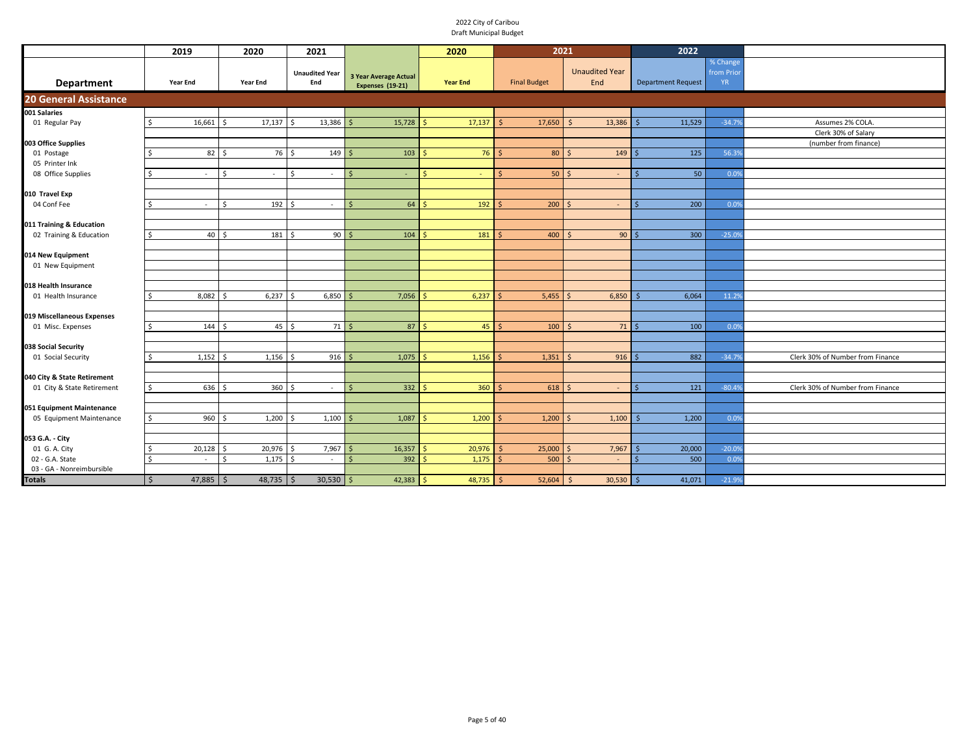|                                      | 2019                | 2020                   | 2021                         |                                           | 2020            | 2021                 |                              | 2022                      |                              |                                  |
|--------------------------------------|---------------------|------------------------|------------------------------|-------------------------------------------|-----------------|----------------------|------------------------------|---------------------------|------------------------------|----------------------------------|
| <b>Department</b>                    | <b>Year End</b>     | <b>Year End</b>        | <b>Unaudited Year</b><br>End | 3 Year Average Actual<br>Expenses (19-21) | <b>Year End</b> | <b>Final Budget</b>  | <b>Unaudited Year</b><br>End | <b>Department Request</b> | % Change<br>from Prio<br>YR. |                                  |
| <b>20 General Assistance</b>         |                     |                        |                              |                                           |                 |                      |                              |                           |                              |                                  |
| 001 Salaries                         |                     |                        |                              |                                           |                 |                      |                              |                           |                              |                                  |
| 01 Regular Pay                       | 16,661<br>\$        | 17,137<br>$\mathsf{S}$ | 13,386<br>- Ś                | 15,728                                    | 17,137          | 17,650<br>$\zeta$    | 13,386<br>-S                 | 11,529                    | $-34.79$                     | Assumes 2% COLA.                 |
|                                      |                     |                        |                              |                                           |                 |                      |                              |                           |                              | Clerk 30% of Salary              |
| 003 Office Supplies                  |                     |                        |                              |                                           |                 |                      |                              |                           |                              | (number from finance)            |
| 01 Postage                           | $82 \quad$          | 76                     | 149<br>l s                   | 103                                       | 76              | 80                   | 149<br>-Ś                    | 125                       | 56.39                        |                                  |
| 05 Printer Ink<br>08 Office Supplies | ς.                  | Ŝ.<br>$\sim$           | <sup>\$</sup><br>$\sim$      |                                           | ς               | 50                   | $\leq$                       | 50                        |                              |                                  |
|                                      | $\sim$              |                        |                              |                                           |                 |                      |                              |                           | 0.09                         |                                  |
| 010 Travel Exp                       |                     |                        |                              |                                           |                 |                      |                              |                           |                              |                                  |
| 04 Conf Fee                          | Ś<br>$\sim$         | $192 \quad$ \$<br>Ŝ.   | $\sim$                       | 64<br>Ś                                   | 192             | $200 \mid 5$         | $\sim$                       | 200                       | 0.0%                         |                                  |
|                                      |                     |                        |                              |                                           |                 |                      |                              |                           |                              |                                  |
| 011 Training & Education             |                     |                        |                              |                                           |                 |                      |                              |                           |                              |                                  |
| 02 Training & Education              | $40 \quad$ \$<br>Ŝ. | $181 \quad $5$         | $90$ \$                      | 104                                       | 181<br>Ś        | 400                  | $90$ \$<br>S.                | 300                       | $-25.09$                     |                                  |
|                                      |                     |                        |                              |                                           |                 |                      |                              |                           |                              |                                  |
| 014 New Equipment                    |                     |                        |                              |                                           |                 |                      |                              |                           |                              |                                  |
| 01 New Equipment                     |                     |                        |                              |                                           |                 |                      |                              |                           |                              |                                  |
|                                      |                     |                        |                              |                                           |                 |                      |                              |                           |                              |                                  |
| 018 Health Insurance                 |                     |                        |                              |                                           |                 |                      |                              |                           |                              |                                  |
| 01 Health Insurance                  | 8,082<br>Ś.         | 6,237<br>-\$           | 6,850<br>.S                  | 7,056                                     | 6,237           | 5,455                | 6,850                        | 6,064                     | 11.29                        |                                  |
|                                      |                     |                        |                              |                                           |                 |                      |                              |                           |                              |                                  |
| 019 Miscellaneous Expenses           |                     |                        |                              |                                           |                 |                      |                              |                           |                              |                                  |
| 01 Misc. Expenses                    | 144S<br>Ŝ.          | $45 \quad$ \$          | 71                           | 87<br>Ś                                   | 45              | 100                  | 71<br>-Ś                     | 100                       | 0.0%                         |                                  |
| 038 Social Security                  |                     |                        |                              |                                           |                 |                      |                              |                           |                              |                                  |
| 01 Social Security                   | 1,152<br>Ŝ.         | $1,156$ \$<br>l s      | 9165                         | 1,075                                     | 1,156           | 1,351<br>$\varsigma$ | 916                          | 882                       | $-34.79$                     | Clerk 30% of Number from Finance |
|                                      |                     |                        |                              |                                           |                 |                      |                              |                           |                              |                                  |
| 040 City & State Retirement          |                     |                        |                              |                                           |                 |                      |                              |                           |                              |                                  |
| 01 City & State Retirement           | 636<br>\$           | 360<br>l s             | $\prec$<br>$\sim$            | 332                                       | 360             | 618                  | $\overline{a}$               | 121                       | $-80.49$                     | Clerk 30% of Number from Finance |
|                                      |                     |                        |                              |                                           |                 |                      |                              |                           |                              |                                  |
| 051 Equipment Maintenance            |                     |                        |                              |                                           |                 |                      |                              |                           |                              |                                  |
| 05 Equipment Maintenance             | 960<br>\$           | 1,200                  | 1,100                        | 1,087                                     | 1,200           | 1,200                | 1,100                        | 1,200                     | 0.0%                         |                                  |
|                                      |                     |                        |                              |                                           |                 |                      |                              |                           |                              |                                  |
| 053 G.A. - City                      |                     |                        |                              |                                           |                 |                      |                              |                           |                              |                                  |
| 01 G. A. City                        | 20,128              | 20,976<br>Ś.           | 7,967                        | 16,357                                    | 20,976          | 25,000               | 7,967                        | 20,000                    | $-20.09$                     |                                  |
| 02 - G.A. State                      | Ś<br>$\sim$         | 1,175<br><sup>\$</sup> | l s<br>$\sim$                | 392                                       | 1,175           | 500                  | $\overline{\phantom{a}}$     | 500                       | 0.09                         |                                  |
| 03 - GA - Nonreimbursible            |                     |                        |                              |                                           |                 |                      |                              |                           |                              |                                  |
| <b>Totals</b>                        | \$<br>$47,885$ \$   | $48,735$ \$            | $30,530$ \$                  | 42,383                                    | 48,735          | 52,604               | $30,530$ \$<br>-Ś            | 41,071                    | $-21.9%$                     |                                  |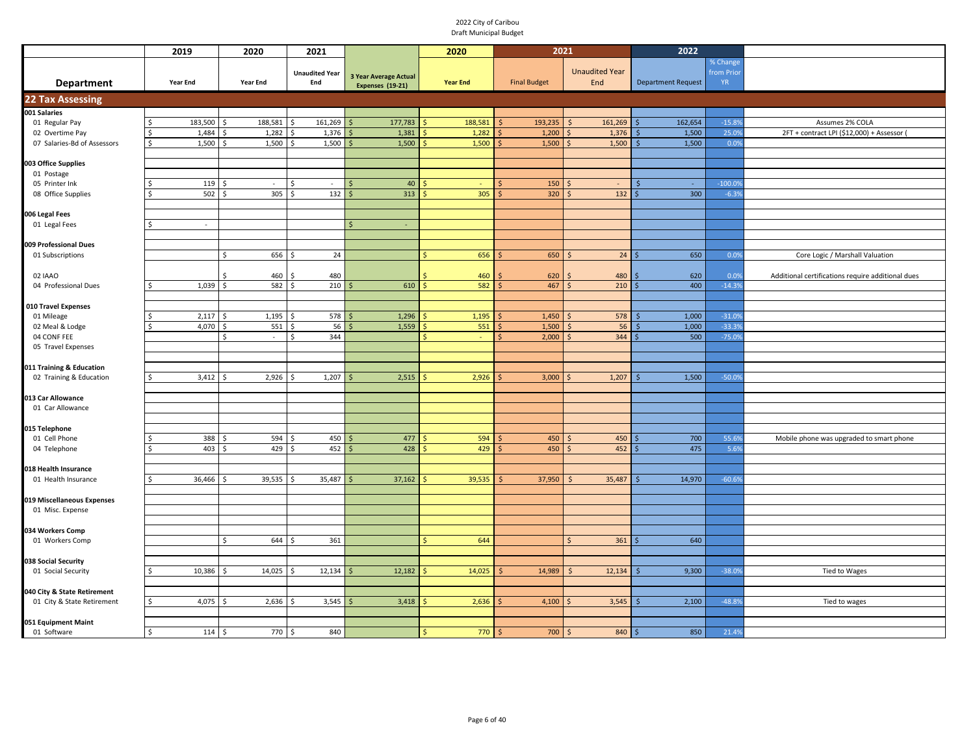|                             |               | 2019                     | 2020                             | 2021                     |       |                       | 2020            | 2021                |                           | 2022                      |           |                                                   |
|-----------------------------|---------------|--------------------------|----------------------------------|--------------------------|-------|-----------------------|-----------------|---------------------|---------------------------|---------------------------|-----------|---------------------------------------------------|
|                             |               |                          |                                  |                          |       |                       |                 |                     |                           |                           | % Change  |                                                   |
|                             |               |                          |                                  | <b>Unaudited Year</b>    |       | 3 Year Average Actual |                 |                     | <b>Unaudited Year</b>     |                           | from Prio |                                                   |
| Department                  |               | Year End                 | Year End                         | End                      |       | Expenses (19-21)      | <b>Year End</b> | <b>Final Budget</b> | End                       | <b>Department Request</b> | YR.       |                                                   |
| <b>22 Tax Assessing</b>     |               |                          |                                  |                          |       |                       |                 |                     |                           |                           |           |                                                   |
| 001 Salaries                |               |                          |                                  |                          |       |                       |                 |                     |                           |                           |           |                                                   |
| 01 Regular Pay              | Ŝ.            | 183,500                  | 188,581<br>$\breve{\phantom{1}}$ | 161,269<br>$\hat{\zeta}$ |       | 177,783               | 188,581         | 193,235             | 161,269                   | 162,654                   | $-15.89$  | Assumes 2% COLA                                   |
| 02 Overtime Pay             |               | 1,484                    | 1,282                            | 1,376                    |       | 1,381                 | 1,282           | 1,200               | 1,376                     | 1,500                     | 25.09     | 2FT + contract LPI (\$12,000) + Assessor (        |
| 07 Salaries-Bd of Assessors | <sup>\$</sup> | 1,500                    | 1,500                            |                          | 1,500 | 1,500                 | 1,500           | 1,500               | 1,500                     | 1,500                     | 0.0%      |                                                   |
|                             |               |                          |                                  |                          |       |                       |                 |                     |                           |                           |           |                                                   |
| 003 Office Supplies         |               |                          |                                  |                          |       |                       |                 |                     |                           |                           |           |                                                   |
| 01 Postage                  |               |                          |                                  |                          |       |                       |                 |                     |                           |                           |           |                                                   |
| 05 Printer Ink              |               | 119                      | $\sim$                           | $\sim$<br>S,             |       | 40                    | $\sim$          | 150                 | $\sim$                    | $\sim$                    | $-100.09$ |                                                   |
| 08 Office Supplies          |               | $502 \quad $$            | 305                              | l \$                     | 132   | 313                   | 305             | 320                 | 132                       | 300                       | $-6.39$   |                                                   |
|                             |               |                          |                                  |                          |       |                       |                 |                     |                           |                           |           |                                                   |
| 006 Legal Fees              |               |                          |                                  |                          |       |                       |                 |                     |                           |                           |           |                                                   |
| 01 Legal Fees               |               | $\overline{\phantom{a}}$ |                                  |                          |       | $\mathsf{\hat{S}}$    |                 |                     |                           |                           |           |                                                   |
|                             |               |                          |                                  |                          |       |                       |                 |                     |                           |                           |           |                                                   |
| 009 Professional Dues       |               |                          |                                  |                          |       |                       |                 |                     |                           |                           |           |                                                   |
| 01 Subscriptions            |               |                          | Ś.<br>656                        | $\breve{\phantom{1}}$    | 24    |                       | 656<br>\$       | 650                 | 24                        | 650                       | 0.0%      | Core Logic / Marshall Valuation                   |
|                             |               |                          |                                  |                          |       |                       |                 |                     |                           |                           |           |                                                   |
| 02 IAAO                     |               |                          | 460                              | -                        | 480   |                       | 460             | 620                 | 480                       | 620                       | 0.0%      | Additional certifications require additional dues |
| 04 Professional Dues        |               | 1,039                    | 582                              | $\hat{\zeta}$            | 210   | 610                   | 582             | 467                 | 210                       | 400                       | $-14.3%$  |                                                   |
|                             |               |                          |                                  |                          |       |                       |                 |                     |                           |                           |           |                                                   |
| 010 Travel Expenses         |               |                          |                                  |                          |       |                       |                 |                     |                           |                           |           |                                                   |
| 01 Mileage                  |               | 2,117<br>4,070           | 1,195                            | $\hat{\zeta}$            | 578   | 1,296                 | 1,195           | 1,450               | 578                       | 1,000                     | $-31.09$  |                                                   |
| 02 Meal & Lodge             | -Ś            |                          | 551<br>.\$<br><sup>\$</sup>      | <sup>\$</sup>            | 56    | 1,559                 | 551             | 1,500               | 56                        | 1,000                     | $-33.39$  |                                                   |
| 04 CONF FEE                 |               |                          | $\sim$                           |                          | 344   |                       |                 | 2,000               | 344                       | 500                       | $-75.0%$  |                                                   |
| 05 Travel Expenses          |               |                          |                                  |                          |       |                       |                 |                     |                           |                           |           |                                                   |
| 011 Training & Education    |               |                          |                                  |                          |       |                       |                 |                     |                           |                           |           |                                                   |
| 02 Training & Education     |               | 3,412                    | 2,926                            | 1,207                    |       | 2,515<br>Ś            | 2,926           | 3,000               | 1,207                     | 1,500                     | $-50.09$  |                                                   |
|                             |               |                          |                                  |                          |       |                       |                 |                     |                           |                           |           |                                                   |
| 013 Car Allowance           |               |                          |                                  |                          |       |                       |                 |                     |                           |                           |           |                                                   |
| 01 Car Allowance            |               |                          |                                  |                          |       |                       |                 |                     |                           |                           |           |                                                   |
|                             |               |                          |                                  |                          |       |                       |                 |                     |                           |                           |           |                                                   |
| 015 Telephone               |               |                          |                                  |                          |       |                       |                 |                     |                           |                           |           |                                                   |
| 01 Cell Phone               |               | 388                      | 594                              | S,                       | 450   | 477                   | 594             | 450                 | 450                       | 700                       | 55.6%     | Mobile phone was upgraded to smart phone          |
| 04 Telephone                |               | 403                      | 429                              | \$                       | 452   | 428                   | 429             | 450                 | 452                       | 475                       | 5.6%      |                                                   |
|                             |               |                          |                                  |                          |       |                       |                 |                     |                           |                           |           |                                                   |
| 018 Health Insurance        |               |                          |                                  |                          |       |                       |                 |                     |                           |                           |           |                                                   |
| 01 Health Insurance         | Ŝ.            | 36,466                   | 39,535                           | 35,487<br>.\$            |       | 37,162<br>.\$         | 39,535          | 37,950              | 35,487                    | 14,970                    | $-60.6%$  |                                                   |
|                             |               |                          |                                  |                          |       |                       |                 |                     |                           |                           |           |                                                   |
| 019 Miscellaneous Expenses  |               |                          |                                  |                          |       |                       |                 |                     |                           |                           |           |                                                   |
| 01 Misc. Expense            |               |                          |                                  |                          |       |                       |                 |                     |                           |                           |           |                                                   |
|                             |               |                          |                                  |                          |       |                       |                 |                     |                           |                           |           |                                                   |
| 034 Workers Comp            |               |                          |                                  |                          |       |                       |                 |                     |                           |                           |           |                                                   |
| 01 Workers Comp             |               |                          | \$<br>644                        |                          | 361   |                       | 644             |                     | $\mathsf{\hat{S}}$<br>361 | 640                       |           |                                                   |
|                             |               |                          |                                  |                          |       |                       |                 |                     |                           |                           |           |                                                   |
| 038 Social Security         |               |                          |                                  |                          |       |                       |                 |                     |                           |                           |           |                                                   |
| 01 Social Security          |               | 10,386                   | 14,025                           | 12,134                   |       | 12,182                | 14,025          | 14,989              | 12,134                    | 9,300                     | $-38.0%$  | Tied to Wages                                     |
|                             |               |                          |                                  |                          |       |                       |                 |                     |                           |                           |           |                                                   |
| 040 City & State Retirement |               |                          |                                  |                          |       |                       |                 |                     |                           |                           |           |                                                   |
| 01 City & State Retirement  |               | 4,075                    | 2,636                            |                          | 3,545 | 3,418                 | 2,636           | 4,100               | 3,545                     | 2,100                     | $-48.8%$  | Tied to wages                                     |
|                             |               |                          |                                  |                          |       |                       |                 |                     |                           |                           |           |                                                   |
| 051 Equipment Maint         |               |                          |                                  |                          |       |                       |                 |                     |                           |                           |           |                                                   |
| 01 Software                 | l\$           | 114                      | 770<br>l \$                      | l s                      | 840   |                       | 770             | 700                 | 840<br>Ś                  | 850                       | 21.4%     |                                                   |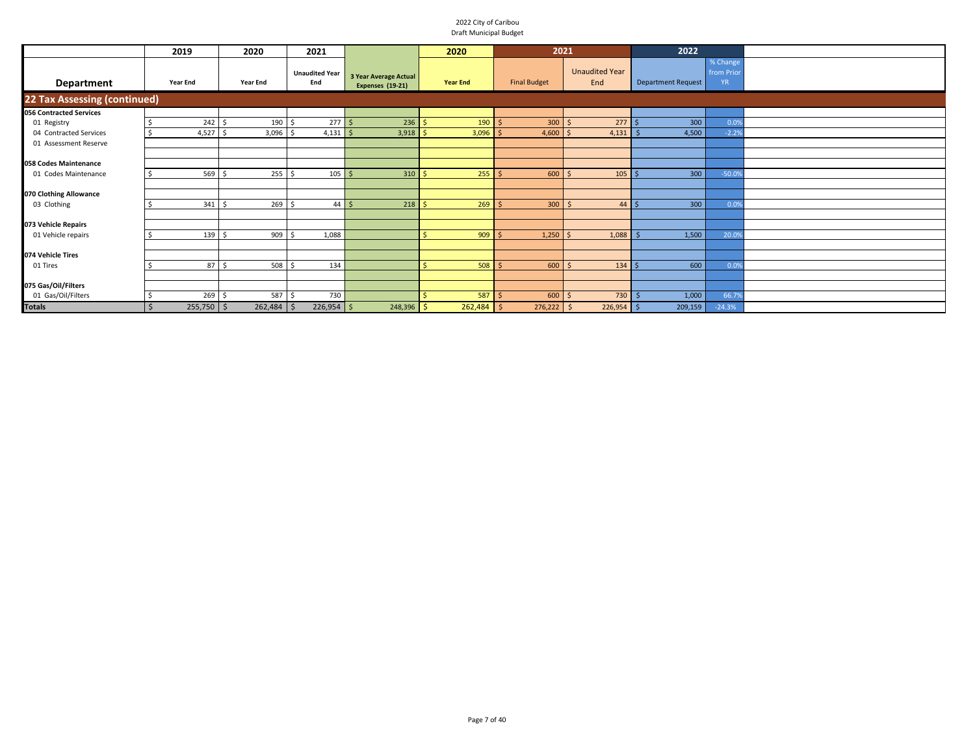|                                | 2019              | 2020         | 2021                               |                                                  | 2020            | 2021                |                              | 2022                      |                                     |  |
|--------------------------------|-------------------|--------------|------------------------------------|--------------------------------------------------|-----------------|---------------------|------------------------------|---------------------------|-------------------------------------|--|
| Department                     | <b>Year End</b>   | Year End     | <b>Unaudited Year</b><br>End       | 3 Year Average Actual<br><b>Expenses (19-21)</b> | <b>Year End</b> | <b>Final Budget</b> | <b>Unaudited Year</b><br>End | <b>Department Request</b> | % Change<br>from Prior<br><b>YR</b> |  |
| 22 Tax Assessing (continued)   |                   |              |                                    |                                                  |                 |                     |                              |                           |                                     |  |
| <b>056 Contracted Services</b> |                   |              |                                    |                                                  |                 |                     |                              |                           |                                     |  |
| 01 Registry                    | $242 \quad$ \$    | $190 \pm$    | 277S                               | 236                                              | 190<br>-Ś       | 300                 | 277S<br>-S                   | 300                       | 0.09                                |  |
| 04 Contracted Services         | $4,527$ \$        | 3,096        | $4,131$ \$<br>- Ś                  | 3,918                                            | 3,096           | 4,600               | 4,131                        | 4,500                     | $-2.29$                             |  |
| 01 Assessment Reserve          |                   |              |                                    |                                                  |                 |                     |                              |                           |                                     |  |
|                                |                   |              |                                    |                                                  |                 |                     |                              |                           |                                     |  |
| 058 Codes Maintenance          |                   |              |                                    |                                                  |                 |                     |                              |                           |                                     |  |
| 01 Codes Maintenance           | 569 \$            | $255$ \$     | $105 \overline{\smash{\big)} }$ \$ | 310                                              | 255             | 600                 | 105                          | 300                       | $-50.09$                            |  |
|                                |                   |              |                                    |                                                  |                 |                     |                              |                           |                                     |  |
| 070 Clothing Allowance         |                   |              |                                    |                                                  |                 |                     |                              |                           |                                     |  |
| 03 Clothing                    | $341 \frac{1}{2}$ | 269          | $44 \mid 5$<br>Ś                   | 218                                              | 269             | 300                 | 44<br>-S                     | 300                       | 0.09                                |  |
|                                |                   |              |                                    |                                                  |                 |                     |                              |                           |                                     |  |
| 073 Vehicle Repairs            |                   |              |                                    |                                                  |                 |                     |                              |                           |                                     |  |
| 01 Vehicle repairs             | 139 \$            | 9095         | 1,088                              |                                                  | 909             | 1,250               | 1,088<br>$\breve{\varsigma}$ | 1,500                     | 20.09                               |  |
|                                |                   |              |                                    |                                                  |                 |                     |                              |                           |                                     |  |
| 074 Vehicle Tires              |                   |              |                                    |                                                  |                 |                     |                              |                           |                                     |  |
| 01 Tires                       | 87 <sup>5</sup>   | 508          | 134<br>Ś.                          |                                                  | 508             | 600                 | $134 \,$ \$                  | 600                       | 0.09                                |  |
|                                |                   |              |                                    |                                                  |                 |                     |                              |                           |                                     |  |
| 075 Gas/Oil/Filters            |                   |              |                                    |                                                  |                 |                     |                              |                           |                                     |  |
| 01 Gas/Oil/Filters             | $269$ \$          | 587 \$       | 730                                |                                                  | 587             | 600                 | 730<br>$\prec$               | 1,000                     | 66.79                               |  |
| <b>Totals</b>                  | $255,750$ \$      | $262,484$ \$ | $226,954$ \$                       | $248,396$ \$                                     | $262,484$ \$    | 276,222             | 226,954<br>$\mathsf{S}$      | 209,159                   | $-24.3%$                            |  |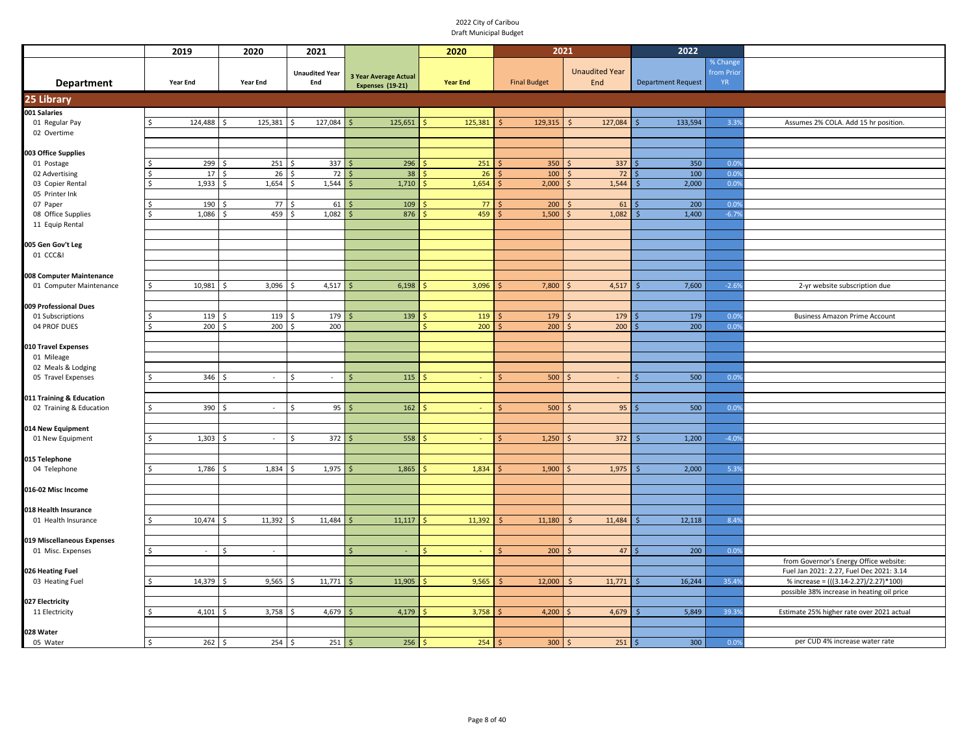|                            | 2019            | 2020                           | 2021                         |                              | 2020            | 2021                |                         | 2022                      |           |                                            |
|----------------------------|-----------------|--------------------------------|------------------------------|------------------------------|-----------------|---------------------|-------------------------|---------------------------|-----------|--------------------------------------------|
|                            |                 |                                |                              |                              |                 |                     |                         |                           | % Change  |                                            |
|                            |                 |                                | <b>Unaudited Year</b>        | <b>3 Year Average Actual</b> |                 |                     | <b>Unaudited Year</b>   |                           | from Prio |                                            |
| <b>Department</b>          | <b>Year End</b> | <b>Year End</b>                | End                          | <b>Expenses (19-21)</b>      | <b>Year End</b> | <b>Final Budget</b> | End                     | <b>Department Request</b> | <b>YR</b> |                                            |
| 25 Library                 |                 |                                |                              |                              |                 |                     |                         |                           |           |                                            |
| 001 Salaries               |                 |                                |                              |                              |                 |                     |                         |                           |           |                                            |
| 01 Regular Pay             | 124,488<br>ς.   | 125,381<br>Ś,                  | 127,084<br>Ś                 | 125,651                      | 125,381         | 129,315             | 127,084<br>$\mathsf{S}$ | 133,594                   | 3.39      | Assumes 2% COLA. Add 15 hr position.       |
| 02 Overtime                |                 |                                |                              |                              |                 |                     |                         |                           |           |                                            |
|                            |                 |                                |                              |                              |                 |                     |                         |                           |           |                                            |
| 003 Office Supplies        |                 |                                |                              |                              |                 |                     |                         |                           |           |                                            |
| 01 Postage                 | 299             | 251                            | 337                          | 296                          | 251             | 350                 | 337                     | 350                       | 0.0%      |                                            |
| 02 Advertising             | 17              | 26<br>- Ś                      | 72<br>Ŝ.                     | 38                           | 26              | 100                 | 72                      | 100                       | 0.0%      |                                            |
| 03 Copier Rental           | 1,933           | 1,654                          | 1,544<br>Ś                   | 1,710                        | 1,654           | 2,000               | 1,544                   | 2,000                     | 0.0%      |                                            |
| 05 Printer Ink             |                 |                                |                              |                              |                 |                     |                         |                           |           |                                            |
| 07 Paper                   | 190             | 77                             | 61                           | 109                          | 77              | 200                 | 61                      | 200                       | 0.09      |                                            |
| 08 Office Supplies         | 1,086<br>Ś.     | 459<br>- Ś                     | 1,082<br>Ŝ.                  | 876                          | 459             | 1,500               | 1,082                   | 1,400                     | $-6.79$   |                                            |
| 11 Equip Rental            |                 |                                |                              |                              |                 |                     |                         |                           |           |                                            |
|                            |                 |                                |                              |                              |                 |                     |                         |                           |           |                                            |
| 005 Gen Gov't Leg          |                 |                                |                              |                              |                 |                     |                         |                           |           |                                            |
| 01 CCC&I                   |                 |                                |                              |                              |                 |                     |                         |                           |           |                                            |
|                            |                 |                                |                              |                              |                 |                     |                         |                           |           |                                            |
| 008 Computer Maintenance   |                 |                                |                              |                              |                 |                     |                         |                           |           |                                            |
| 01 Computer Maintenance    | 10,981<br>\$    | 3,096<br>$\leq$                | 4,517<br><sup>\$</sup>       | 6,198                        | 3,096           | 7,800               | 4,517                   | 7,600                     | $-2.69$   | 2-yr website subscription due              |
|                            |                 |                                |                              |                              |                 |                     |                         |                           |           |                                            |
| 009 Professional Dues      |                 |                                |                              |                              |                 |                     |                         |                           |           |                                            |
| 01 Subscriptions           | 119<br>ς        | 119<br>- Ś                     | 179<br>Ś                     | 139                          | 119             | 179                 | 179                     | 179                       | 0.0%      | <b>Business Amazon Prime Account</b>       |
| 04 PROF DUES               | $200 \div$<br>ς | 200                            | 200<br>S.                    |                              | 200             | 200                 | 200                     | 200                       | 0.0%      |                                            |
|                            |                 |                                |                              |                              |                 |                     |                         |                           |           |                                            |
| 010 Travel Expenses        |                 |                                |                              |                              |                 |                     |                         |                           |           |                                            |
| 01 Mileage                 |                 |                                |                              |                              |                 |                     |                         |                           |           |                                            |
| 02 Meals & Lodging         |                 |                                |                              |                              |                 |                     |                         |                           |           |                                            |
| 05 Travel Expenses         | 346<br>ς.       | $\sim$                         | $\dot{\mathsf{s}}$<br>$\sim$ | 115<br>ς                     |                 | 500                 |                         | 500                       | 0.0%      |                                            |
|                            |                 |                                |                              |                              |                 |                     |                         |                           |           |                                            |
| 011 Training & Education   |                 |                                |                              |                              |                 |                     |                         | 500                       |           |                                            |
| 02 Training & Education    | 390<br>\$       | - Ś<br>$\sim$                  | 95<br>Ŝ.                     | 162                          |                 | 500<br>Ŝ            | 95<br><sup>5</sup>      |                           | 0.0%      |                                            |
|                            |                 |                                |                              |                              |                 |                     |                         |                           |           |                                            |
| 014 New Equipment          | 1,303<br>Ś.     | \$<br>$\overline{\phantom{a}}$ | 372<br>Ś                     | 558<br>Ś                     |                 | 1,250<br>Ś          | 372                     | 1,200                     | $-4.09$   |                                            |
| 01 New Equipment           |                 |                                |                              |                              |                 |                     |                         |                           |           |                                            |
| 015 Telephone              |                 |                                |                              |                              |                 |                     |                         |                           |           |                                            |
| 04 Telephone               | 1,786<br>\$     | 1,834<br>S.                    | 1,975<br>ς.                  | 1,865                        | 1,834           | 1,900               | 1,975                   | 2,000                     | 5.3%      |                                            |
|                            |                 |                                |                              |                              |                 |                     |                         |                           |           |                                            |
| 016-02 Misc Income         |                 |                                |                              |                              |                 |                     |                         |                           |           |                                            |
|                            |                 |                                |                              |                              |                 |                     |                         |                           |           |                                            |
| 018 Health Insurance       |                 |                                |                              |                              |                 |                     |                         |                           |           |                                            |
| 01 Health Insurance        | 10,474<br>\$    | 11,392<br>l \$                 | 11,484<br>S.                 | 11,117<br>ς                  | 11,392          | 11,180              | 11,484<br>-Ś            | 12,118                    | 8.4%      |                                            |
|                            |                 |                                |                              |                              |                 |                     |                         |                           |           |                                            |
| 019 Miscellaneous Expenses |                 |                                |                              |                              |                 |                     |                         |                           |           |                                            |
| 01 Misc. Expenses          | \$<br>$\sim$    | \$<br>$\sim$                   |                              | $\mathsf{\hat{S}}$           |                 | 200<br>Ś            | 47<br><sup>5</sup>      | 200                       | 0.0%      |                                            |
|                            |                 |                                |                              |                              |                 |                     |                         |                           |           | from Governor's Energy Office website:     |
| 026 Heating Fuel           |                 |                                |                              |                              |                 |                     |                         |                           |           | Fuel Jan 2021: 2.27, Fuel Dec 2021: 3.14   |
| 03 Heating Fuel            | 14,379          | 9,565                          | 11,771                       | 11,905                       | 9,565           | 12,000              | 11,771                  | 16,244                    | 35.4%     | % increase = (((3.14-2.27)/2.27)*100)      |
|                            |                 |                                |                              |                              |                 |                     |                         |                           |           | possible 38% increase in heating oil price |
| 027 Electricity            |                 |                                |                              |                              |                 |                     |                         |                           |           |                                            |
| 11 Electricity             | 4,101           | 3,758                          | 4,679                        | 4,179                        | 3,758           | 4,200               | 4,679                   | 5,849                     | 39.3%     | Estimate 25% higher rate over 2021 actual  |
|                            |                 |                                |                              |                              |                 |                     |                         |                           |           |                                            |
| 028 Water                  |                 |                                |                              |                              |                 |                     |                         |                           |           |                                            |
| 05 Water                   | 262<br>Ś        | 254<br>۱\$                     | 251<br>l\$                   | 256                          | 254             | 300                 | 251<br>Ŝ.               | 300                       | 0.0%      | per CUD 4% increase water rate             |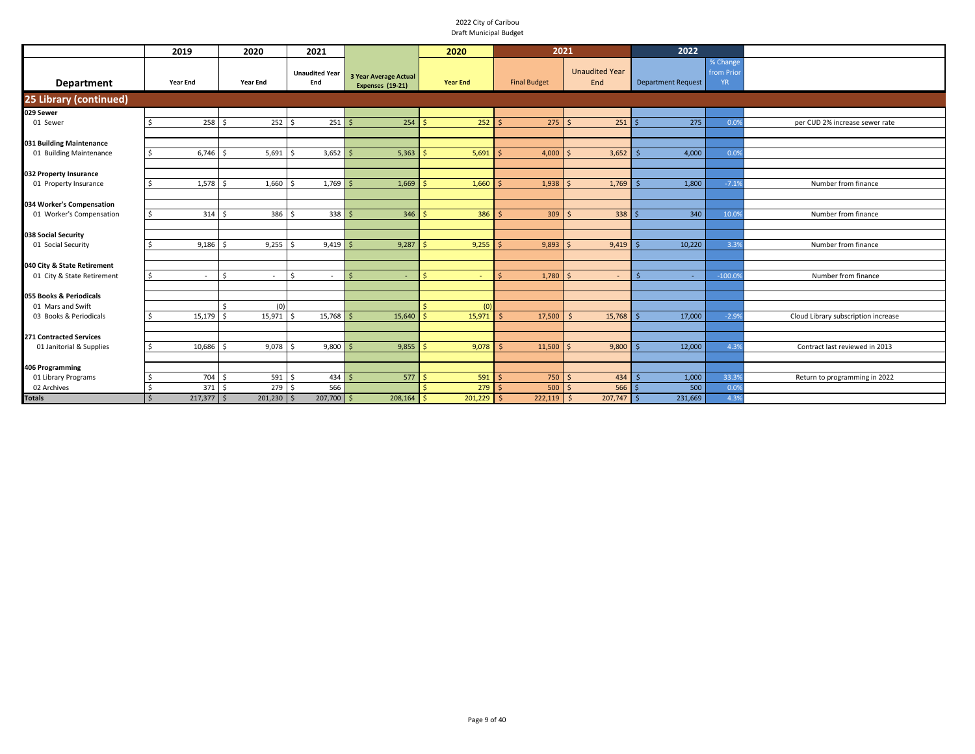|                                | 2019         | 2020                                      | 2021                         |                                                  | 2020            | 2021                |                              | 2022                      |                                    |                                     |
|--------------------------------|--------------|-------------------------------------------|------------------------------|--------------------------------------------------|-----------------|---------------------|------------------------------|---------------------------|------------------------------------|-------------------------------------|
| <b>Department</b>              | Year End     | <b>Year End</b>                           | <b>Unaudited Year</b><br>End | <b>3 Year Average Actual</b><br>Expenses (19-21) | <b>Year End</b> | <b>Final Budget</b> | <b>Unaudited Year</b><br>End | <b>Department Request</b> | % Change<br>from Prio<br><b>YR</b> |                                     |
| 25 Library (continued)         |              |                                           |                              |                                                  |                 |                     |                              |                           |                                    |                                     |
| 029 Sewer                      |              |                                           |                              |                                                  |                 |                     |                              |                           |                                    |                                     |
| 01 Sewer                       | 258<br>ς.    | 252                                       | 251                          | 254                                              | 252             | 275                 | 251<br>$\mathsf{S}$          | 275                       | 0.09                               | per CUD 2% increase sewer rate      |
|                                |              |                                           |                              |                                                  |                 |                     |                              |                           |                                    |                                     |
| 031 Building Maintenance       |              |                                           |                              |                                                  |                 |                     |                              |                           |                                    |                                     |
| 01 Building Maintenance        | 6,746        | $5,691$ \$<br>l S                         | 3,652                        | 5,363                                            | 5,691           | 4,000               | 3,652                        | 4,000                     | 0.09                               |                                     |
|                                |              |                                           |                              |                                                  |                 |                     |                              |                           |                                    |                                     |
| 032 Property Insurance         |              |                                           |                              |                                                  |                 |                     |                              |                           |                                    |                                     |
| 01 Property Insurance          | 1,578        | 1,660                                     | $1,769$ \$                   | 1,669                                            | 1,660           | 1,938               | 1,769<br><sup>5</sup>        | 1,800                     | $-7.19$                            | Number from finance                 |
|                                |              |                                           |                              |                                                  |                 |                     |                              |                           |                                    |                                     |
| 034 Worker's Compensation      |              |                                           |                              |                                                  |                 |                     |                              |                           |                                    |                                     |
| 01 Worker's Compensation       | Ś.           | 314S<br>386 \$                            | 338                          | 346                                              | 386             | $309$ \$            | 338                          | 340                       | 10.09                              | Number from finance                 |
|                                |              |                                           |                              |                                                  |                 |                     |                              |                           |                                    |                                     |
| 038 Social Security            |              |                                           |                              |                                                  |                 |                     |                              |                           |                                    |                                     |
| 01 Social Security             | 9,186        | 9,255                                     | 9,419                        | 9,287                                            | 9,255           | 9,893<br>-Ś         | 9,419                        | 10,220                    | 3.39                               | Number from finance                 |
|                                |              |                                           |                              |                                                  |                 |                     |                              |                           |                                    |                                     |
| 040 City & State Retirement    |              |                                           |                              |                                                  |                 |                     |                              |                           |                                    |                                     |
| 01 City & State Retirement     | Ŝ.<br>٠      | <sup>\$</sup><br>$\overline{\phantom{a}}$ | ¢                            | ς                                                | ¢               | 1,780<br>$\zeta$    | <sup>5</sup>                 | ÷.                        | $-100.09$                          | Number from finance                 |
|                                |              |                                           |                              |                                                  |                 |                     |                              |                           |                                    |                                     |
| 055 Books & Periodicals        |              |                                           |                              |                                                  |                 |                     |                              |                           |                                    |                                     |
| 01 Mars and Swift              | 15,179       | (0)                                       |                              |                                                  | (0)             |                     | - 9                          |                           |                                    |                                     |
| 03 Books & Periodicals         |              | 15,971                                    | 15,768                       | 15,640                                           | 15,971          | 17,500              | 15,768                       | 17,000                    | $-2.99$                            | Cloud Library subscription increase |
| <b>271 Contracted Services</b> |              |                                           |                              |                                                  |                 |                     |                              |                           |                                    |                                     |
| 01 Janitorial & Supplies       | 10,686       | $9,078$ \$                                | 9,800                        | 9,855                                            | 9,078           | 11,500              | 9,800                        | 12,000                    | 4.39                               | Contract last reviewed in 2013      |
|                                |              |                                           |                              |                                                  |                 |                     |                              |                           |                                    |                                     |
| 406 Programming                |              |                                           |                              |                                                  |                 |                     |                              |                           |                                    |                                     |
| 01 Library Programs            | 704          | 591                                       | 434                          | 577                                              | 591             | 750                 | 434<br>$\mathsf{S}$          | 1,000                     | 33.39                              | Return to programming in 2022       |
| 02 Archives                    | 371          | 279                                       | 566                          |                                                  | 279             | 500<br>-Ś           | 566<br>s.                    | 500                       | 0.09                               |                                     |
| <b>Totals</b>                  | $217,377$ \$ | $201,230$ \$                              | $207,700$ \$                 | 208,164                                          | 201,229         | $222,119$ \$        | 207,747                      | 231,669                   | 4.39                               |                                     |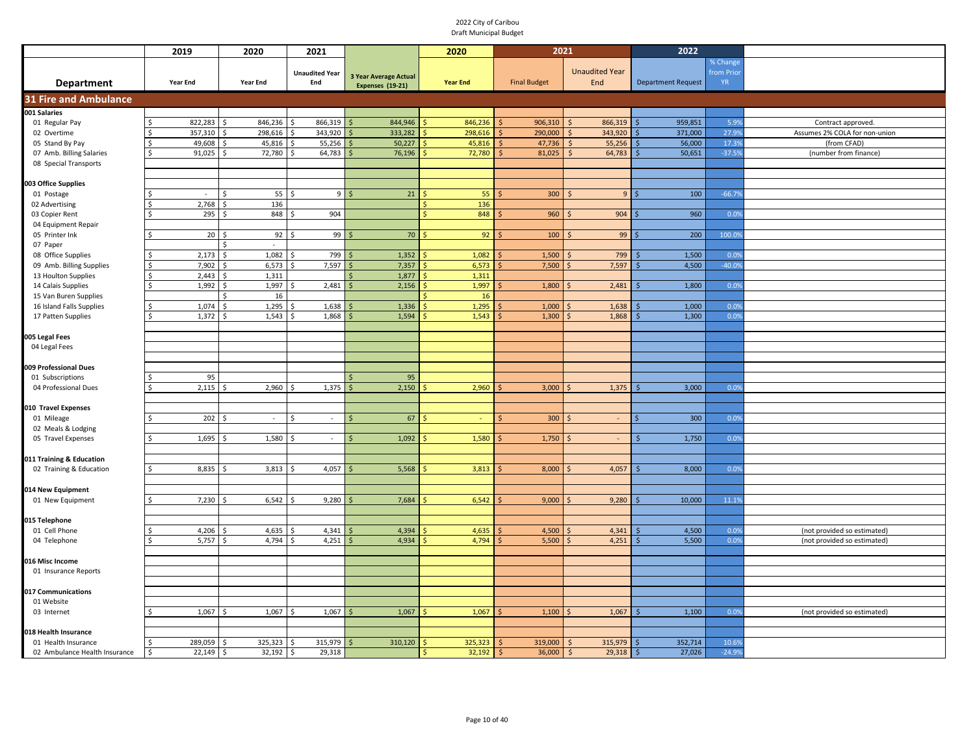|                                                   | 2019                   |                    | 2020           | 2021                              |   |                              |                     | 2020            |                     | 2021        |                              |      | 2022                      |                              |                               |
|---------------------------------------------------|------------------------|--------------------|----------------|-----------------------------------|---|------------------------------|---------------------|-----------------|---------------------|-------------|------------------------------|------|---------------------------|------------------------------|-------------------------------|
|                                                   | <b>Year End</b>        |                    | Year End       | <b>Unaudited Year</b><br>End      |   | <b>3 Year Average Actual</b> |                     | <b>Year End</b> | <b>Final Budget</b> |             | <b>Unaudited Year</b><br>End |      | <b>Department Request</b> | % Change<br>from Prio<br>YR. |                               |
| <b>Department</b><br><b>31 Fire and Ambulance</b> |                        |                    |                |                                   |   | <b>Expenses (19-21)</b>      |                     |                 |                     |             |                              |      |                           |                              |                               |
| 001 Salaries                                      |                        |                    |                |                                   |   |                              |                     |                 |                     |             |                              |      |                           |                              |                               |
| 01 Regular Pay                                    | 822,283<br>Ŝ.          | Ŝ.                 | 846,236        | 866,319<br>Ŝ.                     |   | 844,946                      |                     | 846,236         |                     | 906,310     | 866,319                      |      | 959,851                   | 5.9%                         | Contract approved.            |
| 02 Overtime                                       | 357,310                | $\zeta$            | 298,616        | 343,920<br>$\mathsf{\hat{S}}$     |   | 333,282                      |                     | 298,616         |                     | 290,000     | 343,920<br>$\mathsf{S}$      |      | 371,000                   | 27.99                        | Assumes 2% COLA for non-union |
| 05 Stand By Pay                                   | 49,608<br>$\zeta$      | Ŝ.                 | 45,816         | 55,256<br>S.                      |   | 50,227                       |                     | 45,816          |                     | $47,736$ \$ | 55,256                       |      | 56,000                    | 17.39                        | (from CFAD)                   |
| 07 Amb. Billing Salaries                          | $\zeta$<br>91,025      | Ŝ.                 | 72,780         | 64,783                            |   | 76,196                       |                     | 72,780          |                     | 81,025      | 64,783<br>$\mathsf{S}$       |      | 50,651                    | $-37.59$                     | (number from finance)         |
| 08 Special Transports                             |                        |                    |                |                                   |   |                              |                     |                 |                     |             |                              |      |                           |                              |                               |
|                                                   |                        |                    |                |                                   |   |                              |                     |                 |                     |             |                              |      |                           |                              |                               |
| 003 Office Supplies                               | $\sim$                 | $\mathsf{\hat{S}}$ | 55             | $\zeta$                           | 9 | 21                           |                     | 55              |                     | 300         | 9                            |      | 100                       | $-66.79$                     |                               |
| 01 Postage<br>02 Advertising                      | 2,768                  |                    | 136            |                                   |   |                              |                     | 136             |                     |             |                              |      |                           |                              |                               |
| 03 Copier Rent                                    |                        | 295                | 848            | 904<br>Ŝ.                         |   |                              | $\ddot{\textbf{c}}$ | 848             |                     | 960         | 904                          |      | 960                       | 0.09                         |                               |
| 04 Equipment Repair                               |                        |                    |                |                                   |   |                              |                     |                 |                     |             |                              |      |                           |                              |                               |
| 05 Printer Ink                                    |                        | 20                 | 92             | 99                                |   | 70                           |                     | 92              |                     | 100         | 99                           |      | 200                       | 100.09                       |                               |
| 07 Paper                                          |                        |                    | $\sim$         |                                   |   |                              |                     |                 |                     |             |                              |      |                           |                              |                               |
| 08 Office Supplies                                | 2,173                  | $\mathsf{s}$       | 1,082          | 799<br>$\mathsf{s}$               |   | 1,352                        |                     | 1,082           |                     | 1,500       | 799                          |      | 1,500                     | 0.09                         |                               |
| 09 Amb. Billing Supplies                          | 7,902                  | Ŝ.                 | 6,573          | 7,597<br>Ś                        |   | 7,357                        |                     | 6,573           |                     | 7,500       | 7,597                        |      | 4,500                     | $-40.09$                     |                               |
| 13 Houlton Supplies                               | <sup>\$</sup><br>2,443 |                    | 1,311          |                                   |   | 1,877                        |                     | 1,311           |                     |             |                              |      |                           |                              |                               |
| 14 Calais Supplies                                | 1,992                  | $\zeta$            | 1,997          | 2,481                             |   | 2,156                        |                     | 1,997           |                     | 1,800       | 2,481                        |      | 1,800                     | 0.0%                         |                               |
| 15 Van Buren Supplies                             |                        | $\mathsf{\hat{S}}$ | 16             |                                   |   |                              |                     | 16              |                     |             |                              |      |                           |                              |                               |
| 16 Island Falls Supplies                          | 1,074                  | <sup>\$</sup>      | 1,295          | 1,638                             |   | 1,336                        |                     | 1,295           |                     | 1,000       | 1,638                        |      | 1,000                     | 0.09                         |                               |
| 17 Patten Supplies                                | 1,372<br><sup>\$</sup> |                    | 1,543          | 1,868                             |   | 1,594                        |                     | 1,543           |                     | 1,300       | 1,868                        |      | 1,300                     | 0.09                         |                               |
|                                                   |                        |                    |                |                                   |   |                              |                     |                 |                     |             |                              |      |                           |                              |                               |
| 005 Legal Fees                                    |                        |                    |                |                                   |   |                              |                     |                 |                     |             |                              |      |                           |                              |                               |
| 04 Legal Fees                                     |                        |                    |                |                                   |   |                              |                     |                 |                     |             |                              |      |                           |                              |                               |
|                                                   |                        |                    |                |                                   |   |                              |                     |                 |                     |             |                              |      |                           |                              |                               |
| 009 Professional Dues                             |                        | 95                 |                |                                   |   | 95                           |                     |                 |                     |             |                              |      |                           |                              |                               |
| 01 Subscriptions<br>04 Professional Dues          | 2,115                  |                    | 2,960          | 1,375                             |   | 2,150                        |                     | 2,960           |                     | 3,000       | 1,375                        |      | 3,000                     | 0.09                         |                               |
|                                                   |                        |                    |                |                                   |   |                              |                     |                 |                     |             |                              |      |                           |                              |                               |
| 010 Travel Expenses                               |                        |                    |                |                                   |   |                              |                     |                 |                     |             |                              |      |                           |                              |                               |
| 01 Mileage                                        |                        | 202                | $\sim$         | $\mathcal{L}_{\mathcal{A}}$<br>\$ |   | 67                           |                     | $\sim$          | \$                  | 300         | $\sim$                       |      | 300                       | 0.09                         |                               |
| 02 Meals & Lodging                                |                        |                    |                |                                   |   |                              |                     |                 |                     |             |                              |      |                           |                              |                               |
| 05 Travel Expenses                                | 1,695<br>-S            |                    | 1,580          | $\sim$                            |   | 1,092                        |                     | 1,580           |                     | 1,750       | $\sim$                       |      | 1,750                     | 0.09                         |                               |
|                                                   |                        |                    |                |                                   |   |                              |                     |                 |                     |             |                              |      |                           |                              |                               |
| 011 Training & Education                          |                        |                    |                |                                   |   |                              |                     |                 |                     |             |                              |      |                           |                              |                               |
| 02 Training & Education                           | 8,835                  |                    | 3,813          | 4,057                             |   | 5,568                        |                     | 3,813           |                     | 8,000       | 4,057                        |      | 8,000                     | 0.09                         |                               |
|                                                   |                        |                    |                |                                   |   |                              |                     |                 |                     |             |                              |      |                           |                              |                               |
| 014 New Equipment                                 |                        |                    |                |                                   |   |                              |                     |                 |                     |             |                              |      |                           |                              |                               |
| 01 New Equipment                                  | 7,230                  |                    | 6,542          | 9,280                             |   | 7,684                        |                     | 6,542           |                     | 9,000       | 9,280                        |      | 10,000                    | 11.19                        |                               |
|                                                   |                        |                    |                |                                   |   |                              |                     |                 |                     |             |                              |      |                           |                              |                               |
| 015 Telephone                                     |                        |                    |                |                                   |   |                              |                     |                 |                     |             |                              |      |                           |                              |                               |
| 01 Cell Phone                                     | 4,206<br>5,757         |                    | 4,635<br>4,794 | 4,341<br>4,251                    |   | 4,394<br>4,934               |                     | 4,635<br>4,794  |                     | 4,500       | 4,341                        |      | 4,500                     | 0.09<br>0.0%                 | (not provided so estimated)   |
| 04 Telephone                                      |                        |                    |                |                                   |   |                              |                     |                 |                     | 5,500       | 4,251                        |      | 5,500                     |                              | (not provided so estimated)   |
| 016 Misc Income                                   |                        |                    |                |                                   |   |                              |                     |                 |                     |             |                              |      |                           |                              |                               |
| 01 Insurance Reports                              |                        |                    |                |                                   |   |                              |                     |                 |                     |             |                              |      |                           |                              |                               |
|                                                   |                        |                    |                |                                   |   |                              |                     |                 |                     |             |                              |      |                           |                              |                               |
| 017 Communications                                |                        |                    |                |                                   |   |                              |                     |                 |                     |             |                              |      |                           |                              |                               |
| 01 Website                                        |                        |                    |                |                                   |   |                              |                     |                 |                     |             |                              |      |                           |                              |                               |
| 03 Internet                                       | 1,067                  | Ŝ.                 | 1,067          | 1,067<br>Ŝ.                       |   | 1,067                        |                     | 1,067           |                     | 1,100       | 1,067                        |      | 1,100                     | 0.05                         | (not provided so estimated)   |
|                                                   |                        |                    |                |                                   |   |                              |                     |                 |                     |             |                              |      |                           |                              |                               |
| 018 Health Insurance                              |                        |                    |                |                                   |   |                              |                     |                 |                     |             |                              |      |                           |                              |                               |
| 01 Health Insurance                               | 289,059                | $\zeta$            | 325,323        | 315,979<br>$\zeta$                |   | 310,120                      |                     | 325,323         |                     | 319,000     | 315,979<br>$\mathsf{S}$      |      | 352,714                   | 10.69                        |                               |
| 02 Ambulance Health Insurance                     | l \$<br>22,149         | \$                 | 32,192         | 29,318<br>\$                      |   |                              | Ŝ.                  | 32,192          | .S                  | $36,000$ \$ | 29,318                       | I \$ | 27,026                    | $-24.9%$                     |                               |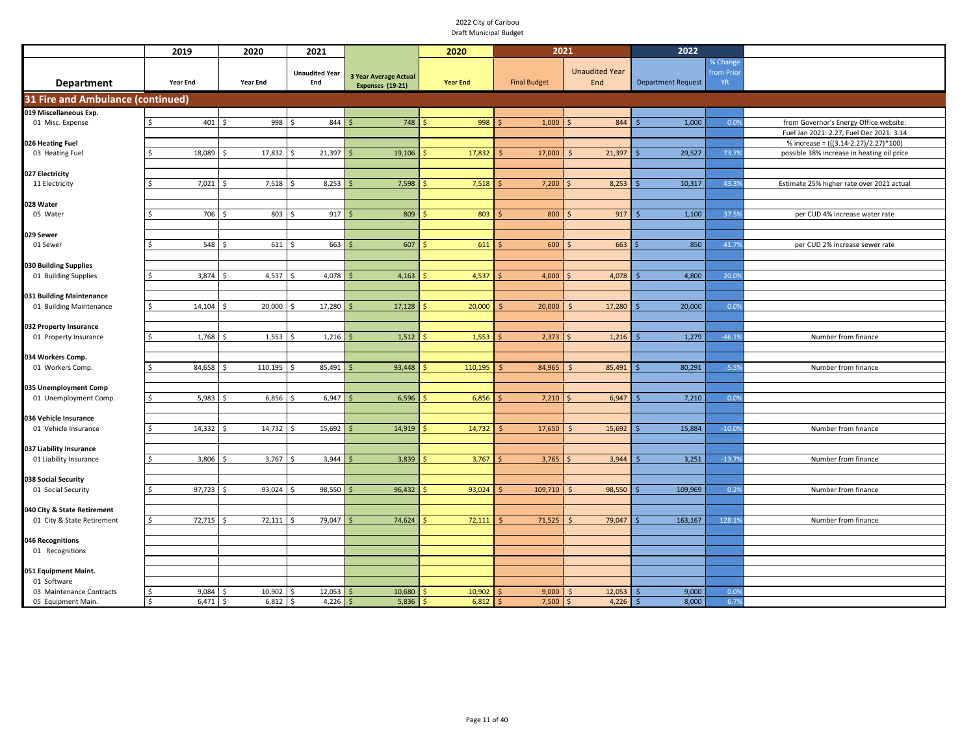|                                                     | 2019                             | 2020               | 2021                         |                                                         | 2020            | 2021                 |                              | 2022                      |                              |                                            |
|-----------------------------------------------------|----------------------------------|--------------------|------------------------------|---------------------------------------------------------|-----------------|----------------------|------------------------------|---------------------------|------------------------------|--------------------------------------------|
| Department                                          | Year End                         | Year End           | <b>Unaudited Year</b><br>End | <b>3 Year Average Actual</b><br><b>Expenses (19-21)</b> | <b>Year End</b> | <b>Final Budget</b>  | <b>Unaudited Year</b><br>End | <b>Department Request</b> | % Change<br>from Prio<br>YR. |                                            |
| <b>31 Fire and Ambulance (continued)</b>            |                                  |                    |                              |                                                         |                 |                      |                              |                           |                              |                                            |
| 019 Miscellaneous Exp.                              |                                  |                    |                              |                                                         |                 |                      |                              |                           |                              |                                            |
| 01 Misc. Expense                                    | $401 \,$ \$                      | 998                | l ś<br>844                   | 748                                                     | 998             | 1,000                | 844                          | 1,000                     | 0.09                         | from Governor's Energy Office website:     |
|                                                     |                                  |                    |                              |                                                         |                 |                      |                              |                           |                              | Fuel Jan 2021: 2.27, Fuel Dec 2021: 3.14   |
| 026 Heating Fuel                                    |                                  |                    |                              |                                                         |                 |                      |                              |                           |                              | % increase = (((3.14-2.27)/2.27)*100)      |
| 03 Heating Fuel                                     | 18,089                           | 17,832             | 21,397                       | 19,106<br>S                                             | 17,832          | 17,000               | 21,397                       | 29,527                    | 73.79                        | possible 38% increase in heating oil price |
|                                                     |                                  |                    |                              |                                                         |                 |                      |                              |                           |                              |                                            |
| 027 Electricity                                     |                                  |                    |                              |                                                         |                 |                      |                              |                           |                              |                                            |
| 11 Electricity                                      | 7,021<br>Š.                      | 7,518              | $8,253$ \$                   | 7,598                                                   | 7,518           | 7,200                | 8,253                        | 10,317                    | 43.39                        | Estimate 25% higher rate over 2021 actual  |
| 028 Water                                           |                                  |                    |                              |                                                         |                 |                      |                              |                           |                              |                                            |
| 05 Water                                            | 706<br>Ŝ.                        | 803<br>۱s          | 917<br>$\breve{\varsigma}$   | 809<br>-Ś                                               | 803             | 800                  | 917                          | 1,100                     | 37.59                        | per CUD 4% increase water rate             |
|                                                     |                                  |                    |                              |                                                         |                 |                      |                              |                           |                              |                                            |
| 029 Sewer                                           |                                  |                    |                              |                                                         |                 |                      |                              |                           |                              |                                            |
| 01 Sewer                                            | 548<br>Ŝ.                        | 611                | 663                          | 607<br>.\$                                              | 611             | 600                  | 663                          | 850                       | 41.79                        | per CUD 2% increase sewer rate             |
|                                                     |                                  |                    |                              |                                                         |                 |                      |                              |                           |                              |                                            |
| 030 Building Supplies                               |                                  |                    |                              |                                                         |                 |                      |                              |                           |                              |                                            |
| 01 Building Supplies                                | 3,874                            | 4,537              | 4,078                        | 4,163                                                   | 4,537           | 4,000                | 4,078                        | 4,800                     | 20.0%                        |                                            |
|                                                     |                                  |                    |                              |                                                         |                 |                      |                              |                           |                              |                                            |
| 031 Building Maintenance<br>01 Building Maintenance | 14,104                           | 20,000<br>- S      | 17,280                       | 17,128                                                  | 20,000          | 20,000               | 17,280                       | 20,000                    | 0.09                         |                                            |
|                                                     |                                  |                    |                              |                                                         |                 |                      |                              |                           |                              |                                            |
| 032 Property Insurance                              |                                  |                    |                              |                                                         |                 |                      |                              |                           |                              |                                            |
| 01 Property Insurance                               | 1,768<br>Ŝ.                      | $1,553$ \$<br>l \$ | 1,216                        | 1,512<br>l \$                                           | 1,553           | 2,373                | 1,216                        | 1,279                     | $-46.19$                     | Number from finance                        |
|                                                     |                                  |                    |                              |                                                         |                 |                      |                              |                           |                              |                                            |
| 034 Workers Comp.                                   |                                  |                    |                              |                                                         |                 |                      |                              |                           |                              |                                            |
| 01 Workers Comp.                                    | 84,658                           | 110,195<br>- Ś     | 85,491<br>l \$               | 93,448                                                  | 110,195         | 84,965               | 85,491                       | 80,291                    | $-5.59$                      | Number from finance                        |
|                                                     |                                  |                    |                              |                                                         |                 |                      |                              |                           |                              |                                            |
| 035 Unemployment Comp                               |                                  |                    |                              |                                                         |                 |                      |                              |                           |                              |                                            |
| 01 Unemployment Comp.                               | 5,983<br>Ś.                      | 6,856<br>l \$      | 6,947<br>l \$                | 6,596                                                   | 6,856           | 7,210                | 6,947                        | 7,210                     | 0.0%                         |                                            |
| 036 Vehicle Insurance                               |                                  |                    |                              |                                                         |                 |                      |                              |                           |                              |                                            |
| 01 Vehicle Insurance                                | $14,332$ \$<br>Ś                 | $14,732$ \$        | 15,692                       | 14,919                                                  | 14,732          | 17,650               | 15,692                       | 15,884                    | $-10.09$                     | Number from finance                        |
|                                                     |                                  |                    |                              |                                                         |                 |                      |                              |                           |                              |                                            |
| 037 Liability Insurance                             |                                  |                    |                              |                                                         |                 |                      |                              |                           |                              |                                            |
| 01 Liability Insurance                              | 3,806<br>Ŝ                       | 3,767              | 3,944<br>l S                 | 3,839<br>-S                                             | 3,767           | 3,765                | 3,944                        | 3,251                     | $-13.79$                     | Number from finance                        |
|                                                     |                                  |                    |                              |                                                         |                 |                      |                              |                           |                              |                                            |
| 038 Social Security                                 |                                  |                    |                              |                                                         |                 |                      |                              |                           |                              |                                            |
| 01 Social Security                                  | 97,723<br>Ŝ.                     | 93,024<br>∫ <      | 98,550<br>- S                | 96,432                                                  | 93,024          | 109,710              | 98,550                       | 109,969                   | 0.29                         | Number from finance                        |
| 040 City & State Retirement                         |                                  |                    |                              |                                                         |                 |                      |                              |                           |                              |                                            |
| 01 City & State Retirement                          | 72,715<br>\$                     | 72,111             | 79,047                       | 74,624                                                  | 72,111          | 71,525               | 79,047                       | 163,167                   | 128.19                       | Number from finance                        |
|                                                     |                                  |                    |                              |                                                         |                 |                      |                              |                           |                              |                                            |
| 046 Recognitions                                    |                                  |                    |                              |                                                         |                 |                      |                              |                           |                              |                                            |
| 01 Recognitions                                     |                                  |                    |                              |                                                         |                 |                      |                              |                           |                              |                                            |
|                                                     |                                  |                    |                              |                                                         |                 |                      |                              |                           |                              |                                            |
| 051 Equipment Maint.                                |                                  |                    |                              |                                                         |                 |                      |                              |                           |                              |                                            |
| 01 Software                                         |                                  |                    |                              |                                                         |                 |                      |                              |                           |                              |                                            |
| 03 Maintenance Contracts<br>05 Equipment Main.      | 9,084<br>-\$<br>$6,471$ \$<br>\$ | 10,902<br>6,812    | 12,053<br>4,226<br>l \$      | 10,680<br>S<br>5,836<br>S.                              | 10,902<br>6,812 | 9,000<br>7,500<br>Ŝ. | 12,053<br>4,226<br>\$        | 9,000<br>8,000<br>-Ś      | 0.09<br>6.7%                 |                                            |
|                                                     |                                  |                    |                              |                                                         |                 |                      |                              |                           |                              |                                            |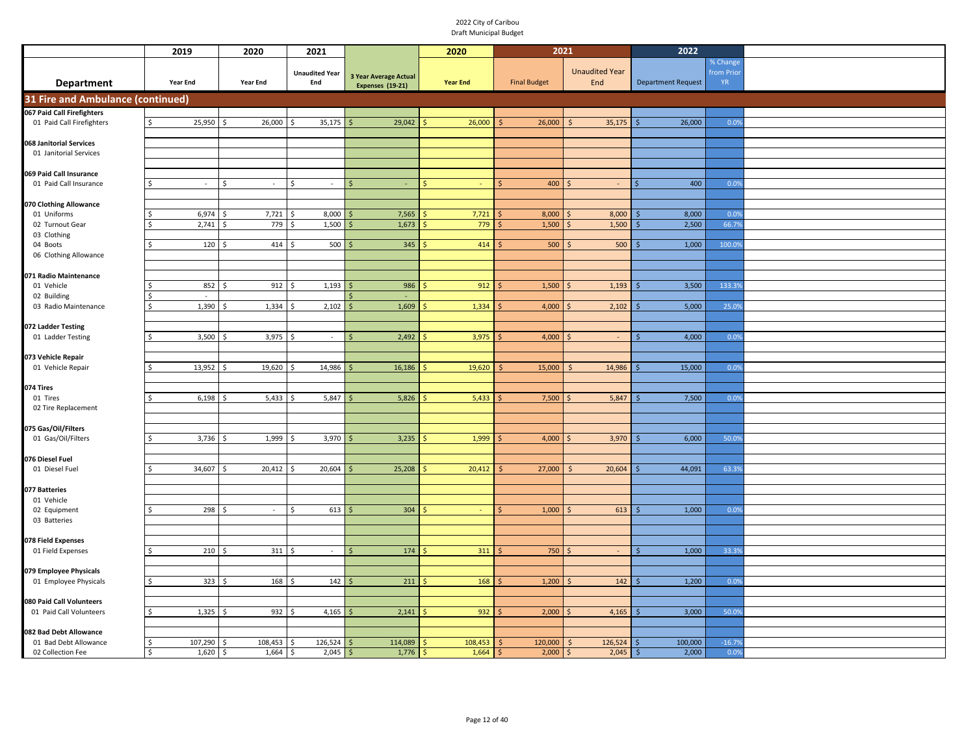|                                                 | 2019           | 2020                | 2021                         |                              | 2020            | 2021                |                              | 2022                      |                        |  |
|-------------------------------------------------|----------------|---------------------|------------------------------|------------------------------|-----------------|---------------------|------------------------------|---------------------------|------------------------|--|
|                                                 |                |                     |                              |                              |                 |                     |                              |                           | % Change               |  |
|                                                 | Year End       | Year End            | <b>Unaudited Year</b><br>End | <b>3 Year Average Actual</b> | <b>Year End</b> | <b>Final Budget</b> | <b>Unaudited Year</b><br>End | <b>Department Request</b> | from Prio<br><b>YR</b> |  |
| <b>Department</b>                               |                |                     |                              | <b>Expenses (19-21)</b>      |                 |                     |                              |                           |                        |  |
| 31 Fire and Ambulance (continued)               |                |                     |                              |                              |                 |                     |                              |                           |                        |  |
| 067 Paid Call Firefighters                      |                |                     |                              |                              |                 |                     |                              |                           |                        |  |
| 01 Paid Call Firefighters                       | 25,950<br>\$   | 26,000              | 35,175                       | 29,042                       | 26,000          | 26,000              | 35,175                       | 26,000                    | 0.0%                   |  |
|                                                 |                |                     |                              |                              |                 |                     |                              |                           |                        |  |
| 068 Janitorial Services                         |                |                     |                              |                              |                 |                     |                              |                           |                        |  |
| 01 Janitorial Services                          |                |                     |                              |                              |                 |                     |                              |                           |                        |  |
| 069 Paid Call Insurance                         |                |                     |                              |                              |                 |                     |                              |                           |                        |  |
| 01 Paid Call Insurance                          | Ŝ<br>$\sim$    | \$<br>$\sim$        | Ś<br>$\sim$                  | $\overline{\phantom{a}}$     |                 | 400                 |                              | 400                       | 0.0%                   |  |
|                                                 |                |                     |                              |                              |                 |                     |                              |                           |                        |  |
| 070 Clothing Allowance                          |                |                     |                              |                              |                 |                     |                              |                           |                        |  |
| 01 Uniforms                                     | 6,974<br>Ś     | 7,721               | 8,000<br>Ś                   | 7,565                        | 7,721           | 8,000               | 8,000                        | 8,000                     | 0.09                   |  |
| 02 Turnout Gear                                 | 2,741<br>Ś     | 779<br>\$           | 1,500<br>Ś                   | 1,673                        | 779             | 1,500               | 1,500                        | 2,500                     | 66.79                  |  |
| 03 Clothing                                     |                |                     |                              |                              |                 |                     |                              |                           |                        |  |
| 04 Boots                                        | 120<br>Ś       | 414                 | 500<br>l \$                  | 345                          | 414             | 500                 | 500                          | 1,000                     | 100.09                 |  |
| 06 Clothing Allowance                           |                |                     |                              |                              |                 |                     |                              |                           |                        |  |
|                                                 |                |                     |                              |                              |                 |                     |                              |                           |                        |  |
| 071 Radio Maintenance                           |                |                     |                              |                              |                 |                     |                              |                           |                        |  |
| 01 Vehicle                                      | 852<br>Ś<br>÷. | 912<br>$\mathsf{S}$ | 1,193<br>l \$                | 986                          | 912             | 1,500               | 1,193                        | 3,500                     | 133.3%                 |  |
| 02 Building<br>03 Radio Maintenance             | 1,390<br>Ŝ.    | 1,334<br>.S         | 2,102<br>Ŝ.                  | 1,609                        | 1,334           | 4,000               | 2,102                        | 5,000                     | 25.0%                  |  |
|                                                 |                |                     |                              |                              |                 |                     |                              |                           |                        |  |
| 072 Ladder Testing                              |                |                     |                              |                              |                 |                     |                              |                           |                        |  |
| 01 Ladder Testing                               | 3,500<br>\$    | 3,975<br>Ŝ.         | \$<br>$\sim$                 | 2,492<br>\$.                 | 3,975           | 4,000               | Ŝ.<br>$\sim$                 | 4,000<br>Š.               | 0.0%                   |  |
|                                                 |                |                     |                              |                              |                 |                     |                              |                           |                        |  |
| 073 Vehicle Repair                              |                |                     |                              |                              |                 |                     |                              |                           |                        |  |
| 01 Vehicle Repair                               | 13,952<br>\$   | 19,620              | 14,986                       | 16,186                       | 19,620          | 15,000              | 14,986                       | 15,000                    | 0.0%                   |  |
|                                                 |                |                     |                              |                              |                 |                     |                              |                           |                        |  |
| 074 Tires                                       |                |                     |                              |                              |                 |                     |                              |                           |                        |  |
| 01 Tires                                        | 6,198<br>Ŝ.    | 5,433<br>.S         | 5,847<br>۱\$                 | 5,826                        | 5,433           | 7,500               | 5,847                        | 7,500                     | 0.09                   |  |
| 02 Tire Replacement                             |                |                     |                              |                              |                 |                     |                              |                           |                        |  |
|                                                 |                |                     |                              |                              |                 |                     |                              |                           |                        |  |
| 075 Gas/Oil/Filters<br>01 Gas/Oil/Filters       | 3,736<br>S     | 1,999<br>Ś          | 3,970                        | 3,235                        | 1,999           | 4,000               | 3,970                        | 6,000                     | 50.09                  |  |
|                                                 |                |                     |                              |                              |                 |                     |                              |                           |                        |  |
| 076 Diesel Fuel                                 |                |                     |                              |                              |                 |                     |                              |                           |                        |  |
| 01 Diesel Fuel                                  | 34,607<br>¢    | 20,412              | 20,604<br>Ś                  | 25,208                       | 20,412          | 27,000              | 20,604                       | 44,091                    | 63.39                  |  |
|                                                 |                |                     |                              |                              |                 |                     |                              |                           |                        |  |
| 077 Batteries                                   |                |                     |                              |                              |                 |                     |                              |                           |                        |  |
| 01 Vehicle                                      |                |                     |                              |                              |                 |                     |                              |                           |                        |  |
| 02 Equipment                                    | 298<br>\$      | Ŝ.<br>$\sim$        | 613<br>$\ddot{\circ}$        | 304                          |                 | 1,000<br>$\zeta$    | 613                          | 1,000                     | 0.0%                   |  |
| 03 Batteries                                    |                |                     |                              |                              |                 |                     |                              |                           |                        |  |
|                                                 |                |                     |                              |                              |                 |                     |                              |                           |                        |  |
| 078 Field Expenses                              |                |                     |                              |                              |                 |                     |                              |                           |                        |  |
| 01 Field Expenses                               | 210<br>$\zeta$ | 311<br>- Ś          | \$ ا<br>$\sim$               | 174                          | 311             | 750                 | $\sim$<br>$\zeta$            | 1,000                     | 33.39                  |  |
|                                                 |                |                     |                              |                              |                 |                     |                              |                           |                        |  |
| 079 Employee Physicals<br>01 Employee Physicals | 323<br>\$      | 168<br>Ŝ.           | 142<br>۱\$                   | 211                          | 168             | 1,200               | 142                          | 1,200                     | 0.0%                   |  |
|                                                 |                |                     |                              |                              |                 |                     |                              |                           |                        |  |
| 080 Paid Call Volunteers                        |                |                     |                              |                              |                 |                     |                              |                           |                        |  |
| 01 Paid Call Volunteers                         | 1,325<br>\$    | 932<br>-\$          | 4,165<br>۱\$                 | 2,141                        | 932             | 2,000               | 4,165                        | 3,000                     | 50.09                  |  |
|                                                 |                |                     |                              |                              |                 |                     |                              |                           |                        |  |
| 082 Bad Debt Allowance                          |                |                     |                              |                              |                 |                     |                              |                           |                        |  |
| 01 Bad Debt Allowance                           | 107,290<br>\$  | 108,453             | 126,524                      | 114,089                      | 108,453         | 120,000             | 126,524                      | 100,000                   | $-16.7%$               |  |
| 02 Collection Fee                               | \$<br>1,620    | $1,664$ \$<br>  \$  | 2,045                        | 1,776<br>Ś                   | 1,664           | 2,000<br>\$         | 2,045<br>S                   | 2,000                     | 0.0%                   |  |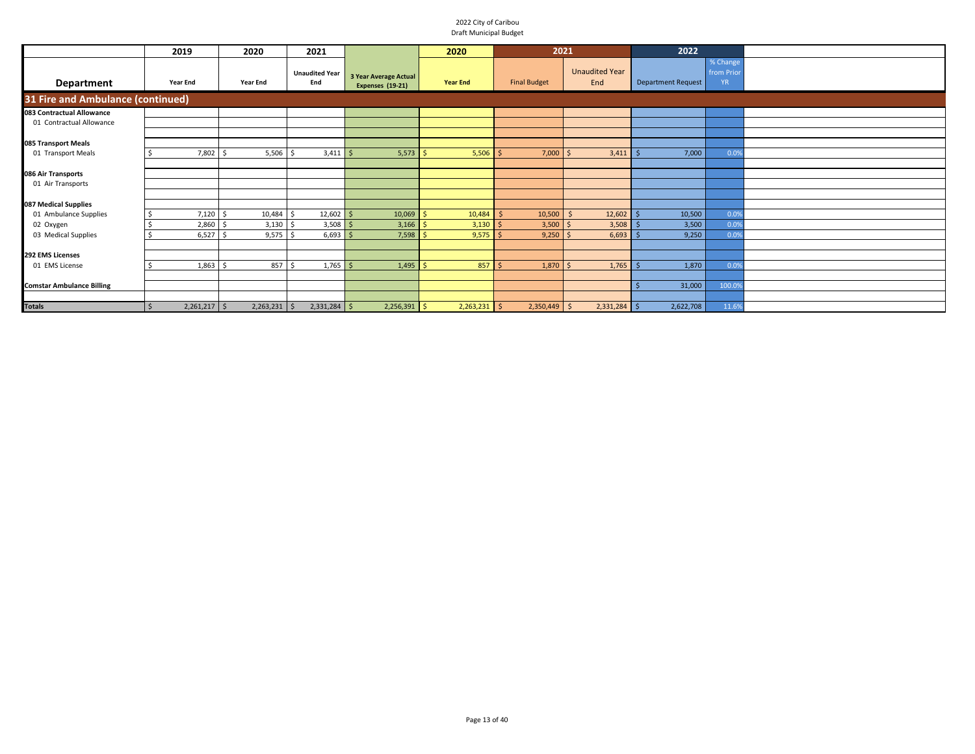|                                   | 2019            | 2020           | 2021                         |                                           | 2020            | 2021                |                              | 2022                      |                                     |  |
|-----------------------------------|-----------------|----------------|------------------------------|-------------------------------------------|-----------------|---------------------|------------------------------|---------------------------|-------------------------------------|--|
| Department                        | <b>Year End</b> | Year End       | <b>Unaudited Year</b><br>End | 3 Year Average Actual<br>Expenses (19-21) | <b>Year End</b> | <b>Final Budget</b> | <b>Unaudited Year</b><br>End | <b>Department Request</b> | % Change<br>from Prior<br><b>YR</b> |  |
| 31 Fire and Ambulance (continued) |                 |                |                              |                                           |                 |                     |                              |                           |                                     |  |
| 083 Contractual Allowance         |                 |                |                              |                                           |                 |                     |                              |                           |                                     |  |
| 01 Contractual Allowance          |                 |                |                              |                                           |                 |                     |                              |                           |                                     |  |
|                                   |                 |                |                              |                                           |                 |                     |                              |                           |                                     |  |
| 085 Transport Meals               |                 |                |                              |                                           |                 |                     |                              |                           |                                     |  |
| 01 Transport Meals                | 7,802           | 5,506          | $3,411$ \$                   | 5,573                                     | $5,506$ \$      | 7,000               | 3,411<br>S.                  | 7,000                     | 0.0%                                |  |
|                                   |                 |                |                              |                                           |                 |                     |                              |                           |                                     |  |
| 086 Air Transports                |                 |                |                              |                                           |                 |                     |                              |                           |                                     |  |
| 01 Air Transports                 |                 |                |                              |                                           |                 |                     |                              |                           |                                     |  |
|                                   |                 |                |                              |                                           |                 |                     |                              |                           |                                     |  |
| 087 Medical Supplies              |                 |                |                              |                                           |                 |                     |                              |                           |                                     |  |
| 01 Ambulance Supplies             | $7,120$ \$      | 10,484         | $12,602$ \$                  | 10,069                                    | 10,484          | 10,500              | 12,602                       | 10,500                    | 0.0%                                |  |
| 02 Oxygen                         | 2,860           | 3,130          | 3,508                        | 3,166                                     | 3,130           | 3,500               | 3,508<br><sup>5</sup>        | 3,500                     | 0.0%                                |  |
| 03 Medical Supplies               | 6,527           | 9,575          | 6,693                        | 7,598                                     | 9,575           | 9,250               | 6,693<br><sup>\$</sup>       | 9,250                     | 0.0%                                |  |
|                                   |                 |                |                              |                                           |                 |                     |                              |                           |                                     |  |
| 292 EMS Licenses                  |                 |                |                              |                                           |                 |                     |                              |                           |                                     |  |
| 01 EMS License                    | 1,863           | 857            | $1,765$ \$                   | $1,495$ \$                                | $857$ \$        | 1,870               | 1,765<br>$\mathsf{S}$        | 1,870                     | 0.0%                                |  |
|                                   |                 |                |                              |                                           |                 |                     |                              |                           |                                     |  |
| <b>Comstar Ambulance Billing</b>  |                 |                |                              |                                           |                 |                     |                              | 31,000                    | 100.09                              |  |
|                                   |                 |                |                              |                                           |                 |                     |                              |                           |                                     |  |
| <b>Totals</b>                     | $2,261,217$ \$  | $2,263,231$ \$ | $2,331,284$ \$               | $2,256,391$ \$                            | $2,263,231$ \$  | $2,350,449$ \$      | $2,331,284$ \$               | 2,622,708                 | 11.6%                               |  |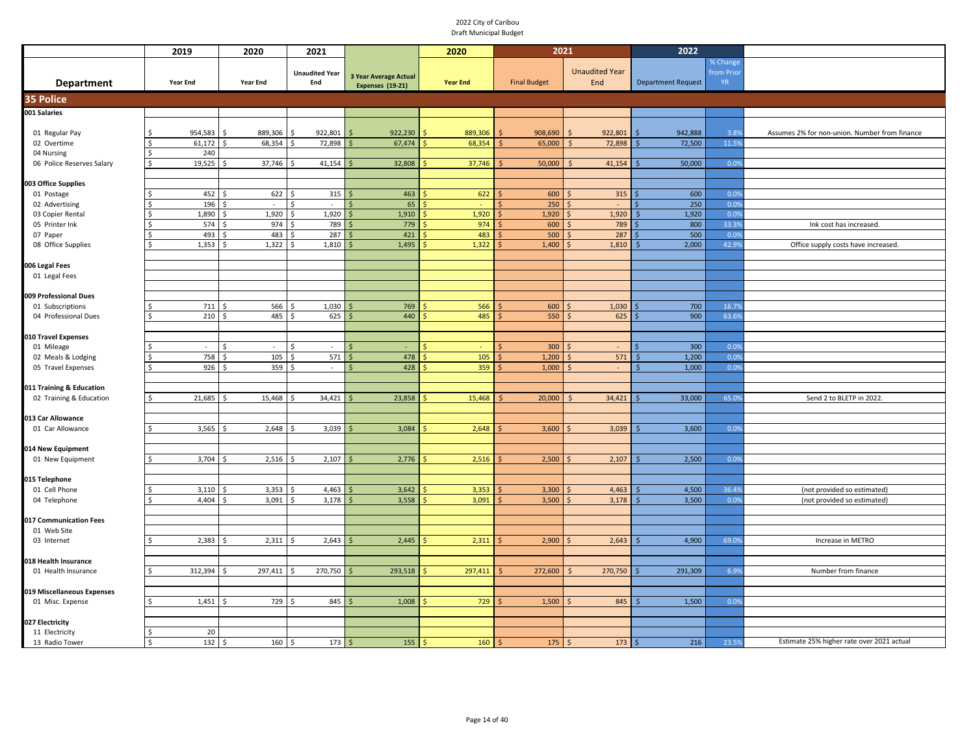|                                          | 2019             | 2020                     | 2021                     |                              | 2020            | 2021                |                               | 2022                      |              |                                               |
|------------------------------------------|------------------|--------------------------|--------------------------|------------------------------|-----------------|---------------------|-------------------------------|---------------------------|--------------|-----------------------------------------------|
|                                          |                  |                          |                          |                              |                 |                     |                               |                           | % Change     |                                               |
|                                          |                  |                          | <b>Unaudited Year</b>    | <b>3 Year Average Actual</b> |                 |                     | <b>Unaudited Year</b>         |                           | from Prior   |                                               |
| <b>Department</b>                        | <b>Year End</b>  | <b>Year End</b>          | End                      | Expenses (19-21)             | <b>Year End</b> | <b>Final Budget</b> | End                           | <b>Department Request</b> | <b>YR</b>    |                                               |
| <b>35 Police</b>                         |                  |                          |                          |                              |                 |                     |                               |                           |              |                                               |
| 001 Salaries                             |                  |                          |                          |                              |                 |                     |                               |                           |              |                                               |
|                                          |                  |                          |                          |                              |                 |                     |                               |                           |              |                                               |
| 01 Regular Pay                           | 954,583          | 889,306                  | 922,801                  | 922,230                      | 889,306         | 908,690             | 922,801                       | 942,888                   | 3.8%         | Assumes 2% for non-union. Number from finance |
| 02 Overtime                              | 61,172           | 68,354<br>Ś,             | 72,898                   | 67,474                       | 68,354          | 65,000              | 72,898<br>-Ś                  | 72,500                    | 11.5%        |                                               |
| 04 Nursing                               | 240              |                          |                          |                              |                 |                     |                               |                           |              |                                               |
| 06 Police Reserves Salary                | 19,525<br>Ś      | 37,746                   | 41,154                   | 32,808                       | 37,746          | 50,000              | 41,154                        | 50,000                    | 0.0%         |                                               |
| 003 Office Supplies                      |                  |                          |                          |                              |                 |                     |                               |                           |              |                                               |
| 01 Postage                               | 452              | 622                      | 315                      | 463                          | 622             | 600                 | 315                           | 600                       | 0.0%         |                                               |
| 02 Advertising                           | 196              | $\overline{\phantom{a}}$ | $\overline{\phantom{a}}$ | 65                           |                 | 250                 |                               | 250                       | 0.0%         |                                               |
| 03 Copier Rental                         | 1,890            | 1,920                    | 1,920                    | 1,910                        | 1,920           | 1,920               | 1,920                         | 1,920                     | 0.0%         |                                               |
| 05 Printer Ink                           | 574              | 974                      | 789                      | 779                          | 974             | 600                 | 789                           | 800                       | 33.39        | Ink cost has increased.                       |
| 07 Paper                                 | 493              | 483                      | 287                      | 421                          | 483             | 500                 | 287                           | 500                       | 0.0%         |                                               |
| 08 Office Supplies                       | 1,353            | 1,322                    | 1,810                    | 1,495                        | 1,322           | 1,400               | 1,810                         | 2,000                     | 42.9%        | Office supply costs have increased.           |
|                                          |                  |                          |                          |                              |                 |                     |                               |                           |              |                                               |
| 006 Legal Fees<br>01 Legal Fees          |                  |                          |                          |                              |                 |                     |                               |                           |              |                                               |
|                                          |                  |                          |                          |                              |                 |                     |                               |                           |              |                                               |
| 009 Professional Dues                    |                  |                          |                          |                              |                 |                     |                               |                           |              |                                               |
| 01 Subscriptions                         | 711<br>Ś.        | 566<br>-S                | 1,030<br>-\$             | 769                          | 566             | 600                 | 1,030                         | 700                       | 16.79        |                                               |
| 04 Professional Dues                     | 210              | 485<br>-Ś                | 625<br>Ŝ.                | 440                          | 485             | 550                 | 625                           | 900                       | 63.69        |                                               |
|                                          |                  |                          |                          |                              |                 |                     |                               |                           |              |                                               |
| 010 Travel Expenses                      |                  |                          |                          |                              |                 |                     |                               |                           |              |                                               |
| 01 Mileage                               | Ś.<br>$\sim$     | \$<br>$\sim$             | \$<br>$\sim$<br>571      | 478                          |                 | 300                 |                               | 300                       | 0.0%         |                                               |
| 02 Meals & Lodging<br>05 Travel Expenses | 758<br>926<br>Ś. | 105<br>Ŝ.<br>359<br>-Ś   | \$<br>\$<br>$\sim$       | \$.<br>428<br>Ś              | 105<br>359      | 1,200<br>1,000      | 571<br><sup>5</sup><br>$\sim$ | 1,200<br>.S<br>1,000<br>Ś | 0.0%<br>0.09 |                                               |
|                                          |                  |                          |                          |                              |                 |                     |                               |                           |              |                                               |
| 011 Training & Education                 |                  |                          |                          |                              |                 |                     |                               |                           |              |                                               |
| 02 Training & Education                  | 21,685<br>Ś      | 15,468<br>Ŝ              | 34,421                   | 23,858                       | 15,468          | 20,000              | 34,421                        | 33,000                    | 65.09        | Send 2 to BLETP in 2022.                      |
|                                          |                  |                          |                          |                              |                 |                     |                               |                           |              |                                               |
| 013 Car Allowance                        |                  |                          |                          |                              |                 |                     |                               |                           |              |                                               |
| 01 Car Allowance                         | 3,565<br>Ś.      | 2,648<br>-Ś              | 3,039<br>Ŝ               | 3,084                        | 2,648           | 3,600               | 3,039                         | 3,600                     | 0.0%         |                                               |
|                                          |                  |                          |                          |                              |                 |                     |                               |                           |              |                                               |
| 014 New Equipment<br>01 New Equipment    | 3,704            | 2,516                    | 2,107                    | 2,776                        | 2,516           | 2,500               | 2,107                         | 2,500                     | 0.0%         |                                               |
|                                          |                  |                          |                          |                              |                 |                     |                               |                           |              |                                               |
| 015 Telephone                            |                  |                          |                          |                              |                 |                     |                               |                           |              |                                               |
| 01 Cell Phone                            | 3,110            | 3,353                    | 4,463<br>-Ś              | 3,642                        | 3,353           | 3,300               | 4,463                         | 4,500                     | 36.49        | (not provided so estimated)                   |
| 04 Telephone                             | 4,404            | 3,091                    | 3,178                    | 3,558                        | 3,091           | 3,500               | 3,178                         | 3,500                     | 0.0%         | (not provided so estimated)                   |
|                                          |                  |                          |                          |                              |                 |                     |                               |                           |              |                                               |
| 017 Communication Fees                   |                  |                          |                          |                              |                 |                     |                               |                           |              |                                               |
| 01 Web Site                              |                  |                          |                          |                              |                 |                     |                               |                           |              |                                               |
| 03 Internet                              | 2,383            | 2,311<br>-Ś              | 2,643<br>Ŝ               | 2,445                        | 2,311           | 2,900               | 2,643                         | 4,900                     | 69.0%        | Increase in METRO                             |
| 018 Health Insurance                     |                  |                          |                          |                              |                 |                     |                               |                           |              |                                               |
| 01 Health Insurance                      | 312,394<br>ς     | 297,411<br>S,            | 270,750                  | 293,518                      | 297,411         | 272,600             | 270,750<br>.S                 | 291,309                   | 6.9%         | Number from finance                           |
|                                          |                  |                          |                          |                              |                 |                     |                               |                           |              |                                               |
| 019 Miscellaneous Expenses               |                  |                          |                          |                              |                 |                     |                               |                           |              |                                               |
| 01 Misc. Expense                         | 1,451<br>Ś.      | 729<br>-Ś                | 845<br>\$                | 1,008                        | 729             | 1,500               | 845                           | 1,500                     | 0.0%         |                                               |
|                                          |                  |                          |                          |                              |                 |                     |                               |                           |              |                                               |
| 027 Electricity                          |                  |                          |                          |                              |                 |                     |                               |                           |              |                                               |
| 11 Electricity                           | 20               |                          |                          |                              |                 |                     |                               |                           |              | Estimate 25% higher rate over 2021 actual     |
| 13 Radio Tower                           | 132<br>Ś         | ۱\$<br>160               | 173<br>\$                | 155                          | 160             | 175                 | 173                           | 216                       | 23.59        |                                               |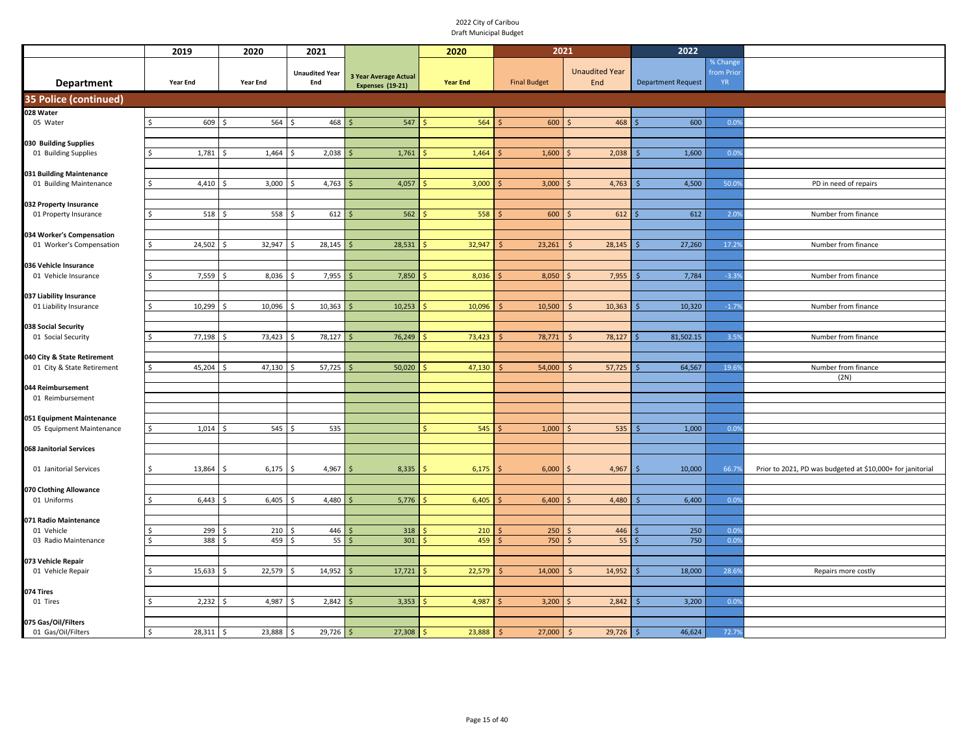|                                                   | 2019            | 2020                           | 2021                         |                                                         | 2020            | 2021                |                              | 2022                      |                                    |                                                            |
|---------------------------------------------------|-----------------|--------------------------------|------------------------------|---------------------------------------------------------|-----------------|---------------------|------------------------------|---------------------------|------------------------------------|------------------------------------------------------------|
| <b>Department</b>                                 | <b>Year End</b> | Year End                       | <b>Unaudited Year</b><br>End | <b>3 Year Average Actual</b><br><b>Expenses (19-21)</b> | <b>Year End</b> | <b>Final Budget</b> | <b>Unaudited Year</b><br>End | <b>Department Request</b> | % Change<br>from Prio<br><b>YR</b> |                                                            |
| <b>35 Police (continued)</b>                      |                 |                                |                              |                                                         |                 |                     |                              |                           |                                    |                                                            |
| 028 Water                                         |                 |                                |                              |                                                         |                 |                     |                              |                           |                                    |                                                            |
| 05 Water                                          | 609<br>Ś.       | 564<br>Ŝ.                      | 468<br><sup>\$</sup>         | 547                                                     | 564             | 600                 | 468                          | 600                       | 0.09                               |                                                            |
|                                                   |                 |                                |                              |                                                         |                 |                     |                              |                           |                                    |                                                            |
| 030 Building Supplies                             |                 |                                |                              |                                                         |                 |                     |                              |                           |                                    |                                                            |
| 01 Building Supplies                              | 1,781<br>Ś.     | 1,464<br>-\$                   | 2,038<br>Ŝ.                  | 1,761                                                   | 1,464           | 1,600               | 2,038                        | 1,600                     | 0.09                               |                                                            |
| 031 Building Maintenance                          |                 |                                |                              |                                                         |                 |                     |                              |                           |                                    |                                                            |
| 01 Building Maintenance                           | 4,410<br>Ŝ.     | 3,000                          | 4,763<br>\$                  | 4,057                                                   | 3,000           | 3,000               | 4,763                        | 4,500                     | 50.09                              | PD in need of repairs                                      |
|                                                   |                 |                                |                              |                                                         |                 |                     |                              |                           |                                    |                                                            |
| 032 Property Insurance                            |                 |                                |                              |                                                         |                 |                     |                              |                           |                                    |                                                            |
| 01 Property Insurance                             | Ś.<br>518       | 558                            | 612<br><sup>\$</sup>         | 562                                                     | 558             | 600                 | 612                          | 612                       | 2.09                               | Number from finance                                        |
| 034 Worker's Compensation                         |                 |                                |                              |                                                         |                 |                     |                              |                           |                                    |                                                            |
| 01 Worker's Compensation                          | 24,502<br>\$    | 32,947                         | 28,145<br>Ś                  | 28,531                                                  | 32,947          | 23,261              | 28,145                       | 27,260                    | 17.29                              | Number from finance                                        |
|                                                   |                 |                                |                              |                                                         |                 |                     |                              |                           |                                    |                                                            |
| 036 Vehicle Insurance                             |                 |                                |                              |                                                         |                 |                     |                              |                           |                                    |                                                            |
| 01 Vehicle Insurance                              | 7,559<br>\$     | 8,036<br>$\breve{\phantom{1}}$ | 7,955<br><sup>\$</sup>       | 7,850                                                   | 8,036           | 8,050               | 7,955                        | 7,784                     | $-3.3%$                            | Number from finance                                        |
|                                                   |                 |                                |                              |                                                         |                 |                     |                              |                           |                                    |                                                            |
| 037 Liability Insurance<br>01 Liability Insurance | 10,299<br>Ŝ.    | 10,096                         | 10,363                       | 10,253                                                  | 10,096          | 10,500              | 10,363                       | 10,320                    | $-1.79$                            | Number from finance                                        |
|                                                   |                 |                                |                              |                                                         |                 |                     |                              |                           |                                    |                                                            |
| 038 Social Security                               |                 |                                |                              |                                                         |                 |                     |                              |                           |                                    |                                                            |
| 01 Social Security                                | 77,198<br>Ś.    | 73,423<br>Ŝ.                   | 78,127<br>- Ś                | 76,249                                                  | 73,423          | 78,771              | 78,127<br>- S                | 81,502.15                 | 3.5%                               | Number from finance                                        |
|                                                   |                 |                                |                              |                                                         |                 |                     |                              |                           |                                    |                                                            |
| 040 City & State Retirement                       |                 |                                |                              |                                                         |                 |                     |                              |                           |                                    |                                                            |
| 01 City & State Retirement                        | 45,204<br>ς.    | 47,130                         | 57,725                       | 50,020                                                  | 47,130          | 54,000              | 57,725                       | 64,567                    | 19.69                              | Number from finance<br>(2N)                                |
| 044 Reimbursement                                 |                 |                                |                              |                                                         |                 |                     |                              |                           |                                    |                                                            |
| 01 Reimbursement                                  |                 |                                |                              |                                                         |                 |                     |                              |                           |                                    |                                                            |
|                                                   |                 |                                |                              |                                                         |                 |                     |                              |                           |                                    |                                                            |
| 051 Equipment Maintenance                         |                 |                                |                              |                                                         |                 |                     |                              |                           |                                    |                                                            |
| 05 Equipment Maintenance                          | 1,014<br>\$     | 545<br><sup>\$</sup>           | -\$<br>535                   |                                                         | 545             | 1,000               | 535                          | 1,000                     | 0.09                               |                                                            |
| 068 Janitorial Services                           |                 |                                |                              |                                                         |                 |                     |                              |                           |                                    |                                                            |
|                                                   |                 |                                |                              |                                                         |                 |                     |                              |                           |                                    |                                                            |
| 01 Janitorial Services                            | 13,864<br>Ŝ.    | 6,175<br>-Ś                    | $4,967$ \$<br>- Ś            | 8,335                                                   | 6,175           | 6,000               | 4,967                        | 10,000<br>-Ś              | 66.79                              | Prior to 2021, PD was budgeted at \$10,000+ for janitorial |
|                                                   |                 |                                |                              |                                                         |                 |                     |                              |                           |                                    |                                                            |
| 070 Clothing Allowance                            |                 |                                |                              |                                                         |                 |                     |                              |                           |                                    |                                                            |
| 01 Uniforms                                       | 6,443           | 6,405                          | 4,480<br>Ś                   | 5,776                                                   | 6,405           | 6,400               | 4,480                        | 6,400                     | 0.0%                               |                                                            |
| 071 Radio Maintenance                             |                 |                                |                              |                                                         |                 |                     |                              |                           |                                    |                                                            |
| 01 Vehicle                                        | 299             | 210                            | 446                          | 318                                                     | 210             | 250                 | 446                          | 250                       | 0.09                               |                                                            |
| 03 Radio Maintenance                              | 388<br>Ś        | 459                            | 55<br>.S                     | 301<br>Ś                                                | 459             | 750                 | 55<br>-S                     | 750                       | 0.09                               |                                                            |
|                                                   |                 |                                |                              |                                                         |                 |                     |                              |                           |                                    |                                                            |
| 073 Vehicle Repair                                |                 |                                |                              |                                                         |                 |                     |                              |                           |                                    |                                                            |
| 01 Vehicle Repair                                 | 15,633          | 22,579<br>-Ś                   | 14,952<br>.\$                | 17,721                                                  | 22,579          | 14,000              | 14,952                       | 18,000                    | 28.69                              | Repairs more costly                                        |
| 074 Tires                                         |                 |                                |                              |                                                         |                 |                     |                              |                           |                                    |                                                            |
| 01 Tires                                          | 2,232           | 4,987                          | 2,842                        | 3,353                                                   | 4,987           | 3,200               | 2,842                        | 3,200                     | 0.09                               |                                                            |
|                                                   |                 |                                |                              |                                                         |                 |                     |                              |                           |                                    |                                                            |
| 075 Gas/Oil/Filters                               |                 |                                |                              |                                                         |                 |                     |                              |                           |                                    |                                                            |
| 01 Gas/Oil/Filters                                | 28,311<br>Ś.    | 23,888<br>l s                  | 29,726<br>-\$                | 27,308<br>Ś                                             | 23,888          | 27,000              | 29,726<br>-Ś                 | 46,624                    | 72.79                              |                                                            |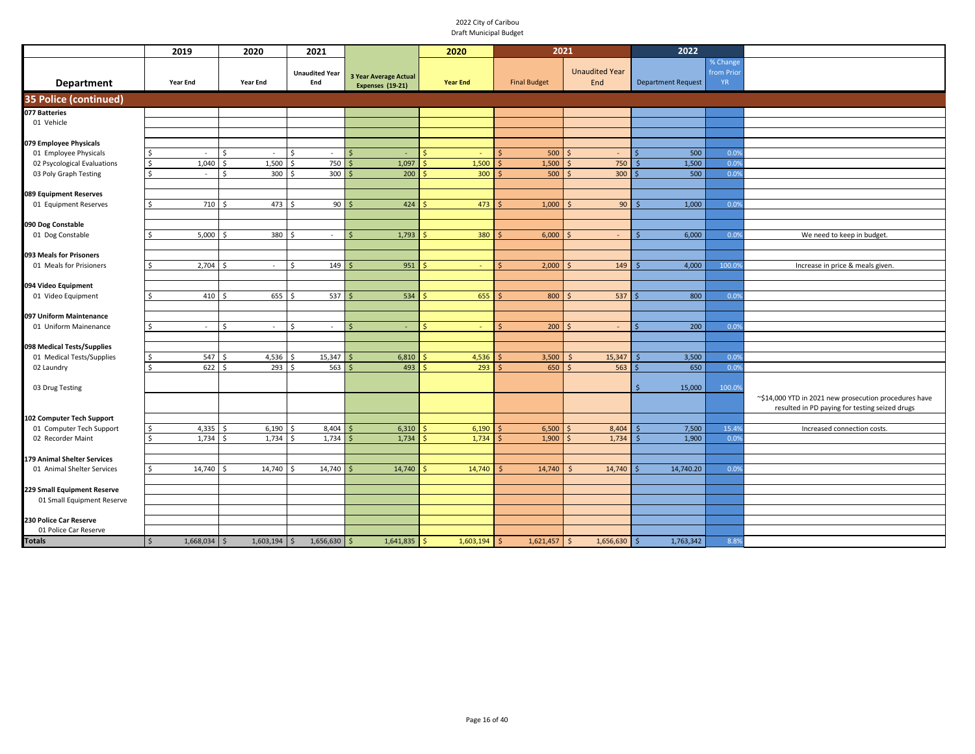|                                                 |                     | 2019           | 2020                  |                              | 2021                         |               |                                                  | 2020            |    | 2021                |            |                              | 2022                      |                                    |                                                                                                         |
|-------------------------------------------------|---------------------|----------------|-----------------------|------------------------------|------------------------------|---------------|--------------------------------------------------|-----------------|----|---------------------|------------|------------------------------|---------------------------|------------------------------------|---------------------------------------------------------------------------------------------------------|
| Department                                      |                     | Year End       | Year End              |                              | <b>Unaudited Year</b><br>End |               | 3 Year Average Actual<br><b>Expenses (19-21)</b> | <b>Year End</b> |    | <b>Final Budget</b> |            | <b>Unaudited Year</b><br>End | <b>Department Request</b> | % Change<br>from Prio<br><b>YR</b> |                                                                                                         |
| 35 Police (continued)                           |                     |                |                       |                              |                              |               |                                                  |                 |    |                     |            |                              |                           |                                    |                                                                                                         |
| 077 Batteries                                   |                     |                |                       |                              |                              |               |                                                  |                 |    |                     |            |                              |                           |                                    |                                                                                                         |
| 01 Vehicle                                      |                     |                |                       |                              |                              |               |                                                  |                 |    |                     |            |                              |                           |                                    |                                                                                                         |
|                                                 |                     |                |                       |                              |                              |               |                                                  |                 |    |                     |            |                              |                           |                                    |                                                                                                         |
| 079 Employee Physicals<br>01 Employee Physicals | Ś                   | $\sim$         | \$                    | \$<br>$\sim$                 | $\sim$                       | $\vert$ \$    | ×.                                               | $\sim$          |    | 500                 |            | $\sim$                       | 500                       | 0.09                               |                                                                                                         |
| 02 Psycological Evaluations                     | $\ddot{\mathsf{S}}$ | 1,040          | \$                    | 1,500<br><sup>\$</sup>       | 750 \$                       |               | 1,097                                            | 1,500           | S. | 1,500               | -Ś         | 750                          | 1,500                     | 0.09                               |                                                                                                         |
| 03 Poly Graph Testing                           | $\mathsf{\hat{S}}$  | $\sim$         | $\hat{\zeta}$         | 300<br><sup>\$</sup>         | 300                          | l \$          | 200                                              | 300             | S. | 500                 | -Ś         | 300                          | 500                       | 0.09                               |                                                                                                         |
|                                                 |                     |                |                       |                              |                              |               |                                                  |                 |    |                     |            |                              |                           |                                    |                                                                                                         |
| 089 Equipment Reserves                          |                     |                |                       |                              |                              |               |                                                  |                 |    |                     |            |                              |                           |                                    |                                                                                                         |
| 01 Equipment Reserves                           | Ŝ.                  | 710            | .\$                   | 473<br>-Ś                    | 90                           | .\$           | 424                                              | 473             |    | 1,000               |            | 90                           | 1,000                     | 0.09                               |                                                                                                         |
|                                                 |                     |                |                       |                              |                              |               |                                                  |                 |    |                     |            |                              |                           |                                    |                                                                                                         |
| 090 Dog Constable<br>01 Dog Constable           |                     | 5,000          | $\breve{\phantom{1}}$ | 380<br>$\breve{\phantom{1}}$ | $\sim$                       | <sup>\$</sup> | 1,793                                            | 380             |    | 6,000               |            | $\sim$                       | 6,000                     | 0.09                               | We need to keep in budget.                                                                              |
|                                                 |                     |                |                       |                              |                              |               |                                                  |                 |    |                     |            |                              |                           |                                    |                                                                                                         |
| 093 Meals for Prisoners                         |                     |                |                       |                              |                              |               |                                                  |                 |    |                     |            |                              |                           |                                    |                                                                                                         |
| 01 Meals for Prisioners                         | Ŝ.                  | 2,704          | ¢                     | $\hat{\zeta}$<br>$\sim$      | 149                          |               | 951                                              | $\sim$          |    | 2,000               |            | 149                          | 4,000                     | 100.0                              | Increase in price & meals given.                                                                        |
|                                                 |                     |                |                       |                              |                              |               |                                                  |                 |    |                     |            |                              |                           |                                    |                                                                                                         |
| 094 Video Equipment                             |                     |                |                       |                              |                              |               |                                                  |                 |    |                     |            |                              |                           |                                    |                                                                                                         |
| 01 Video Equipment                              | Ŝ.                  | 410            | -Ś                    | 655<br>.\$                   | 537S                         |               | 534                                              | 655             |    | 800                 |            | 537                          | 800                       | 0.09                               |                                                                                                         |
| 097 Uniform Maintenance                         |                     |                |                       |                              |                              |               |                                                  |                 |    |                     |            |                              |                           |                                    |                                                                                                         |
| 01 Uniform Mainenance                           | S.                  | $\sim$         | Ś                     | Ś<br>$\sim$                  | $\sim$                       | S.            | ٠                                                | ς<br>÷          | Ŝ. | 200                 |            | ÷.                           | 200                       | 0.09                               |                                                                                                         |
|                                                 |                     |                |                       |                              |                              |               |                                                  |                 |    |                     |            |                              |                           |                                    |                                                                                                         |
| 098 Medical Tests/Supplies                      |                     |                |                       |                              |                              |               |                                                  |                 |    |                     |            |                              |                           |                                    |                                                                                                         |
| 01 Medical Tests/Supplies                       | \$                  | 547            | $\zeta$               | 4,536                        | 15,347                       |               | 6,810                                            | 4,536           |    | 3,500               |            | 15,347                       | 3,500                     | 0.09                               |                                                                                                         |
| 02 Laundry                                      | $\mathsf{S}$        | 622            |                       | 293                          | 563                          |               | 493                                              | 293             |    | 650                 |            | 563                          | 650                       | 0.09                               |                                                                                                         |
|                                                 |                     |                |                       |                              |                              |               |                                                  |                 |    |                     |            |                              |                           |                                    |                                                                                                         |
| 03 Drug Testing                                 |                     |                |                       |                              |                              |               |                                                  |                 |    |                     |            |                              | 15,000                    | 100.09                             |                                                                                                         |
|                                                 |                     |                |                       |                              |                              |               |                                                  |                 |    |                     |            |                              |                           |                                    | ~\$14,000 YTD in 2021 new prosecution procedures have<br>resulted in PD paying for testing seized drugs |
| 102 Computer Tech Support                       |                     |                |                       |                              |                              |               |                                                  |                 |    |                     |            |                              |                           |                                    |                                                                                                         |
| 01 Computer Tech Support                        | $\mathsf{\hat{S}}$  | 4,335          |                       | 6,190                        | 8,404                        |               | 6,310                                            | 6,190           |    | 6,500               |            | 8,404                        | 7,500                     | 15.4%                              | Increased connection costs.                                                                             |
| 02 Recorder Maint                               | \$                  | 1,734          | .S                    | 1,734<br>.S                  | 1,734                        | Ś             | 1,734                                            | 1,734           |    | 1,900               |            | 1,734                        | 1,900                     | 0.0%                               |                                                                                                         |
|                                                 |                     |                |                       |                              |                              |               |                                                  |                 |    |                     |            |                              |                           |                                    |                                                                                                         |
| 179 Animal Shelter Services                     |                     |                |                       |                              |                              |               |                                                  |                 |    |                     |            |                              |                           |                                    |                                                                                                         |
| 01 Animal Shelter Services                      |                     | 14,740         | 14,740                |                              | 14,740                       |               | 14,740                                           | 14,740          |    | 14,740              |            | 14,740                       | 14,740.20                 | 0.09                               |                                                                                                         |
| 229 Small Equipment Reserve                     |                     |                |                       |                              |                              |               |                                                  |                 |    |                     |            |                              |                           |                                    |                                                                                                         |
| 01 Small Equipment Reserve                      |                     |                |                       |                              |                              |               |                                                  |                 |    |                     |            |                              |                           |                                    |                                                                                                         |
|                                                 |                     |                |                       |                              |                              |               |                                                  |                 |    |                     |            |                              |                           |                                    |                                                                                                         |
| 230 Police Car Reserve                          |                     |                |                       |                              |                              |               |                                                  |                 |    |                     |            |                              |                           |                                    |                                                                                                         |
| 01 Police Car Reserve                           |                     |                |                       |                              |                              |               |                                                  |                 |    |                     |            |                              |                           |                                    |                                                                                                         |
| <b>Totals</b>                                   | $\sqrt{5}$          | $1,668,034$ \$ | $1,603,194$ \$        |                              | $1,656,630$ \$               |               | $1,641,835$ \$                                   | $1,603,194$ \$  |    | 1,621,457           | $\vert$ \$ | $1,656,630$ \$               | 1,763,342                 | 8.8%                               |                                                                                                         |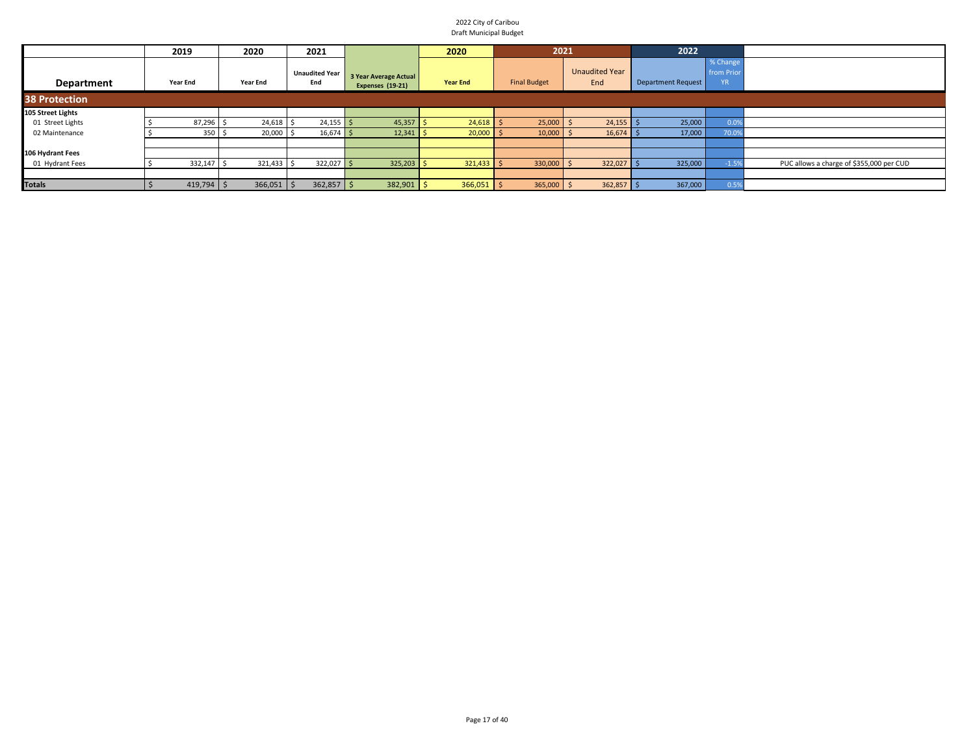|                      | 2019            |              | 2020            | 2021                         |                                           | 2020            | 2021                |                              | 2022                      |                                     |                                          |
|----------------------|-----------------|--------------|-----------------|------------------------------|-------------------------------------------|-----------------|---------------------|------------------------------|---------------------------|-------------------------------------|------------------------------------------|
| <b>Department</b>    | <b>Year End</b> |              | <b>Year End</b> | <b>Unaudited Year</b><br>End | 3 Year Average Actual<br>Expenses (19-21) | <b>Year End</b> | <b>Final Budget</b> | <b>Unaudited Year</b><br>End | <b>Department Request</b> | % Change<br>from Prior<br><b>YR</b> |                                          |
| <b>38 Protection</b> |                 |              |                 |                              |                                           |                 |                     |                              |                           |                                     |                                          |
| 105 Street Lights    |                 |              |                 |                              |                                           |                 |                     |                              |                           |                                     |                                          |
| 01 Street Lights     |                 | 87,296       | 24,618          | $24,155$ \$                  | 45,357                                    | 24,618          | 25,000              | 24,155                       | 25,000                    | 0.0                                 |                                          |
| 02 Maintenance       |                 | 350          | 20,000          | $16,674$ \$                  | 12,341                                    | 20,000          | 10,000              | 16,674                       | 17,000                    | 70.0                                |                                          |
|                      |                 |              |                 |                              |                                           |                 |                     |                              |                           |                                     |                                          |
| 106 Hydrant Fees     |                 |              |                 |                              |                                           |                 |                     |                              |                           |                                     |                                          |
| 01 Hydrant Fees      |                 | 332,147      | 321,433         | $322,027$ \$                 | $325,203$ \$                              | $321,433$ \$    | 330,000             | 322,027                      | 325,000                   |                                     | PUC allows a charge of \$355,000 per CUD |
|                      |                 |              |                 |                              |                                           |                 |                     |                              |                           |                                     |                                          |
| <b>Totals</b>        |                 | $419,794$ \$ | $366,051$ \$    | $362,857$ \$                 | 382,901                                   | $366,051$ \$    | 365,000             | 362,857                      | 367,000                   | 0.5'                                |                                          |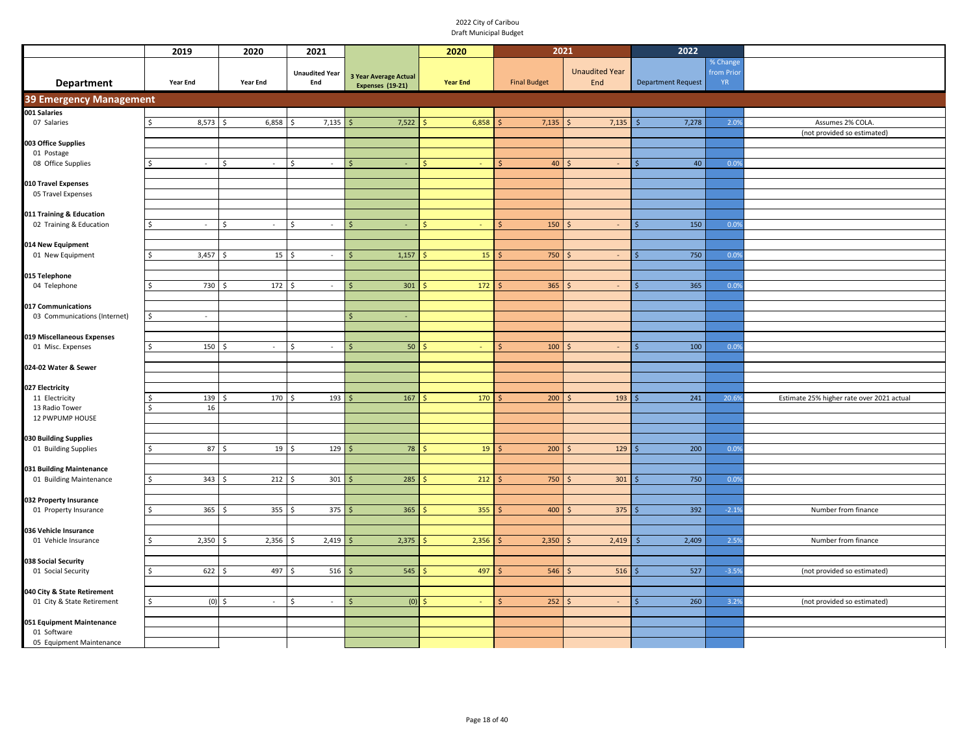|                                                 | 2019                         | 2020                           | 2021                            |                                                  | 2020            | 2021                    |                                 | 2022                      |                                     |                                           |
|-------------------------------------------------|------------------------------|--------------------------------|---------------------------------|--------------------------------------------------|-----------------|-------------------------|---------------------------------|---------------------------|-------------------------------------|-------------------------------------------|
| <b>Department</b>                               | Year End                     | Year End                       | <b>Unaudited Year</b><br>End    | 3 Year Average Actual<br><b>Expenses (19-21)</b> | <b>Year End</b> | <b>Final Budget</b>     | <b>Unaudited Year</b><br>End    | <b>Department Request</b> | % Change<br>from Prior<br><b>YR</b> |                                           |
| 39 Emergency Management                         |                              |                                |                                 |                                                  |                 |                         |                                 |                           |                                     |                                           |
| 001 Salaries                                    |                              |                                |                                 |                                                  |                 |                         |                                 |                           |                                     |                                           |
| 07 Salaries                                     | 8,573                        | 6,858                          | 7,135                           | 7,522                                            | 6,858           | 7,135                   | 7,135<br>$\zeta$                | 7,278                     | 2.0%                                | Assumes 2% COLA.                          |
|                                                 |                              |                                |                                 |                                                  |                 |                         |                                 |                           |                                     | (not provided so estimated)               |
| 003 Office Supplies<br>01 Postage               |                              |                                |                                 |                                                  |                 |                         |                                 |                           |                                     |                                           |
| 08 Office Supplies                              | Ś<br>$\omega$                | Ś<br>$\sim$                    | Ś<br>$\overline{\phantom{a}}$   | Ś                                                |                 | 40<br>Ś.                | -\$<br>$\overline{\phantom{a}}$ | 40                        | 0.0%                                |                                           |
|                                                 |                              |                                |                                 |                                                  |                 |                         |                                 |                           |                                     |                                           |
| 010 Travel Expenses                             |                              |                                |                                 |                                                  |                 |                         |                                 |                           |                                     |                                           |
| 05 Travel Expenses                              |                              |                                |                                 |                                                  |                 |                         |                                 |                           |                                     |                                           |
|                                                 |                              |                                |                                 |                                                  |                 |                         |                                 |                           |                                     |                                           |
| 011 Training & Education                        |                              |                                |                                 |                                                  |                 |                         |                                 |                           |                                     |                                           |
| 02 Training & Education                         | $\mathsf{\hat{S}}$<br>$\sim$ | $\mathsf{\hat{S}}$<br>$\omega$ | $\hat{\zeta}$<br>$\omega$       | $\mathsf{S}$<br>٠                                |                 | 150<br>$\mathsf{S}$     | -Ś<br>$\omega$                  | 150                       | 0.0%                                |                                           |
| 014 New Equipment                               |                              |                                |                                 |                                                  |                 |                         |                                 |                           |                                     |                                           |
| 01 New Equipment                                | 3,457<br>Ś                   | 15                             | $\sim$                          | 1,157<br>\$                                      | 15              | 750<br>-Ś               | $\sim$                          | 750                       | 0.09                                |                                           |
|                                                 |                              |                                |                                 |                                                  |                 |                         |                                 |                           |                                     |                                           |
| 015 Telephone                                   |                              |                                |                                 |                                                  |                 |                         |                                 |                           |                                     |                                           |
| 04 Telephone                                    | 730 \$                       | $172 \quad$ \$                 | $\overline{\phantom{a}}$        | 301<br>Ś                                         | 172             | 365                     | Ŝ<br>$\sim$                     | 365                       | 0.0%                                |                                           |
|                                                 |                              |                                |                                 |                                                  |                 |                         |                                 |                           |                                     |                                           |
| 017 Communications                              |                              |                                |                                 |                                                  |                 |                         |                                 |                           |                                     |                                           |
| 03 Communications (Internet)                    | \$<br>÷.                     |                                |                                 | $\zeta$                                          |                 |                         |                                 |                           |                                     |                                           |
| 019 Miscellaneous Expenses                      |                              |                                |                                 |                                                  |                 |                         |                                 |                           |                                     |                                           |
| 01 Misc. Expenses                               | \$<br>$150 \pm$              | $\sim$                         | \$<br>$\sim$                    | 50<br>$\mathsf{\hat{S}}$                         |                 | 100                     | $\sim$                          | 100                       | 0.0%                                |                                           |
|                                                 |                              |                                |                                 |                                                  |                 |                         |                                 |                           |                                     |                                           |
| 024-02 Water & Sewer                            |                              |                                |                                 |                                                  |                 |                         |                                 |                           |                                     |                                           |
|                                                 |                              |                                |                                 |                                                  |                 |                         |                                 |                           |                                     |                                           |
| 027 Electricity                                 |                              |                                |                                 |                                                  |                 |                         |                                 |                           |                                     |                                           |
| 11 Electricity                                  | 139                          | 170<br>-Ś                      | 193<br>.S                       | 167<br>Ś                                         | 170             | 200<br>Ś                | <sup>\$</sup><br>193            | 241                       | 20.69                               | Estimate 25% higher rate over 2021 actual |
| 13 Radio Tower<br>12 PWPUMP HOUSE               | 16<br>Ś                      |                                |                                 |                                                  |                 |                         |                                 |                           |                                     |                                           |
|                                                 |                              |                                |                                 |                                                  |                 |                         |                                 |                           |                                     |                                           |
| 030 Building Supplies                           |                              |                                |                                 |                                                  |                 |                         |                                 |                           |                                     |                                           |
| 01 Building Supplies                            | $87 \quad$ \$<br>\$          | 19                             | 129                             | 78<br>$\mathsf{S}$                               | 19<br><b>S</b>  | 200<br>$\mathsf{S}$     | 129<br>$\zeta$                  | 200                       | 0.09                                |                                           |
|                                                 |                              |                                |                                 |                                                  |                 |                         |                                 |                           |                                     |                                           |
| 031 Building Maintenance                        |                              |                                |                                 |                                                  |                 |                         |                                 |                           |                                     |                                           |
| 01 Building Maintenance                         | $343 \quad $5$<br>\$.        | $212 \quad$ \$                 | $301 \overline{\smash{\big)} }$ | 285                                              | 212<br><b>S</b> | $750 \, \text{S}$<br>-Ś | 301                             | 750                       | 0.0%                                |                                           |
|                                                 |                              |                                |                                 |                                                  |                 |                         |                                 |                           |                                     |                                           |
| 032 Property Insurance<br>01 Property Insurance | 365<br>Ŝ.                    | 355<br>l \$                    | 375<br>- Ś                      | 365<br>l \$                                      | 355             | 400<br><b>S</b>         | 375<br>-S                       | 392                       | $-2.1%$                             | Number from finance                       |
|                                                 |                              |                                |                                 |                                                  |                 |                         |                                 |                           |                                     |                                           |
| 036 Vehicle Insurance                           |                              |                                |                                 |                                                  |                 |                         |                                 |                           |                                     |                                           |
| 01 Vehicle Insurance                            | $\mathsf{\$}$<br>2,350       | 2,356                          | 2,419<br>-Ś                     | 2,375                                            | 2,356           | 2,350                   | 2,419                           | 2,409                     | 2.5%                                | Number from finance                       |
|                                                 |                              |                                |                                 |                                                  |                 |                         |                                 |                           |                                     |                                           |
| 038 Social Security                             |                              |                                |                                 |                                                  |                 |                         |                                 |                           |                                     |                                           |
| 01 Social Security                              | 622<br>$\mathsf{\hat{S}}$    | 497<br>$\mathsf{S}$            | 516<br><sup>\$</sup>            | 545                                              | 497             | 546                     | 516                             | 527                       | $-3.5%$                             | (not provided so estimated)               |
| 040 City & State Retirement                     |                              |                                |                                 |                                                  |                 |                         |                                 |                           |                                     |                                           |
| 01 City & State Retirement                      | Ś<br>$(0)$ \$                | $\sim$                         | .\$<br>$\sim$                   | (0)<br>$\mathsf{\hat{S}}$                        |                 | 252                     | $\sim$                          | 260                       | 3.2%                                | (not provided so estimated)               |
|                                                 |                              |                                |                                 |                                                  |                 |                         |                                 |                           |                                     |                                           |
| 051 Equipment Maintenance                       |                              |                                |                                 |                                                  |                 |                         |                                 |                           |                                     |                                           |
| 01 Software                                     |                              |                                |                                 |                                                  |                 |                         |                                 |                           |                                     |                                           |
| 05 Equipment Maintenance                        |                              |                                |                                 |                                                  |                 |                         |                                 |                           |                                     |                                           |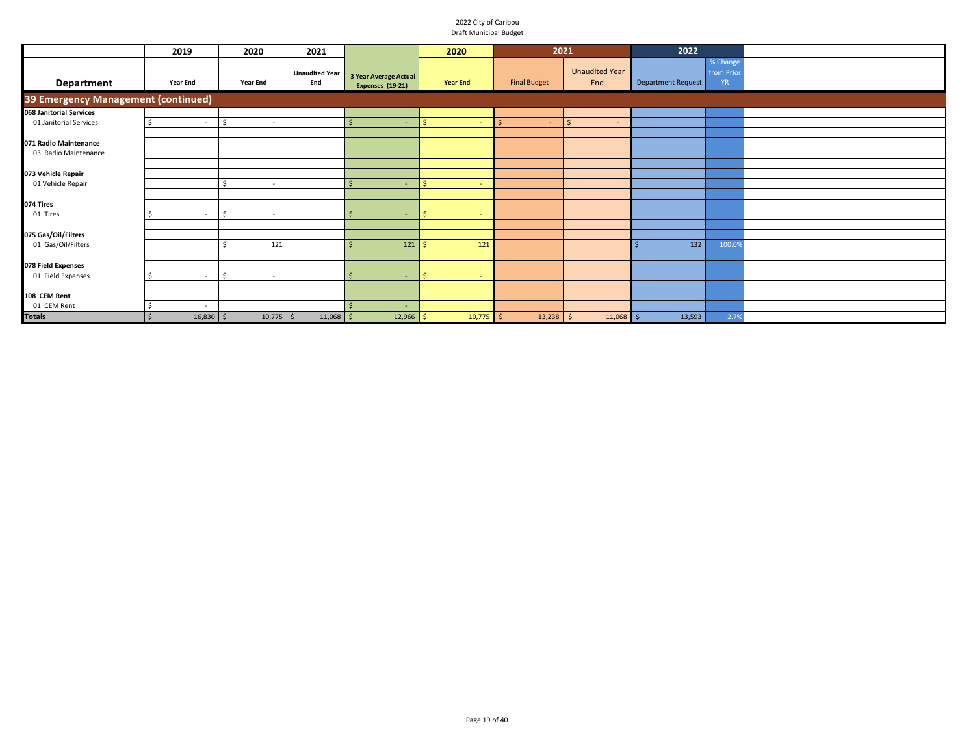|                                     | 2019                     | 2020         | 2021                         |                                           | 2020                   | 2021                |                              | 2022               |                                    |  |
|-------------------------------------|--------------------------|--------------|------------------------------|-------------------------------------------|------------------------|---------------------|------------------------------|--------------------|------------------------------------|--|
| Department                          | Year End                 | Year End     | <b>Unaudited Year</b><br>End | 3 Year Average Actual<br>Expenses (19-21) | <b>Year End</b>        | <b>Final Budget</b> | <b>Unaudited Year</b><br>End | Department Request | % Change<br>from Prio<br><b>YR</b> |  |
| 39 Emergency Management (continued) |                          |              |                              |                                           |                        |                     |                              |                    |                                    |  |
| 068 Janitorial Services             |                          |              |                              |                                           |                        |                     |                              |                    |                                    |  |
| 01 Janitorial Services              | $\overline{\phantom{a}}$ | $\sim$       |                              |                                           |                        |                     | $\mathsf{S}$<br>$\sim$       |                    |                                    |  |
|                                     |                          |              |                              |                                           |                        |                     |                              |                    |                                    |  |
| 071 Radio Maintenance               |                          |              |                              |                                           |                        |                     |                              |                    |                                    |  |
| 03 Radio Maintenance                |                          |              |                              |                                           |                        |                     |                              |                    |                                    |  |
|                                     |                          |              |                              |                                           |                        |                     |                              |                    |                                    |  |
| 073 Vehicle Repair                  |                          |              |                              |                                           |                        |                     |                              |                    |                                    |  |
| 01 Vehicle Repair                   |                          | $\sim$       |                              | ٠                                         | $\sim$                 |                     |                              |                    |                                    |  |
|                                     |                          |              |                              |                                           |                        |                     |                              |                    |                                    |  |
| 074 Tires                           |                          |              |                              |                                           |                        |                     |                              |                    |                                    |  |
| 01 Tires                            | $\sim$                   | -Ś<br>$\sim$ |                              | $\mathsf{\hat{S}}$                        | <sub>S</sub><br>$\sim$ |                     |                              |                    |                                    |  |
|                                     |                          |              |                              |                                           |                        |                     |                              |                    |                                    |  |
| 075 Gas/Oil/Filters                 |                          |              |                              |                                           |                        |                     |                              |                    |                                    |  |
| 01 Gas/Oil/Filters                  |                          | 121          |                              | 121<br>$\mathsf{\hat{S}}$                 | 121                    |                     |                              | 132                | 100.09                             |  |
|                                     |                          |              |                              |                                           |                        |                     |                              |                    |                                    |  |
| 078 Field Expenses                  |                          |              |                              |                                           |                        |                     |                              |                    |                                    |  |
| 01 Field Expenses                   | $\overline{\phantom{a}}$ | $\sim$       |                              | $\mathsf{\hat{S}}$<br>٠                   | $\sim$                 |                     |                              |                    |                                    |  |
|                                     |                          |              |                              |                                           |                        |                     |                              |                    |                                    |  |
| 108 CEM Rent                        |                          |              |                              |                                           |                        |                     |                              |                    |                                    |  |
| 01 CEM Rent                         | $\overline{\phantom{a}}$ |              |                              | -\$<br>۰.                                 |                        |                     |                              |                    |                                    |  |
| <b>Totals</b>                       | $16,830$ \$              | $10,775$ \$  | $11,068$ \$                  | $12,966$ \$                               | $10,775$ \$            | $13,238$ \$         | $11,068$ \$                  | 13,593             | 2.79                               |  |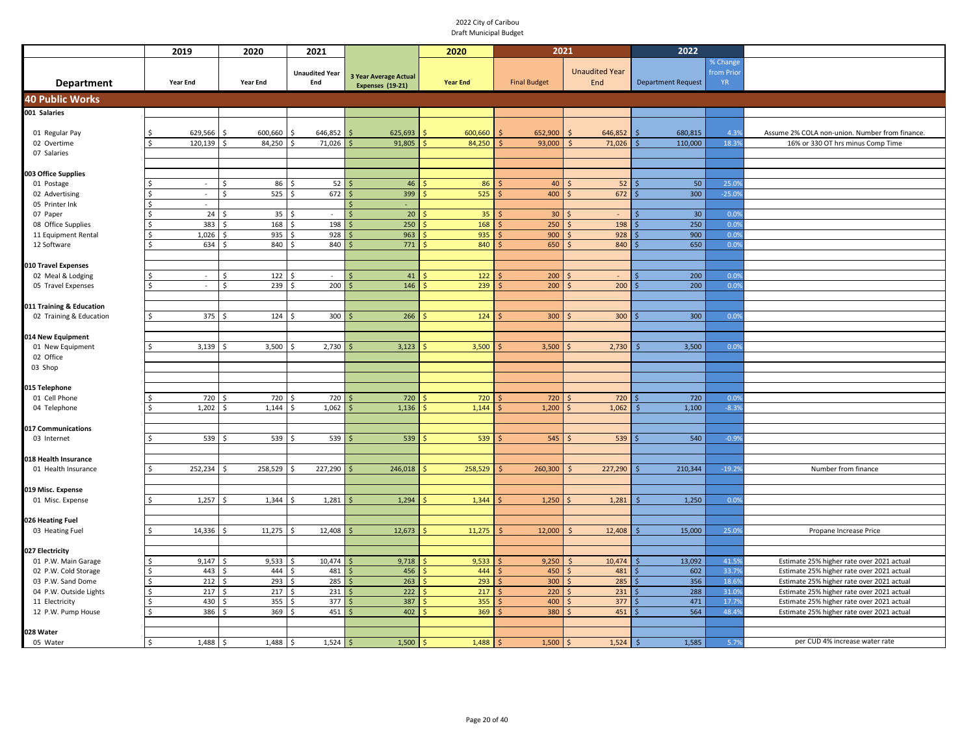|                                       |    | 2019                     | 2020                         | 2021                  |                              | 2020            | 2021                |                       | 2022                      |           |                                                |
|---------------------------------------|----|--------------------------|------------------------------|-----------------------|------------------------------|-----------------|---------------------|-----------------------|---------------------------|-----------|------------------------------------------------|
|                                       |    |                          |                              |                       |                              |                 |                     |                       |                           | % Change  |                                                |
|                                       |    |                          |                              | <b>Unaudited Year</b> | <b>3 Year Average Actual</b> |                 |                     | <b>Unaudited Year</b> |                           | from Prio |                                                |
| <b>Department</b>                     |    | <b>Year End</b>          | <b>Year End</b>              | End                   | <b>Expenses (19-21)</b>      | <b>Year End</b> | <b>Final Budget</b> | End                   | <b>Department Request</b> | <b>YR</b> |                                                |
| <b>40 Public Works</b>                |    |                          |                              |                       |                              |                 |                     |                       |                           |           |                                                |
| 001 Salaries                          |    |                          |                              |                       |                              |                 |                     |                       |                           |           |                                                |
|                                       |    |                          |                              |                       |                              |                 |                     |                       |                           |           |                                                |
| 01 Regular Pay                        |    | 629,566                  | 600,660                      | 646,852               | 625,693                      | 600,660         | 652,900             | 646,852               | 680,815                   | 4.3%      | Assume 2% COLA non-union. Number from finance. |
| 02 Overtime                           |    | 120,139                  | 84,250                       | 71,026                | 91,805                       | 84,250          | 93,000              | 71,026                | 110,000                   | 18.39     | 16% or 330 OT hrs minus Comp Time              |
| 07 Salaries                           |    |                          |                              |                       |                              |                 |                     |                       |                           |           |                                                |
| 003 Office Supplies                   |    |                          |                              |                       |                              |                 |                     |                       |                           |           |                                                |
| 01 Postage                            |    | $\sim$                   | 86<br>Ś                      | 52                    | 46                           | 86              | 40                  | 52                    | 50                        | 25.09     |                                                |
| 02 Advertising                        |    | $\overline{\phantom{a}}$ | 525<br>Ś                     | 672                   | 399                          | 525             | 400                 | 672                   | 300                       | $-25.09$  |                                                |
| 05 Printer Ink                        |    | $\overline{\phantom{a}}$ |                              |                       | $\sim$                       |                 |                     |                       |                           |           |                                                |
| 07 Paper                              |    | 24                       | 35                           | Ŝ                     | 20 <sup>°</sup>              | 35              | 30 <sub>o</sub>     |                       | 30 <sub>o</sub>           | 0.09      |                                                |
| 08 Office Supplies                    |    | 383                      | 168                          | 198                   | 250                          | 168             | 250                 | 198                   | 250                       | 0.09      |                                                |
| 11 Equipment Rental                   |    | 1,026                    | 935                          | 928                   | 963                          | 935             | 900                 | 928                   | 900                       | 0.09      |                                                |
| 12 Software                           | Ś  | 634                      | 840                          | 840                   | 771                          | 840             | 650                 | 840                   | 650                       | 0.09      |                                                |
|                                       |    |                          |                              |                       |                              |                 |                     |                       |                           |           |                                                |
| 010 Travel Expenses                   |    |                          |                              |                       |                              |                 |                     |                       |                           |           |                                                |
| 02 Meal & Lodging                     |    | $\sim$                   | 122<br><sup>\$</sup>         | Ŝ.                    | 41                           | 122             | 200                 |                       | 200                       | 0.09      |                                                |
| 05 Travel Expenses                    | Ś. | $\sim$                   | 239<br><sup>\$</sup>         | 200<br>Ŝ.             | 146                          | 239             | 200                 | 200                   | 200                       | 0.09      |                                                |
|                                       |    |                          |                              |                       |                              |                 |                     |                       |                           |           |                                                |
| 011 Training & Education              |    |                          |                              |                       |                              |                 |                     |                       |                           |           |                                                |
| 02 Training & Education               | Ś. | 375                      | 124<br>Ŝ.                    | 300<br>l \$           | 266                          | 124             | 300                 | 300                   | 300                       | 0.09      |                                                |
|                                       |    |                          |                              |                       |                              |                 |                     |                       |                           |           |                                                |
| 014 New Equipment<br>01 New Equipment | ς. | 3,139                    | 3,500                        | 2,730<br>\$           | 3,123                        | 3,500           | 3,500               | 2,730                 | 3,500                     | 0.09      |                                                |
| 02 Office                             |    |                          |                              |                       |                              |                 |                     |                       |                           |           |                                                |
| 03 Shop                               |    |                          |                              |                       |                              |                 |                     |                       |                           |           |                                                |
|                                       |    |                          |                              |                       |                              |                 |                     |                       |                           |           |                                                |
| 015 Telephone                         |    |                          |                              |                       |                              |                 |                     |                       |                           |           |                                                |
| 01 Cell Phone                         |    | 720                      | 720                          | 720                   | 720                          | 720             | 720                 | 720                   | 720                       | 0.09      |                                                |
| 04 Telephone                          |    | 1,202                    | 1,144                        | 1,062                 | 1,136                        | 1,144           | 1,200               | 1,062                 | 1,100                     | $-8.39$   |                                                |
|                                       |    |                          |                              |                       |                              |                 |                     |                       |                           |           |                                                |
| 017 Communications                    |    |                          |                              |                       |                              |                 |                     |                       |                           |           |                                                |
| 03 Internet                           |    | 539                      | 539                          | 539                   | 539                          | 539             | 545                 | 539                   | 540                       | $-0.99$   |                                                |
|                                       |    |                          |                              |                       |                              |                 |                     |                       |                           |           |                                                |
| 018 Health Insurance                  |    | 252,234                  | 258,529                      | 227,290<br>\$.        | 246,018                      | 258,529         | 260,300             | 227,290               | 210,344                   | $-19.29$  |                                                |
| 01 Health Insurance                   |    |                          |                              |                       |                              |                 |                     |                       |                           |           | Number from finance                            |
| 019 Misc. Expense                     |    |                          |                              |                       |                              |                 |                     |                       |                           |           |                                                |
| 01 Misc. Expense                      | Ś. | 1,257                    | 1,344<br>-Ś                  | 1,281<br>Ś            | 1,294                        | 1,344           | 1,250               | 1,281                 | 1,250                     | 0.09      |                                                |
|                                       |    |                          |                              |                       |                              |                 |                     |                       |                           |           |                                                |
| 026 Heating Fuel                      |    |                          |                              |                       |                              |                 |                     |                       |                           |           |                                                |
| 03 Heating Fuel                       |    | 14,336                   | 11,275                       | 12,408                | 12,673                       | 11,275          | 12,000              | 12,408                | 15,000                    | 25.09     | Propane Increase Price                         |
|                                       |    |                          |                              |                       |                              |                 |                     |                       |                           |           |                                                |
| 027 Electricity                       |    |                          |                              |                       |                              |                 |                     |                       |                           |           |                                                |
| 01 P.W. Main Garage                   | Ś  | 9,147                    | 9,533<br>S,                  | 10,474<br>- Ś         | 9,718                        | 9,533           | 9,250               | 10,474                | 13,092                    | 41.59     | Estimate 25% higher rate over 2021 actual      |
| 02 P.W. Cold Storage                  |    | 443                      | 444                          | 481<br>Ŝ.             | 456                          | 444             | 450                 | 481                   | 602                       | 33.79     | Estimate 25% higher rate over 2021 actual      |
| 03 P.W. Sand Dome                     |    | 212                      | 293                          | 285<br>$\hat{\zeta}$  | 263                          | 293             | 300                 | 285                   | 356                       | 18.69     | Estimate 25% higher rate over 2021 actual      |
| 04 P.W. Outside Lights                | Ś  | 217                      | 217                          | 231<br>$\hat{\zeta}$  | 222                          | 217             | 220                 | 231                   | 288                       | 31.09     | Estimate 25% higher rate over 2021 actual      |
| 11 Electricity                        |    | 430                      | 355                          | 377                   | 387                          | 355             | 400                 | 377                   | 471                       | 17.79     | Estimate 25% higher rate over 2021 actual      |
| 12 P.W. Pump House                    |    | 386                      | 369<br>$\breve{\phantom{1}}$ | 451<br>Ŝ.             | 402                          | 369             | 380                 | 451                   | 564                       | 48.49     | Estimate 25% higher rate over 2021 actual      |
| 028 Water                             |    |                          |                              |                       |                              |                 |                     |                       |                           |           |                                                |
| 05 Water                              | \$ | 1,488                    | 1,488<br>-Ś                  | 1,524<br>S.           | 1,500                        | 1,488           | 1,500               | 1,524                 | 1,585                     | 5.7%      | per CUD 4% increase water rate                 |
|                                       |    |                          |                              |                       |                              |                 |                     |                       |                           |           |                                                |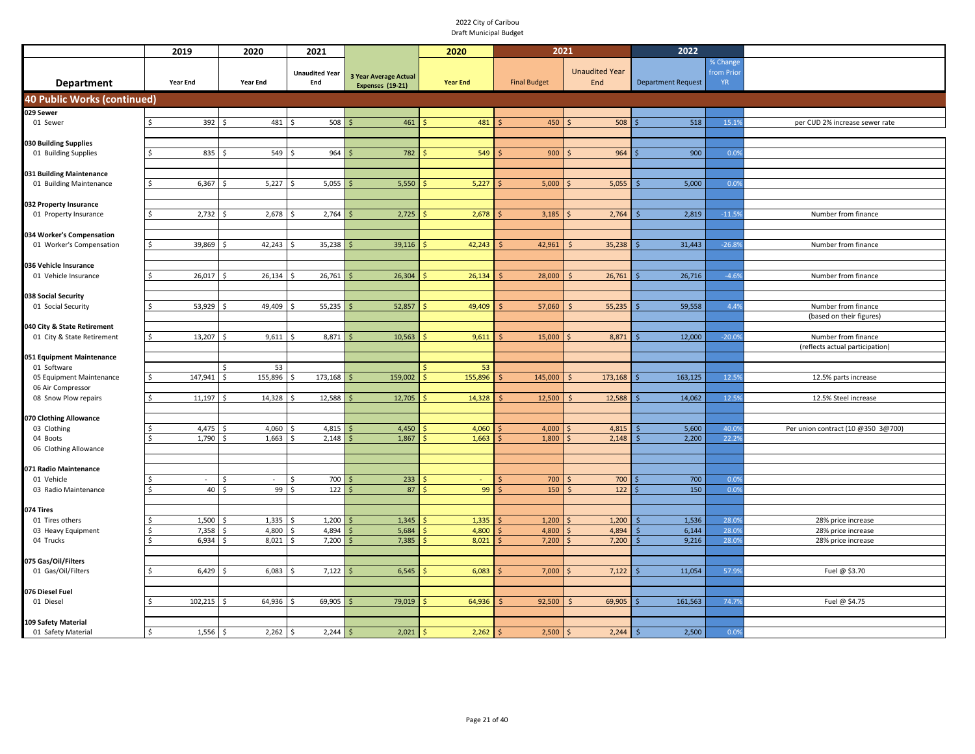|                                               | 2019                         | 2020                         | 2021                         |                                                  | 2020            | 2021                |                              | 2022                      |                                    |                                    |
|-----------------------------------------------|------------------------------|------------------------------|------------------------------|--------------------------------------------------|-----------------|---------------------|------------------------------|---------------------------|------------------------------------|------------------------------------|
| <b>Department</b>                             | Year End                     | Year End                     | <b>Unaudited Year</b><br>End | <b>3 Year Average Actual</b><br>Expenses (19-21) | <b>Year End</b> | <b>Final Budget</b> | <b>Unaudited Year</b><br>End | <b>Department Request</b> | % Change<br>from Prio<br><b>YR</b> |                                    |
| 40 Public Works (continued)                   |                              |                              |                              |                                                  |                 |                     |                              |                           |                                    |                                    |
| 029 Sewer                                     |                              |                              |                              |                                                  |                 |                     |                              |                           |                                    |                                    |
| 01 Sewer                                      | 392                          | 481<br>l \$                  | 508<br>-Ś                    | 461                                              | 481             | 450                 | 508                          | 518                       | 15.1%                              | per CUD 2% increase sewer rate     |
|                                               |                              |                              |                              |                                                  |                 |                     |                              |                           |                                    |                                    |
| 030 Building Supplies                         |                              |                              |                              |                                                  |                 |                     |                              |                           |                                    |                                    |
| 01 Building Supplies                          | 835                          | 549<br>- Ś                   | 964<br>Ś                     | 782                                              | 549             | 900                 | 964                          | 900                       | 0.0%                               |                                    |
|                                               |                              |                              |                              |                                                  |                 |                     |                              |                           |                                    |                                    |
| 031 Building Maintenance                      |                              |                              |                              |                                                  |                 |                     |                              |                           |                                    |                                    |
| 01 Building Maintenance                       | 6,367<br>Ś.                  | 5,227                        | 5,055<br>\$                  | 5,550                                            | 5,227           | 5,000               | 5,055                        | 5,000                     | 0.0%                               |                                    |
| 032 Property Insurance                        |                              |                              |                              |                                                  |                 |                     |                              |                           |                                    |                                    |
| 01 Property Insurance                         | 2,732<br>Ś.                  | 2,678<br>$\breve{\varsigma}$ | 2,764<br>Ś                   | 2,725                                            | 2,678           | 3,185               | 2,764                        | 2,819                     | $-11.59$                           | Number from finance                |
|                                               |                              |                              |                              |                                                  |                 |                     |                              |                           |                                    |                                    |
| 034 Worker's Compensation                     |                              |                              |                              |                                                  |                 |                     |                              |                           |                                    |                                    |
| 01 Worker's Compensation                      | 39,869<br>Ś.                 | 42,243                       | 35,238                       | 39,116                                           | 42,243          | 42,961              | 35,238                       | 31,443                    | $-26.89$                           | Number from finance                |
|                                               |                              |                              |                              |                                                  |                 |                     |                              |                           |                                    |                                    |
| 036 Vehicle Insurance                         |                              |                              |                              |                                                  |                 |                     |                              |                           |                                    |                                    |
| 01 Vehicle Insurance                          | 26,017<br>ς.                 | 26,134                       | 26,761                       | 26,304                                           | 26,134          | 28,000              | 26,761                       | 26,716                    | $-4.69$                            | Number from finance                |
| 038 Social Security                           |                              |                              |                              |                                                  |                 |                     |                              |                           |                                    |                                    |
| 01 Social Security                            | 53,929                       | 49,409                       | 55,235                       | 52,857                                           | 49,409          | 57,060              | 55,235                       | 59,558                    | 4.4%                               | Number from finance                |
|                                               |                              |                              |                              |                                                  |                 |                     |                              |                           |                                    | (based on their figures)           |
| 040 City & State Retirement                   |                              |                              |                              |                                                  |                 |                     |                              |                           |                                    |                                    |
| 01 City & State Retirement                    | 13,207<br>Ś.                 | 9,611<br>- Ś                 | 8,871<br>Ŝ.                  | 10,563                                           | 9,611           | 15,000              | 8,871                        | 12,000                    | $-20.09$                           | Number from finance                |
|                                               |                              |                              |                              |                                                  |                 |                     |                              |                           |                                    | (reflects actual participation)    |
| 051 Equipment Maintenance                     |                              |                              |                              |                                                  |                 |                     |                              |                           |                                    |                                    |
| 01 Software                                   |                              | 53                           |                              |                                                  | 53              |                     |                              |                           |                                    |                                    |
| 05 Equipment Maintenance<br>06 Air Compressor | 147,941<br>\$                | 155,896<br>Ŝ.                | 173,168                      | 159,002                                          | 155,896         | 145,000             | 173,168<br>-Ś                | 163,125                   | 12.59                              | 12.5% parts increase               |
| 08 Snow Plow repairs                          | $\mathsf{\hat{S}}$<br>11,197 | 14,328                       | 12,588                       | 12,705                                           | 14,328          | 12,500              | 12,588                       | 14,062                    | 12.59                              | 12.5% Steel increase               |
|                                               |                              |                              |                              |                                                  |                 |                     |                              |                           |                                    |                                    |
| 070 Clothing Allowance                        |                              |                              |                              |                                                  |                 |                     |                              |                           |                                    |                                    |
| 03 Clothing                                   | 4,475                        | 4,060                        | 4,815                        | 4,450                                            | 4,060           | 4,000               | 4,815                        | 5,600                     | 40.09                              | Per union contract (10 @350 3@700) |
| 04 Boots                                      | 1,790                        | 1,663                        | 2,148                        | 1,867                                            | 1,663           | 1,800               | 2,148                        | 2,200                     | 22.29                              |                                    |
| 06 Clothing Allowance                         |                              |                              |                              |                                                  |                 |                     |                              |                           |                                    |                                    |
|                                               |                              |                              |                              |                                                  |                 |                     |                              |                           |                                    |                                    |
| 071 Radio Maintenance<br>01 Vehicle           |                              | Ś                            | 700                          | 233                                              |                 | 700                 | 700                          | 700                       | 0.0%                               |                                    |
| 03 Radio Maintenance                          | 40                           | 99<br>Ś.                     | 122<br>Ś                     | 87                                               | 99              | 150                 | 122                          | 150                       | 0.09                               |                                    |
|                                               |                              |                              |                              |                                                  |                 |                     |                              |                           |                                    |                                    |
| 074 Tires                                     |                              |                              |                              |                                                  |                 |                     |                              |                           |                                    |                                    |
| 01 Tires others                               | 1,500                        | 1,335                        | 1,200                        | 1,345                                            | 1,335           | 1,200               | 1,200                        | 1,536                     | 28.09                              | 28% price increase                 |
| 03 Heavy Equipment                            | 7,358                        | 4,800<br>\$                  | 4,894                        | 5,684                                            | 4,800           | 4,800               | 4,894                        | 6,144                     | 28.09                              | 28% price increase                 |
| 04 Trucks                                     | 6,934                        | 8,021<br>¢                   | 7,200                        | 7,385                                            | 8,021           | 7,200               | 7,200                        | 9,216                     | 28.0%                              | 28% price increase                 |
| 075 Gas/Oil/Filters                           |                              |                              |                              |                                                  |                 |                     |                              |                           |                                    |                                    |
| 01 Gas/Oil/Filters                            | 6,429                        | 6,083                        | 7,122                        | 6,545                                            | 6,083           | 7,000               | 7,122                        | 11,054                    | 57.99                              | Fuel @ \$3.70                      |
|                                               |                              |                              |                              |                                                  |                 |                     |                              |                           |                                    |                                    |
| 076 Diesel Fuel                               |                              |                              |                              |                                                  |                 |                     |                              |                           |                                    |                                    |
| 01 Diesel                                     | 102,215                      | 64,936                       | 69,905                       | 79,019                                           | 64,936          | 92,500              | 69,905                       | 161,563                   | 74.79                              | Fuel @ \$4.75                      |
|                                               |                              |                              |                              |                                                  |                 |                     |                              |                           |                                    |                                    |
| 109 Safety Material                           |                              |                              |                              |                                                  |                 |                     |                              |                           |                                    |                                    |
| 01 Safety Material                            | 1,556<br>Ś                   | 2,262<br>  \$                | 2,244<br>S.                  | 2,021                                            | 2,262           | 2,500               | 2,244                        | 2,500                     | 0.0%                               |                                    |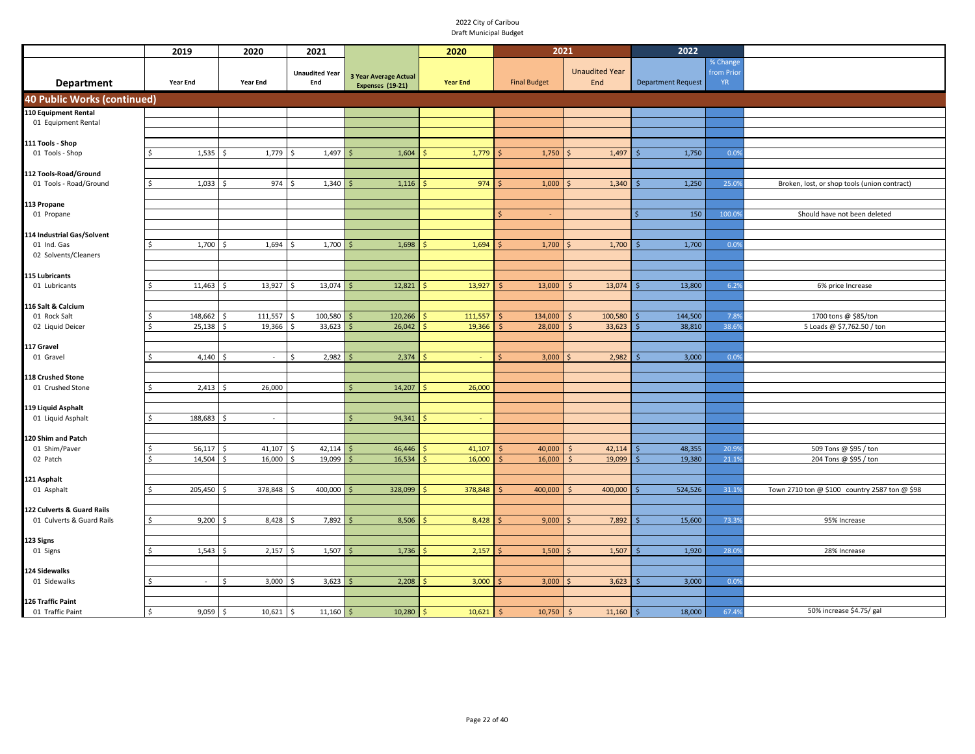|                                       | 2019                    | 2020                    | 2021                         |                                                  | 2020            | 2021                |                              | 2022                      |                                    |                                               |
|---------------------------------------|-------------------------|-------------------------|------------------------------|--------------------------------------------------|-----------------|---------------------|------------------------------|---------------------------|------------------------------------|-----------------------------------------------|
| <b>Department</b>                     | Year End                | Year End                | <b>Unaudited Year</b><br>End | <b>3 Year Average Actual</b><br>Expenses (19-21) | <b>Year End</b> | <b>Final Budget</b> | <b>Unaudited Year</b><br>End | <b>Department Request</b> | % Change<br>from Prio<br><b>YR</b> |                                               |
| <b>40 Public Works (continued)</b>    |                         |                         |                              |                                                  |                 |                     |                              |                           |                                    |                                               |
| 110 Equipment Rental                  |                         |                         |                              |                                                  |                 |                     |                              |                           |                                    |                                               |
| 01 Equipment Rental                   |                         |                         |                              |                                                  |                 |                     |                              |                           |                                    |                                               |
|                                       |                         |                         |                              |                                                  |                 |                     |                              |                           |                                    |                                               |
| 111 Tools - Shop                      |                         |                         |                              |                                                  |                 |                     |                              |                           |                                    |                                               |
| 01 Tools - Shop                       | 1,535<br><sup>\$</sup>  | Ś<br>1,779              | 1,497<br>\$                  | 1,604                                            | 1,779           | 1,750               | 1,497                        | 1,750                     | 0.09                               |                                               |
| 112 Tools-Road/Ground                 |                         |                         |                              |                                                  |                 |                     |                              |                           |                                    |                                               |
| 01 Tools - Road/Ground                | 1,033<br><sup>\$</sup>  | 974                     | 1,340                        | 1,116                                            | 974             | 1,000               | 1,340                        | 1,250                     | 25.09                              | Broken, lost, or shop tools (union contract)  |
|                                       |                         |                         |                              |                                                  |                 |                     |                              |                           |                                    |                                               |
| 113 Propane                           |                         |                         |                              |                                                  |                 |                     |                              |                           |                                    |                                               |
| 01 Propane                            |                         |                         |                              |                                                  |                 | $\mathsf{\hat{S}}$  |                              | 150                       | 100.09                             | Should have not been deleted                  |
|                                       |                         |                         |                              |                                                  |                 |                     |                              |                           |                                    |                                               |
| 114 Industrial Gas/Solvent            |                         |                         |                              |                                                  |                 |                     |                              |                           |                                    |                                               |
| 01 Ind. Gas                           | 1,700<br>Ś              | 1,694                   | 1,700                        | 1,698                                            | 1,694           | 1,700               | 1,700                        | 1,700                     | 0.09                               |                                               |
| 02 Solvents/Cleaners                  |                         |                         |                              |                                                  |                 |                     |                              |                           |                                    |                                               |
|                                       |                         |                         |                              |                                                  |                 |                     |                              |                           |                                    |                                               |
| 115 Lubricants<br>01 Lubricants       | 11,463<br>-Ś            | 13,927<br>.S            | 13,074<br>Ś                  | 12,821                                           | 13,927          | 13,000              | 13,074<br>S                  | 13,800                    | 6.29                               | 6% price Increase                             |
|                                       |                         |                         |                              |                                                  |                 |                     |                              |                           |                                    |                                               |
| 116 Salt & Calcium                    |                         |                         |                              |                                                  |                 |                     |                              |                           |                                    |                                               |
| 01 Rock Salt                          | 148,662<br>-Ś           | 111,557<br>Ŝ            | 100,580<br>Ś                 | 120,266                                          | 111,557         | 134,000             | 100,580<br>Ś                 | 144,500                   | 7.89                               | 1700 tons @ \$85/ton                          |
| 02 Liquid Deicer                      | 25,138<br><sup>\$</sup> | 19,366                  | 33,623                       | 26,042                                           | 19,366          | 28,000              | 33,623<br>Ś                  | 38,810                    | 38.69                              | 5 Loads @ \$7,762.50 / ton                    |
|                                       |                         |                         |                              |                                                  |                 |                     |                              |                           |                                    |                                               |
| 17 Gravel                             |                         |                         |                              |                                                  |                 |                     |                              |                           |                                    |                                               |
| 01 Gravel                             | <sup>\$</sup><br>4,140  | $\hat{\zeta}$<br>$\sim$ | Ś<br>2,982                   | 2,374<br>ς                                       |                 | 3,000<br>$\zeta$    | 2,982                        | 3,000                     | 0.09                               |                                               |
|                                       |                         |                         |                              |                                                  |                 |                     |                              |                           |                                    |                                               |
| 118 Crushed Stone<br>01 Crushed Stone | 2,413<br>Ś              | 26,000                  |                              | Ś<br>14,207                                      | 26,000          |                     |                              |                           |                                    |                                               |
|                                       |                         |                         |                              |                                                  |                 |                     |                              |                           |                                    |                                               |
| 119 Liquid Asphalt                    |                         |                         |                              |                                                  |                 |                     |                              |                           |                                    |                                               |
| 01 Liquid Asphalt                     | 188,683<br>Ś,           | $\sim$                  |                              | Ś<br>94,341                                      | ÷               |                     |                              |                           |                                    |                                               |
|                                       |                         |                         |                              |                                                  |                 |                     |                              |                           |                                    |                                               |
| 120 Shim and Patch                    |                         |                         |                              |                                                  |                 |                     |                              |                           |                                    |                                               |
| 01 Shim/Paver                         | 56,117<br>\$            | Ś<br>41,107             | 42,114<br>Ś                  | 46,446                                           | 41,107          | 40,000              | 42,114<br>Ś                  | 48,355                    | 20.99                              | 509 Tons @ \$95 / ton                         |
| 02 Patch                              | 14,504<br>Ŝ.            | 16,000<br>Ś.            | 19,099<br><sup>\$</sup>      | 16,534                                           | 16,000          | 16,000              | 19,099<br>Ś                  | 19,380                    | 21.19                              | 204 Tons @ \$95 / ton                         |
|                                       |                         |                         |                              |                                                  |                 |                     |                              |                           |                                    |                                               |
| 121 Asphalt<br>01 Asphalt             | 205,450<br>Ŝ.           | 378,848<br>\$           | 400,000                      | 328,099                                          | 378,848         | 400,000             | 400,000                      | 524,526                   | 31.19                              | Town 2710 ton @ \$100 country 2587 ton @ \$98 |
|                                       |                         |                         |                              |                                                  |                 |                     |                              |                           |                                    |                                               |
| 122 Culverts & Guard Rails            |                         |                         |                              |                                                  |                 |                     |                              |                           |                                    |                                               |
| 01 Culverts & Guard Rails             | 9,200<br>\$             | 8,428<br>.\$            | 7,892<br>.\$                 | 8,506                                            | 8,428           | 9,000               | 7,892                        | 15,600                    | 73.3                               | 95% Increase                                  |
|                                       |                         |                         |                              |                                                  |                 |                     |                              |                           |                                    |                                               |
| 123 Signs                             |                         |                         |                              |                                                  |                 |                     |                              |                           |                                    |                                               |
| 01 Signs                              | 1,543<br>Ŝ.             | 2,157<br>Ŝ.             | 1,507<br>- Ś                 | 1,736                                            | 2,157           | 1,500               | 1,507                        | 1,920                     | 28.0                               | 28% Increase                                  |
|                                       |                         |                         |                              |                                                  |                 |                     |                              |                           |                                    |                                               |
| 124 Sidewalks                         |                         |                         |                              |                                                  |                 |                     |                              |                           |                                    |                                               |
| 01 Sidewalks                          | -Ś<br>$\sim$            | 3,000<br>Ś              | 3,623                        | 2,208                                            | 3,000           | 3,000               | 3,623                        | 3,000                     | 0.09                               |                                               |
| 126 Traffic Paint                     |                         |                         |                              |                                                  |                 |                     |                              |                           |                                    |                                               |
| 01 Traffic Paint                      | 9,059<br>\$             | 10,621<br>-\$           | 11,160<br>l \$               | 10,280                                           | 10,621          | 10,750              | 11,160<br>-Ś                 | 18,000                    | 67.49                              | 50% increase \$4.75/ gal                      |
|                                       |                         |                         |                              |                                                  |                 |                     |                              |                           |                                    |                                               |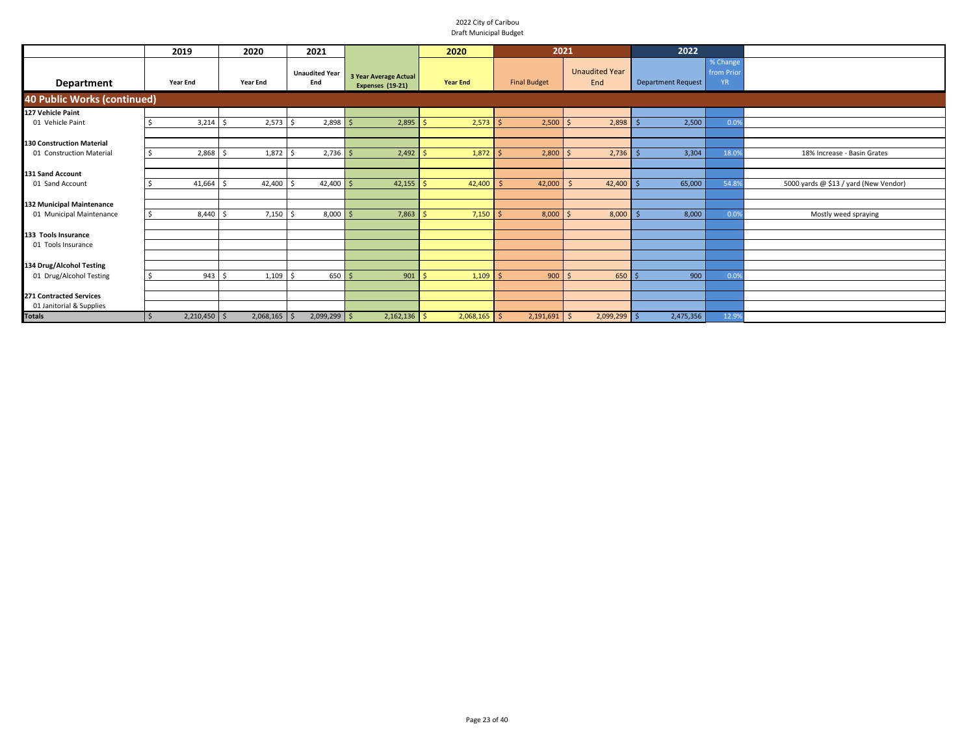|                                    | 2019            | 2020            | 2021                         |                                                  | 2020            | 2021                |                              | 2022                      |                                    |                                       |
|------------------------------------|-----------------|-----------------|------------------------------|--------------------------------------------------|-----------------|---------------------|------------------------------|---------------------------|------------------------------------|---------------------------------------|
| Department                         | <b>Year End</b> | <b>Year End</b> | <b>Unaudited Year</b><br>End | 3 Year Average Actual<br><b>Expenses (19-21)</b> | <b>Year End</b> | <b>Final Budget</b> | <b>Unaudited Year</b><br>End | <b>Department Request</b> | % Change<br>from Prio<br><b>YR</b> |                                       |
| <b>40 Public Works (continued)</b> |                 |                 |                              |                                                  |                 |                     |                              |                           |                                    |                                       |
| 127 Vehicle Paint                  |                 |                 |                              |                                                  |                 |                     |                              |                           |                                    |                                       |
| 01 Vehicle Paint                   | 3,214           | 2,573           | 2,898                        | 2,895                                            | 2,573           | 2,500               | 2,898                        | 2,500                     | 0.09                               |                                       |
|                                    |                 |                 |                              |                                                  |                 |                     |                              |                           |                                    |                                       |
| <b>130 Construction Material</b>   |                 |                 |                              |                                                  |                 |                     |                              |                           |                                    |                                       |
| 01 Construction Material           | 2,868           | 1,872           | 2,736                        | 2,492                                            | 1,872           | 2,800               | 2,736                        | 3,304                     | 18.09                              | 18% Increase - Basin Grates           |
|                                    |                 |                 |                              |                                                  |                 |                     |                              |                           |                                    |                                       |
| <b>131 Sand Account</b>            |                 |                 |                              |                                                  |                 |                     |                              |                           |                                    |                                       |
| 01 Sand Account                    | 41,664          | 42,400          | 42,400                       | 42,155                                           | 42,400          | 42,000              | 42,400                       | 65,000                    | 54.89                              | 5000 yards @ \$13 / yard (New Vendor) |
|                                    |                 |                 |                              |                                                  |                 |                     |                              |                           |                                    |                                       |
| 132 Municipal Maintenance          |                 |                 |                              |                                                  |                 |                     |                              |                           |                                    |                                       |
| 01 Municipal Maintenance           | 8,440           | $7,150$ \$      | 8,000                        | 7,863                                            | 7,150           | 8,000               | 8,000                        | 8,000                     | 0.09                               | Mostly weed spraying                  |
|                                    |                 |                 |                              |                                                  |                 |                     |                              |                           |                                    |                                       |
| 133 Tools Insurance                |                 |                 |                              |                                                  |                 |                     |                              |                           |                                    |                                       |
| 01 Tools Insurance                 |                 |                 |                              |                                                  |                 |                     |                              |                           |                                    |                                       |
|                                    |                 |                 |                              |                                                  |                 |                     |                              |                           |                                    |                                       |
| 134 Drug/Alcohol Testing           |                 |                 |                              |                                                  |                 |                     |                              |                           |                                    |                                       |
| 01 Drug/Alcohol Testing            | 943             | 1,109           | $650$ \$                     | 901                                              | 1,109           | 900                 | 650<br>- Ś                   | 900                       | 0.09                               |                                       |
|                                    |                 |                 |                              |                                                  |                 |                     |                              |                           |                                    |                                       |
| <b>271 Contracted Services</b>     |                 |                 |                              |                                                  |                 |                     |                              |                           |                                    |                                       |
| 01 Janitorial & Supplies           |                 |                 |                              |                                                  |                 |                     |                              |                           |                                    |                                       |
| <b>Totals</b>                      | $2,210,450$ \$  | $2,068,165$ \$  | $2,099,299$ \$               | 2,162,136                                        | $2,068,165$ \$  | 2,191,691           | $2,099,299$ \$<br>- \$       | 2,475,356                 | 12.99                              |                                       |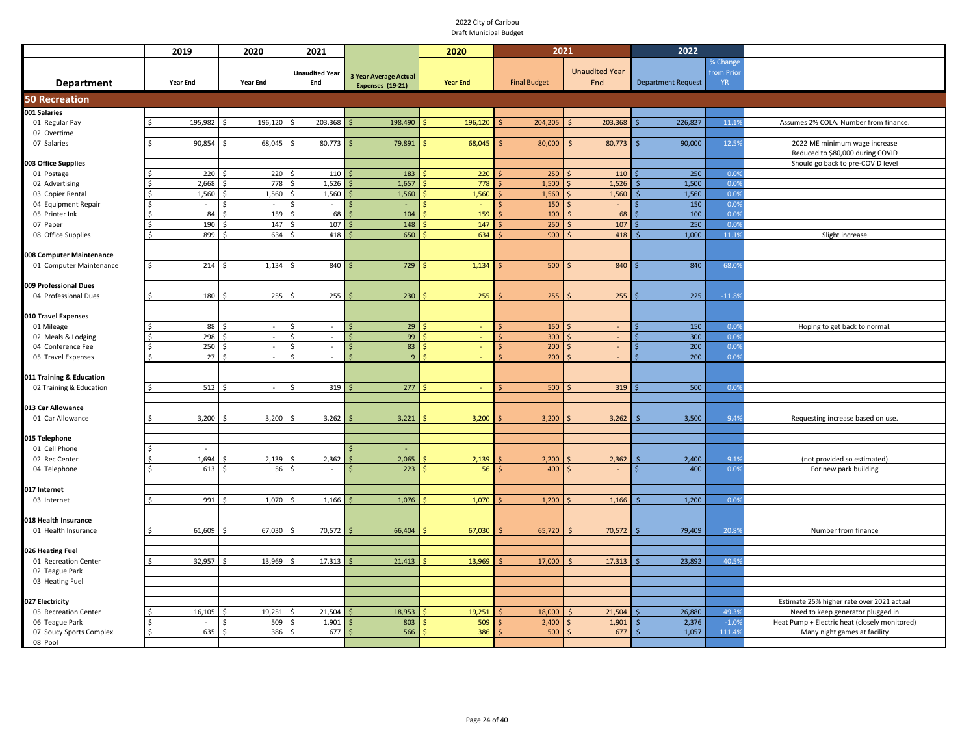|                                          | 2019                      | 2020                                 | 2021                        |                              | 2020            | 2021                |                       | 2022                      |              |                                               |
|------------------------------------------|---------------------------|--------------------------------------|-----------------------------|------------------------------|-----------------|---------------------|-----------------------|---------------------------|--------------|-----------------------------------------------|
|                                          |                           |                                      |                             |                              |                 |                     |                       |                           | % Change     |                                               |
|                                          |                           |                                      | <b>Unaudited Year</b>       | <b>3 Year Average Actual</b> |                 |                     | <b>Unaudited Year</b> |                           | from Prio    |                                               |
| Department                               | Year End                  | <b>Year End</b>                      | End                         | <b>Expenses (19-21)</b>      | <b>Year End</b> | <b>Final Budget</b> | End                   | <b>Department Request</b> | <b>YR</b>    |                                               |
| <b>50 Recreation</b>                     |                           |                                      |                             |                              |                 |                     |                       |                           |              |                                               |
| 001 Salaries                             |                           |                                      |                             |                              |                 |                     |                       |                           |              |                                               |
| 01 Regular Pay                           | 195,982                   | 196,120<br>Ŝ.                        | 203,368<br>Ŝ.               | 198,490                      | 196,120         | 204,205             | 203,368<br>S.         | 226,827                   | 11.19        | Assumes 2% COLA. Number from finance.         |
| 02 Overtime                              |                           |                                      |                             |                              |                 |                     |                       |                           |              |                                               |
| 07 Salaries                              | 90,854                    | 68,045                               | 80,773                      | 79,891                       | 68,045          | 80,000              | 80,773                | 90,000                    | 12.5%        | 2022 ME minimum wage increase                 |
|                                          |                           |                                      |                             |                              |                 |                     |                       |                           |              | Reduced to \$80,000 during COVID              |
| 003 Office Supplies                      |                           |                                      |                             |                              |                 |                     |                       |                           |              | Should go back to pre-COVID level             |
| 01 Postage                               | 220                       | 220<br>$\zeta$                       | 110<br>Š.                   | 183                          | 220             | 250                 | 110                   | 250                       | 0.0%         |                                               |
| 02 Advertising                           | 2,668<br>\$               | 778<br>$\zeta$<br>$\mathsf{\hat{S}}$ | 1,526<br>$\hat{\zeta}$      | 1,657                        | 778             | 1,500               | 1,526                 | 1,500                     | 0.0%<br>0.0% |                                               |
| 03 Copier Rental<br>04 Equipment Repair  | 1,560<br>\$.<br>$\sim$    | 1,560<br>Ŝ.<br>$\sim$                | 1,560<br>Ŝ.<br>Ŝ.<br>$\sim$ | 1,560                        | 1,560           | 1,560<br>150        | 1,560<br>$\sim$       | 1,560<br>150              | 0.0%         |                                               |
| 05 Printer Ink                           | 84<br>$\zeta$             | 159<br>$\zeta$                       | 68<br>$\hat{\zeta}$         | 104<br>$\zeta$               | 159             | 100                 | 68                    | 100                       | 0.0%         |                                               |
| 07 Paper                                 | 190<br>$\zeta$            | 147                                  | 107                         | 148                          | 147             | 250                 | 107                   | 250                       | 0.0%         |                                               |
| 08 Office Supplies                       | 899<br>$\zeta$            | 634                                  | 418                         | 650                          | 634             | 900                 | 418                   | 1,000                     | 11.19        | Slight increase                               |
|                                          |                           |                                      |                             |                              |                 |                     |                       |                           |              |                                               |
| 008 Computer Maintenance                 |                           |                                      |                             |                              |                 |                     |                       |                           |              |                                               |
| 01 Computer Maintenance                  | $\mathsf{\hat{S}}$<br>214 | 1,134                                | 840                         | 729                          | 1,134           | 500                 | 840                   | 840                       | 68.09        |                                               |
|                                          |                           |                                      |                             |                              |                 |                     |                       |                           |              |                                               |
| 009 Professional Dues                    |                           |                                      |                             |                              |                 |                     |                       |                           |              |                                               |
| 04 Professional Dues                     | 180                       | 255                                  | 255                         | 230                          | 255             | 255                 | 255                   | 225                       | $-11.89$     |                                               |
|                                          |                           |                                      |                             |                              |                 |                     |                       |                           |              |                                               |
| 010 Travel Expenses                      |                           |                                      |                             |                              |                 |                     |                       |                           |              |                                               |
| 01 Mileage                               | 88                        | $\sim$                               | \$.<br>$\sim$               | 29                           |                 | 150                 |                       | 150                       | 0.0%         | Hoping to get back to normal.                 |
| 02 Meals & Lodging                       | 298<br>$\zeta$            | $\sim$                               | <sup>\$</sup><br>$\sim$     | 99<br>Ś                      |                 | 300                 |                       | 300                       | 0.0%         |                                               |
| 04 Conference Fee                        | 250                       | $\zeta$<br>$\sim$                    | <sup>\$</sup><br>$\sim$     | 83                           |                 | 200                 | $\sim$                | 200                       | 0.0%         |                                               |
| 05 Travel Expenses                       | 27                        | $\sim$                               | $\sim$                      | 9                            |                 | 200                 |                       | 200                       | 0.0%         |                                               |
|                                          |                           |                                      |                             |                              |                 |                     |                       |                           |              |                                               |
| 011 Training & Education                 | 512                       |                                      | 319<br><sup>\$</sup>        | 277                          |                 | 500                 | 319                   | 500                       |              |                                               |
| 02 Training & Education                  |                           |                                      |                             |                              |                 |                     |                       |                           | 0.0%         |                                               |
| 013 Car Allowance                        |                           |                                      |                             |                              |                 |                     |                       |                           |              |                                               |
| 01 Car Allowance                         | 3,200                     | 3,200                                | 3,262                       | 3,221                        | 3,200           | 3,200               | 3,262                 | 3,500                     | 9.4%         | Requesting increase based on use.             |
|                                          |                           |                                      |                             |                              |                 |                     |                       |                           |              |                                               |
| 015 Telephone                            |                           |                                      |                             |                              |                 |                     |                       |                           |              |                                               |
| 01 Cell Phone                            |                           |                                      |                             |                              |                 |                     |                       |                           |              |                                               |
| 02 Rec Center                            | 1,694                     | 2,139                                | 2,362                       | 2,065                        | 2,139           | 2,200               | 2,362                 | 2,400                     | 9.1%         | (not provided so estimated)                   |
| 04 Telephone                             | 613                       | 56                                   | Ŝ.<br>$\sim$                | 223                          | 56              | 400                 |                       | 400                       | 0.0%         | For new park building                         |
|                                          |                           |                                      |                             |                              |                 |                     |                       |                           |              |                                               |
| 017 Internet                             |                           |                                      |                             |                              |                 |                     |                       |                           |              |                                               |
| 03 Internet                              | 991                       | 1,070                                | 1,166                       | 1,076                        | 1,070           | 1,200               | 1,166                 | 1,200                     | 0.09         |                                               |
|                                          |                           |                                      |                             |                              |                 |                     |                       |                           |              |                                               |
| 018 Health Insurance                     |                           |                                      |                             |                              |                 |                     |                       |                           |              |                                               |
| 01 Health Insurance                      | 61,609<br>\$              | 67,030<br>$\zeta$                    | 70,572<br>Š.                | 66,404<br>$\zeta$            | 67,030          | 65,720              | 70,572<br>$\leq$      | 79,409                    | 20.89        | Number from finance                           |
|                                          |                           |                                      |                             |                              |                 |                     |                       |                           |              |                                               |
| 026 Heating Fuel<br>01 Recreation Center | 32,957                    | 13,969                               | 17,313                      | 21,413<br>Ŝ.                 | 13,969          | 17,000              | Ś<br>17,313           | 23,892                    | 40.59        |                                               |
| 02 Teague Park                           |                           |                                      |                             |                              |                 |                     |                       |                           |              |                                               |
| 03 Heating Fuel                          |                           |                                      |                             |                              |                 |                     |                       |                           |              |                                               |
|                                          |                           |                                      |                             |                              |                 |                     |                       |                           |              |                                               |
| 027 Electricity                          |                           |                                      |                             |                              |                 |                     |                       |                           |              | Estimate 25% higher rate over 2021 actual     |
| 05 Recreation Center                     | 16,105<br>\$              | 19,251<br>\$                         | 21,504<br>Š.                | 18,953                       | 19,251          | 18,000              | 21,504<br>$\zeta$     | 26,880                    | 49.39        | Need to keep generator plugged in             |
| 06 Teague Park                           |                           | 509<br>\$                            | 1,901                       | 803                          | 509             | 2,400               | 1,901                 | 2,376                     | $-1.09$      | Heat Pump + Electric heat (closely monitored) |
| 07 Soucy Sports Complex                  | 635<br>\$                 | 386<br>$\zeta$                       | 677<br>\$                   | 566<br>Ŝ.                    | 386             | 500                 | 677<br>$\zeta$        | 1,057<br>$\leq$           | 111.49       | Many night games at facility                  |
| 08 Pool                                  |                           |                                      |                             |                              |                 |                     |                       |                           |              |                                               |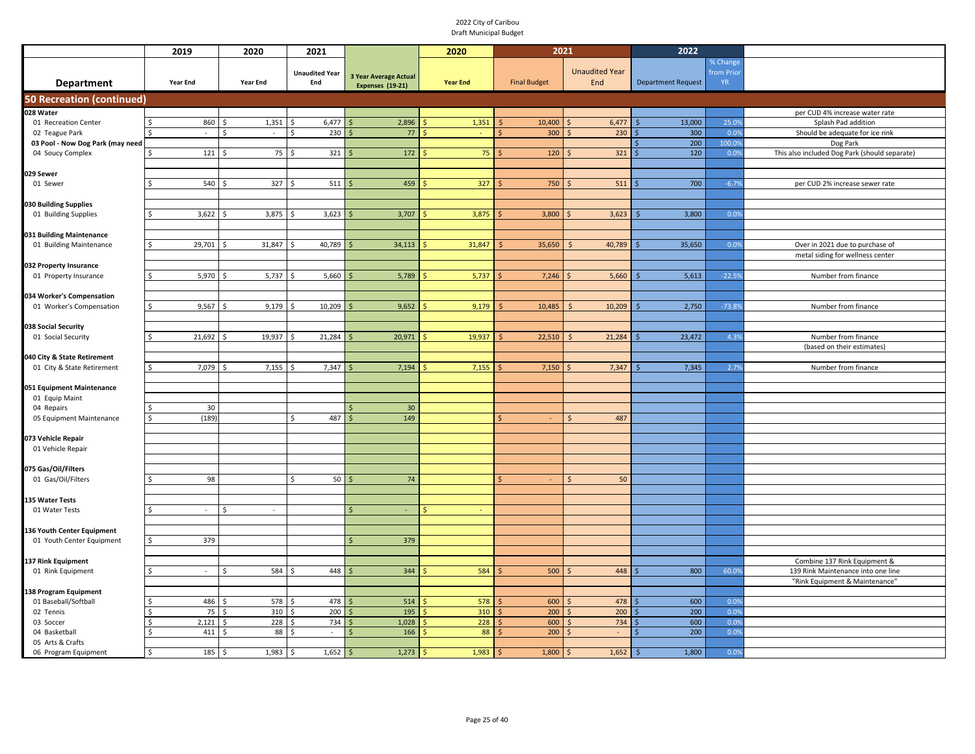|                                  | 2019                     | 2020                         | 2021                  |                              | 2020            | 2021                |                           | 2022                      |           |                                               |
|----------------------------------|--------------------------|------------------------------|-----------------------|------------------------------|-----------------|---------------------|---------------------------|---------------------------|-----------|-----------------------------------------------|
|                                  |                          |                              |                       |                              |                 |                     |                           |                           | % Change  |                                               |
|                                  |                          |                              | <b>Unaudited Year</b> | <b>3 Year Average Actual</b> |                 |                     | <b>Unaudited Year</b>     |                           | from Prio |                                               |
| <b>Department</b>                | <b>Year End</b>          | Year End                     | End                   | <b>Expenses (19-21)</b>      | <b>Year End</b> | <b>Final Budget</b> | End                       | <b>Department Request</b> | <b>YR</b> |                                               |
| <b>50 Recreation (continued)</b> |                          |                              |                       |                              |                 |                     |                           |                           |           |                                               |
| 028 Water                        |                          |                              |                       |                              |                 |                     |                           |                           |           | per CUD 4% increase water rate                |
| 01 Recreation Center             | 860<br>\$                | 1,351<br>-Ś                  | 6,477<br>Ŝ.           | 2,896                        | 1,351           | 10,400<br>Ś         | 6,477                     | 13,000                    | 25.09     | Splash Pad addition                           |
| 02 Teague Park                   | $\overline{\phantom{a}}$ | \$<br>$\sim$                 | $\zeta$<br>230        | 77                           |                 | 300                 | 230                       | 300                       | 0.0%      | Should be adequate for ice rink               |
| 03 Pool - Now Dog Park (may need |                          |                              |                       |                              |                 |                     |                           | 200                       | 100.09    | Dog Park                                      |
| 04 Soucy Complex                 | 121<br><sup>\$</sup>     | 75<br>$\hat{\zeta}$          | <sup>\$</sup><br>321  | 172                          | 75              | 120                 | 321                       | 120                       | 0.0%      | This also included Dog Park (should separate) |
|                                  |                          |                              |                       |                              |                 |                     |                           |                           |           |                                               |
| 029 Sewer                        |                          |                              |                       |                              |                 |                     |                           |                           |           |                                               |
| 01 Sewer                         | 540<br>Ŝ.                | 327<br>.S                    | 511<br>۱\$            | 459                          | 327             | 750                 | 511                       | 700                       | $-6.79$   | per CUD 2% increase sewer rate                |
|                                  |                          |                              |                       |                              |                 |                     |                           |                           |           |                                               |
| 030 Building Supplies            | 3,622                    | 3,875                        | 3,623                 | 3,707                        | 3,875           | 3,800               | 3,623                     | 3,800                     | 0.0%      |                                               |
| 01 Building Supplies             | Ś                        |                              | Ŝ                     |                              |                 |                     |                           |                           |           |                                               |
| 031 Building Maintenance         |                          |                              |                       |                              |                 |                     |                           |                           |           |                                               |
| 01 Building Maintenance          | \$<br>29,701             | 31,847                       | 40,789                | 34,113                       | 31,847          | 35,650              | 40,789                    | 35,650                    | 0.09      | Over in 2021 due to purchase of               |
|                                  |                          |                              |                       |                              |                 |                     |                           |                           |           | metal siding for wellness center              |
| 032 Property Insurance           |                          |                              |                       |                              |                 |                     |                           |                           |           |                                               |
| 01 Property Insurance            | 5,970<br>Ś               | 5,737                        | 5,660                 | 5,789                        | 5,737           | 7,246               | 5,660                     | 5,613                     | $-22.59$  | Number from finance                           |
|                                  |                          |                              |                       |                              |                 |                     |                           |                           |           |                                               |
| 034 Worker's Compensation        |                          |                              |                       |                              |                 |                     |                           |                           |           |                                               |
| 01 Worker's Compensation         | \$<br>9,567              | 9,179<br>Ŝ.                  | 10,209<br>Ś           | 9,652                        | 9,179           | 10,485              | 10,209                    | 2,750                     | $-73.89$  | Number from finance                           |
|                                  |                          |                              |                       |                              |                 |                     |                           |                           |           |                                               |
| 038 Social Security              |                          |                              |                       |                              |                 |                     |                           |                           |           |                                               |
| 01 Social Security               | 21,692<br>\$             | 19,937<br><sup>\$</sup>      | 21,284<br>-Ś          | 20,971                       | 19,937          | 22,510              | 21,284                    | 23,472                    | 4.3%      | Number from finance                           |
|                                  |                          |                              |                       |                              |                 |                     |                           |                           |           | (based on their estimates)                    |
| 040 City & State Retirement      |                          |                              | Ŝ.                    |                              |                 |                     |                           |                           |           |                                               |
| 01 City & State Retirement       | 7,079<br>\$              | 7,155                        | 7,347                 | 7,194                        | 7,155           | 7,150               | 7,347                     | 7,345                     | 2.7%      | Number from finance                           |
| 051 Equipment Maintenance        |                          |                              |                       |                              |                 |                     |                           |                           |           |                                               |
| 01 Equip Maint                   |                          |                              |                       |                              |                 |                     |                           |                           |           |                                               |
| 04 Repairs                       | 30<br>Ś                  |                              |                       | 30                           |                 |                     |                           |                           |           |                                               |
| 05 Equipment Maintenance         | (189)<br><sup>\$</sup>   |                              | 487<br>\$             | 149                          |                 | $\zeta$<br>$\sim$   | $\mathsf{\hat{S}}$<br>487 |                           |           |                                               |
|                                  |                          |                              |                       |                              |                 |                     |                           |                           |           |                                               |
| 073 Vehicle Repair               |                          |                              |                       |                              |                 |                     |                           |                           |           |                                               |
| 01 Vehicle Repair                |                          |                              |                       |                              |                 |                     |                           |                           |           |                                               |
|                                  |                          |                              |                       |                              |                 |                     |                           |                           |           |                                               |
| 075 Gas/Oil/Filters              |                          |                              |                       |                              |                 |                     |                           |                           |           |                                               |
| 01 Gas/Oil/Filters               | 98<br>S                  |                              | 50<br>\$              | 74                           |                 |                     | 50<br>S                   |                           |           |                                               |
|                                  |                          |                              |                       |                              |                 |                     |                           |                           |           |                                               |
| <b>135 Water Tests</b>           | ς<br>÷,                  | Ś                            |                       | $\mathsf{\hat{S}}$           |                 |                     |                           |                           |           |                                               |
| 01 Water Tests                   |                          |                              |                       |                              |                 |                     |                           |                           |           |                                               |
| 136 Youth Center Equipment       |                          |                              |                       |                              |                 |                     |                           |                           |           |                                               |
| 01 Youth Center Equipment        | 379<br>Ś                 |                              |                       | 379                          |                 |                     |                           |                           |           |                                               |
|                                  |                          |                              |                       |                              |                 |                     |                           |                           |           |                                               |
| 137 Rink Equipment               |                          |                              |                       |                              |                 |                     |                           |                           |           | Combine 137 Rink Equipment &                  |
| 01 Rink Equipment                | $\sim$<br>ς              | 584<br>\$                    | 448<br>-Ś             | 344                          | 584             | 500                 | 448                       | 800                       | 60.09     | 139 Rink Maintenance into one line            |
|                                  |                          |                              |                       |                              |                 |                     |                           |                           |           | "Rink Equipment & Maintenance"                |
| 138 Program Equipment            |                          |                              |                       |                              |                 |                     |                           |                           |           |                                               |
| 01 Baseball/Softball             | 486                      | 578<br>$\breve{\phantom{1}}$ | 478<br>Ś              | 514                          | 578             | 600                 | 478                       | 600                       | 0.09      |                                               |
| 02 Tennis                        | 75                       | 310<br>-Ś                    | 200<br>۱\$            | 195                          | 310             | 200                 | 200                       | 200                       | 0.0%      |                                               |
| 03 Soccer                        | 2,121<br>Ś               | 228<br>.\$                   | l \$<br>734           | 1,028<br>Ś                   | 228             | 600                 | 734                       | 600                       | 0.0%      |                                               |
| 04 Basketball                    | 411<br>Š.                | 88<br>-Ś                     | Ŝ.<br>$\sim$          | 166<br>$\zeta$               | 88              | 200                 | $\sim$                    | 200                       | 0.0%      |                                               |
| 05 Arts & Crafts                 |                          |                              |                       |                              |                 |                     |                           |                           |           |                                               |
| 06 Program Equipment             | 185<br>Ŝ.                | 1,983<br>-\$                 | 1,652<br>l \$         | 1,273<br>Ś                   | 1,983<br>.S     | 1,800<br>-Ś         | 1,652<br><sup>5</sup>     | 1,800                     | 0.0%      |                                               |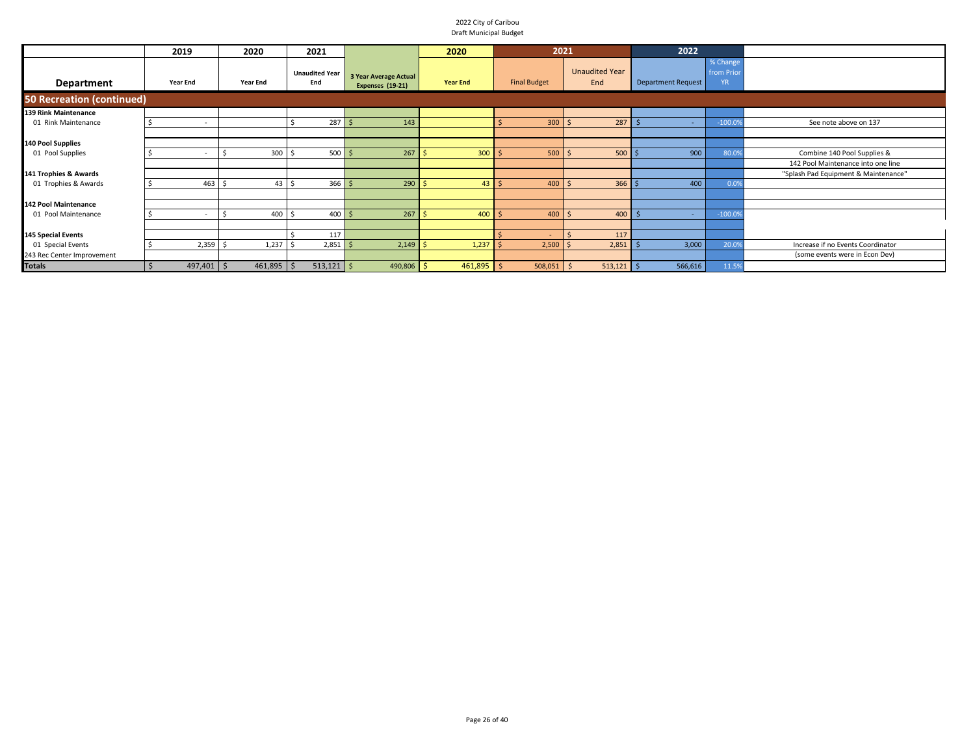|                                  | 2019                     | 2020     |                  | 2021                         |                                    |                                                  | 2020            |     | 2021                |                              | 2022                      |                                     |                                      |
|----------------------------------|--------------------------|----------|------------------|------------------------------|------------------------------------|--------------------------------------------------|-----------------|-----|---------------------|------------------------------|---------------------------|-------------------------------------|--------------------------------------|
| Department                       | Year End                 | Year End |                  | <b>Unaudited Year</b><br>End |                                    | 3 Year Average Actual<br><b>Expenses (19-21)</b> | <b>Year End</b> |     | <b>Final Budget</b> | <b>Unaudited Year</b><br>End | <b>Department Request</b> | % Change<br>from Prior<br><b>YR</b> |                                      |
| <b>50 Recreation (continued)</b> |                          |          |                  |                              |                                    |                                                  |                 |     |                     |                              |                           |                                     |                                      |
| <b>139 Rink Maintenance</b>      |                          |          |                  |                              |                                    |                                                  |                 |     |                     |                              |                           |                                     |                                      |
| 01 Rink Maintenance              | $\overline{\phantom{a}}$ |          |                  |                              | 287S                               | 143                                              |                 |     | 300                 | 287<br>- \$                  | $\overline{\phantom{a}}$  | $-100.09$                           | See note above on 137                |
|                                  |                          |          |                  |                              |                                    |                                                  |                 |     |                     |                              |                           |                                     |                                      |
| 140 Pool Supplies                |                          |          |                  |                              |                                    |                                                  |                 |     |                     |                              |                           |                                     |                                      |
| 01 Pool Supplies                 | $\overline{\phantom{a}}$ |          | 300 <sup>5</sup> |                              | $500$ \$                           | 267                                              | 300             |     | 500                 | 500<br>$\mathsf{S}$          | 900                       | 80.09                               | Combine 140 Pool Supplies &          |
|                                  |                          |          |                  |                              |                                    |                                                  |                 |     |                     |                              |                           |                                     | 142 Pool Maintenance into one line   |
| 141 Trophies & Awards            |                          |          |                  |                              |                                    |                                                  |                 |     |                     |                              |                           |                                     | "Splash Pad Equipment & Maintenance" |
| 01 Trophies & Awards             | 463                      |          | 43               | כ ו                          | $366$ \$                           | 290                                              | $43 \mid 5$     |     | 400                 | 366<br>- Ś                   | 400                       | 0.09                                |                                      |
|                                  |                          |          |                  |                              |                                    |                                                  |                 |     |                     |                              |                           |                                     |                                      |
| <b>142 Pool Maintenance</b>      |                          |          |                  |                              |                                    |                                                  |                 |     |                     |                              |                           |                                     |                                      |
| 01 Pool Maintenance              | $\overline{\phantom{a}}$ |          | 400 \$           |                              | $400 \overline{\smash{\big)} }$ \$ | 267                                              | 400             |     | 400                 | 400<br>-S                    | ۰                         | $-100.09$                           |                                      |
|                                  |                          |          |                  |                              |                                    |                                                  |                 |     |                     |                              |                           |                                     |                                      |
| <b>145 Special Events</b>        |                          |          |                  |                              | 117                                |                                                  |                 |     |                     | 117                          |                           |                                     |                                      |
| 01 Special Events                | $2,359$ \$               |          | 1,237            |                              | $2,851$ \$                         | 2,149                                            | 1,237           | ∣<∫ | 2,500               | 2,851                        | 3,000                     | 20.09                               | Increase if no Events Coordinator    |
| 243 Rec Center Improvement       |                          |          |                  |                              |                                    |                                                  |                 |     |                     |                              |                           |                                     | (some events were in Econ Dev)       |
| <b>Totals</b>                    | $497,401$ \$             |          | $461,895$ \$     |                              | $513,121$ \$                       | 490,806                                          | $461,895$ \$    |     | $508,051$ \$        | $513,121$ \$                 | 566,616                   | 11.59                               |                                      |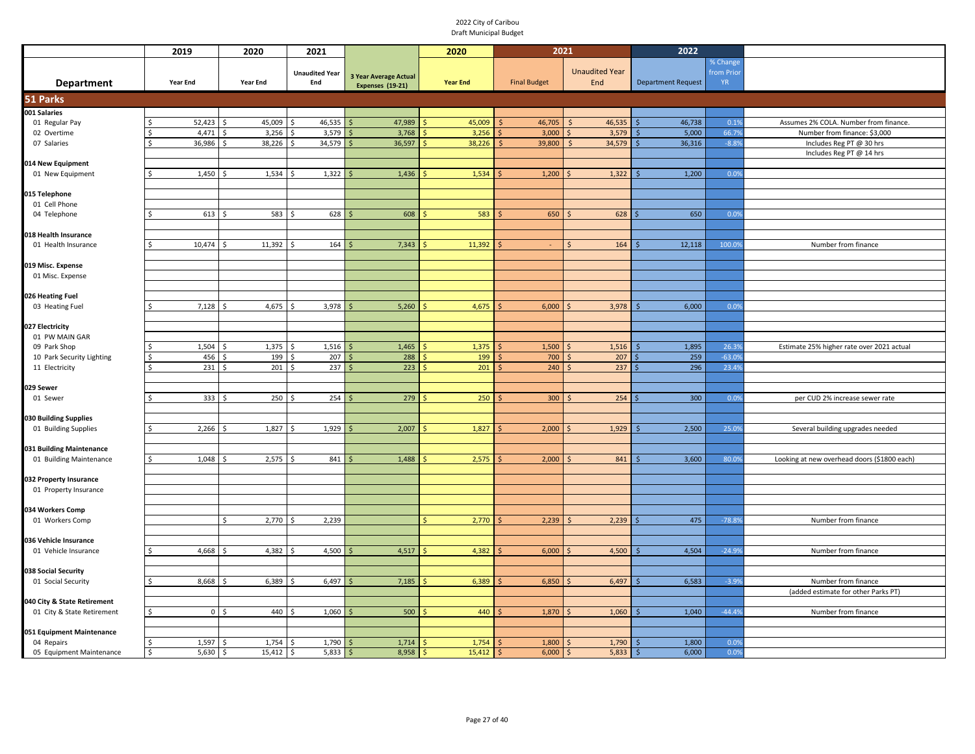|                                               | 2019               |                   | 2020                         | 2021                  |                       | 2020            | 2021                |    |                       | 2022                      |           |                                             |
|-----------------------------------------------|--------------------|-------------------|------------------------------|-----------------------|-----------------------|-----------------|---------------------|----|-----------------------|---------------------------|-----------|---------------------------------------------|
|                                               |                    |                   |                              |                       |                       |                 |                     |    |                       |                           | % Change  |                                             |
|                                               |                    |                   |                              | <b>Unaudited Year</b> | 3 Year Average Actual |                 |                     |    | <b>Unaudited Year</b> |                           | from Prio |                                             |
| <b>Department</b>                             | Year End           |                   | Year End                     | End                   | Expenses (19-21)      | <b>Year End</b> | <b>Final Budget</b> |    | End                   | <b>Department Request</b> | <b>YR</b> |                                             |
| 51 Parks                                      |                    |                   |                              |                       |                       |                 |                     |    |                       |                           |           |                                             |
| 001 Salaries                                  |                    |                   |                              |                       |                       |                 |                     |    |                       |                           |           |                                             |
| 01 Regular Pay                                |                    | 52,423            | 45,009                       | 46,535                | 47,989                | 45,009          | 46,705              |    | 46,535                | 46,738                    | 0.1%      | Assumes 2% COLA. Number from finance.       |
| 02 Overtime                                   |                    | 4,471             | 3,256                        | 3,579                 | 3,768                 | 3,256           | 3,000               |    | 3,579                 | 5,000                     | 66.79     | Number from finance: \$3,000                |
| 07 Salaries                                   |                    | 36,986            | 38,226                       | 34,579                | 36,597                | 38,226          | 39,800              |    | 34,579                | 36,316                    | $-8.8%$   | Includes Reg PT @ 30 hrs                    |
|                                               |                    |                   |                              |                       |                       |                 |                     |    |                       |                           |           | Includes Reg PT @ 14 hrs                    |
| 014 New Equipment                             |                    |                   |                              | Ŝ.                    |                       |                 |                     |    |                       | 1,200                     | 0.0%      |                                             |
| 01 New Equipment                              |                    | 1,450             | 1,534                        | 1,322                 | 1,436<br>l\$          | 1,534           | 1,200               |    | 1,322                 |                           |           |                                             |
| 015 Telephone                                 |                    |                   |                              |                       |                       |                 |                     |    |                       |                           |           |                                             |
| 01 Cell Phone                                 |                    |                   |                              |                       |                       |                 |                     |    |                       |                           |           |                                             |
| 04 Telephone                                  |                    | 613               | 583<br>-Ś                    | 628                   | 608<br>l \$           | 583             | 650                 | S  | 628                   | 650                       | 0.0%      |                                             |
|                                               |                    |                   |                              |                       |                       |                 |                     |    |                       |                           |           |                                             |
| 018 Health Insurance                          |                    |                   |                              |                       |                       |                 |                     |    |                       |                           |           |                                             |
| 01 Health Insurance                           |                    | 10,474            | 11,392                       | 164                   | 7,343                 | 11,392          |                     |    | 164                   | 12,118                    | 100.09    | Number from finance                         |
|                                               |                    |                   |                              |                       |                       |                 |                     |    |                       |                           |           |                                             |
| 019 Misc. Expense                             |                    |                   |                              |                       |                       |                 |                     |    |                       |                           |           |                                             |
| 01 Misc. Expense                              |                    |                   |                              |                       |                       |                 |                     |    |                       |                           |           |                                             |
|                                               |                    |                   |                              |                       |                       |                 |                     |    |                       |                           |           |                                             |
| 026 Heating Fuel<br>03 Heating Fuel           |                    | 7,128             | 4,675                        | 3,978                 | 5,260<br>Ś            | 4,675           | 6,000               |    | 3,978                 | 6,000                     | 0.0%      |                                             |
|                                               |                    |                   |                              |                       |                       |                 |                     |    |                       |                           |           |                                             |
| 027 Electricity                               |                    |                   |                              |                       |                       |                 |                     |    |                       |                           |           |                                             |
| 01 PW MAIN GAR                                |                    |                   |                              |                       |                       |                 |                     |    |                       |                           |           |                                             |
| 09 Park Shop                                  |                    | 1,504             | 1,375                        | 1,516                 | 1,465                 | 1,375           | 1,500               |    | 1,516                 | 1,895                     | 26.3%     | Estimate 25% higher rate over 2021 actual   |
| 10 Park Security Lighting                     | -Ś                 | 456               | 199                          | 207                   | 288                   | 199             | 700                 |    | 207                   | 259                       | $-63.09$  |                                             |
| 11 Electricity                                | $\mathsf{\hat{S}}$ | $231 \frac{1}{2}$ | $201 \frac{1}{2}$            | 237                   | 223<br>l \$           | 201             | 240                 |    | 237                   | 296                       | 23.4%     |                                             |
|                                               |                    |                   |                              |                       |                       |                 |                     |    |                       |                           |           |                                             |
| 029 Sewer                                     |                    |                   |                              |                       |                       |                 |                     |    |                       |                           |           |                                             |
| 01 Sewer                                      | -Ś                 | 333               | 250<br>S,                    | 254<br>S,             | 279                   | 250             | 300                 |    | 254                   | 300                       | 0.0%      | per CUD 2% increase sewer rate              |
|                                               |                    |                   |                              |                       |                       |                 |                     |    |                       |                           |           |                                             |
| 030 Building Supplies<br>01 Building Supplies | \$                 | 2,266             | 1,827<br>$\breve{\varsigma}$ | 1,929<br>Ŝ.           | 2,007<br>-S           | 1,827           | 2,000               |    | 1,929                 | 2,500                     | 25.0%     | Several building upgrades needed            |
|                                               |                    |                   |                              |                       |                       |                 |                     |    |                       |                           |           |                                             |
| 031 Building Maintenance                      |                    |                   |                              |                       |                       |                 |                     |    |                       |                           |           |                                             |
| 01 Building Maintenance                       |                    | 1,048             | 2,575                        | 841                   | 1,488                 | 2,575           | 2,000               |    | 841                   | 3,600                     | 80.0%     | Looking at new overhead doors (\$1800 each) |
|                                               |                    |                   |                              |                       |                       |                 |                     |    |                       |                           |           |                                             |
| 032 Property Insurance                        |                    |                   |                              |                       |                       |                 |                     |    |                       |                           |           |                                             |
| 01 Property Insurance                         |                    |                   |                              |                       |                       |                 |                     |    |                       |                           |           |                                             |
|                                               |                    |                   |                              |                       |                       |                 |                     |    |                       |                           |           |                                             |
| 034 Workers Comp                              |                    |                   |                              |                       |                       |                 |                     |    |                       |                           |           |                                             |
| 01 Workers Comp                               |                    |                   | 2,770<br>\$                  | 2,239                 |                       | 2,770           | 2,239               |    | 2,239                 | 475                       | $-78.8%$  | Number from finance                         |
|                                               |                    |                   |                              |                       |                       |                 |                     |    |                       |                           |           |                                             |
| 036 Vehicle Insurance<br>01 Vehicle Insurance | -Ś                 | 4,668             | 4,382                        | 4,500                 | 4,517                 | 4,382           | 6,000               |    | 4,500                 | 4,504                     | $-24.99$  | Number from finance                         |
|                                               |                    |                   |                              |                       |                       |                 |                     |    |                       |                           |           |                                             |
| 038 Social Security                           |                    |                   |                              |                       |                       |                 |                     |    |                       |                           |           |                                             |
| 01 Social Security                            |                    | 8,668             | 6,389                        | 6,497                 | 7,185                 | 6,389           | 6,850               |    | 6,497                 | 6,583                     | $-3.9%$   | Number from finance                         |
|                                               |                    |                   |                              |                       |                       |                 |                     |    |                       |                           |           | (added estimate for other Parks PT)         |
| 040 City & State Retirement                   |                    |                   |                              |                       |                       |                 |                     |    |                       |                           |           |                                             |
| 01 City & State Retirement                    | \$                 | 0 <sup>5</sup>    | 440                          | 1,060                 | 500<br>-S             | 440             | 1,870               |    | 1,060                 | 1,040                     | $-44.4%$  | Number from finance                         |
|                                               |                    |                   |                              |                       |                       |                 |                     |    |                       |                           |           |                                             |
| 051 Equipment Maintenance                     |                    |                   |                              |                       |                       |                 |                     |    |                       |                           |           |                                             |
| 04 Repairs                                    |                    | 1,597             | 1,754                        | 1,790                 | 1,714                 | 1,754           | 1,800               |    | 1,790                 | 1,800                     | 0.0%      |                                             |
| 05 Equipment Maintenance                      | $\sqrt{5}$         | 5,630             | $15,412$ \$<br>ا \$          | 5,833                 | 8,958<br>  \$         | 15,412<br>S     | 6,000<br>Ŝ.         | -S | 5,833                 | 6,000                     | 0.0%      |                                             |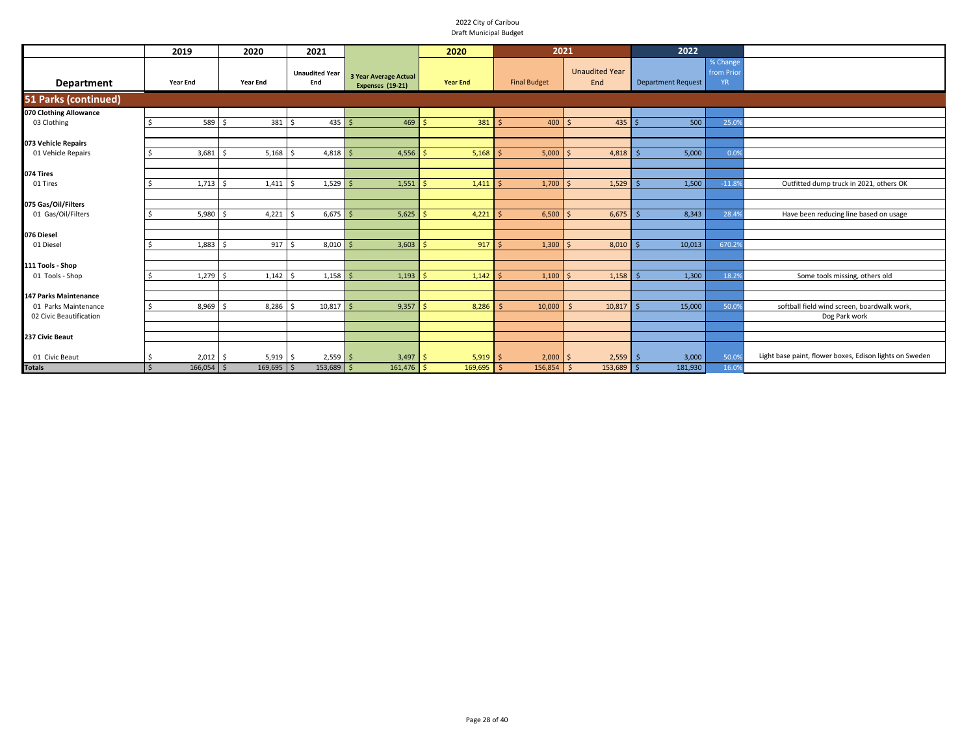|                              | 2019                                    | 2020                           | 2021                                 |                                           | 2020            | 2021                |                              | 2022                      |                                    |                                                         |
|------------------------------|-----------------------------------------|--------------------------------|--------------------------------------|-------------------------------------------|-----------------|---------------------|------------------------------|---------------------------|------------------------------------|---------------------------------------------------------|
| Department                   | Year End                                | Year End                       | <b>Unaudited Year</b><br>End         | 3 Year Average Actual<br>Expenses (19-21) | <b>Year End</b> | <b>Final Budget</b> | <b>Unaudited Year</b><br>End | <b>Department Request</b> | % Change<br>from Prio<br><b>YR</b> |                                                         |
| <b>51 Parks (continued)</b>  |                                         |                                |                                      |                                           |                 |                     |                              |                           |                                    |                                                         |
| 070 Clothing Allowance       |                                         |                                |                                      |                                           |                 |                     |                              |                           |                                    |                                                         |
| 03 Clothing                  | 589                                     | 381 \$<br>-Ś                   | $435$ \$                             | 469                                       | 381             | 400                 | 435<br>$\breve{\varsigma}$   | 500                       | 25.09                              |                                                         |
|                              |                                         |                                |                                      |                                           |                 |                     |                              |                           |                                    |                                                         |
| 073 Vehicle Repairs          |                                         |                                |                                      |                                           |                 |                     |                              |                           |                                    |                                                         |
| 01 Vehicle Repairs           | 3,681                                   | $5,168$ \$<br>K,               | $4,818$ \$                           | 4,556                                     | 5,168           | 5,000               | 4,818<br>$\ddot{\sim}$       | 5,000                     | 0.09                               |                                                         |
|                              |                                         |                                |                                      |                                           |                 |                     |                              |                           |                                    |                                                         |
| 074 Tires                    |                                         |                                |                                      |                                           |                 |                     |                              |                           |                                    |                                                         |
| 01 Tires                     | 1,713                                   | 1,411                          | $1,529$ \$<br>.S                     | 1,551                                     | 1,411           | 1,700               | 1,529<br>$\breve{\varsigma}$ | 1,500                     | $-11.89$                           | Outfitted dump truck in 2021, others OK                 |
|                              |                                         |                                |                                      |                                           |                 |                     |                              |                           |                                    |                                                         |
| 075 Gas/Oil/Filters          |                                         |                                |                                      |                                           |                 |                     |                              |                           |                                    |                                                         |
| 01 Gas/Oil/Filters           | 5,980                                   | 4,221                          | $6,675$ \$<br>-Ś                     | 5,625                                     | 4,221           | 6,500               | 6,675                        | 8,343                     | 28.4%                              | Have been reducing line based on usage                  |
| 076 Diesel                   |                                         |                                |                                      |                                           |                 |                     |                              |                           |                                    |                                                         |
| 01 Diesel                    | 1,883                                   | 917                            | 8,010                                | 3,603                                     | 917             | 1,300               | 8,010                        | 10,013                    | 670.29                             |                                                         |
|                              |                                         |                                |                                      |                                           |                 |                     |                              |                           |                                    |                                                         |
| 111 Tools - Shop             |                                         |                                |                                      |                                           |                 |                     |                              |                           |                                    |                                                         |
| 01 Tools - Shop              | 1,279                                   | 1,142                          | $1,158$ \$                           | 1,193                                     | 1,142           | 1,100               | 1,158                        | 1,300                     | 18.29                              | Some tools missing, others old                          |
|                              |                                         |                                |                                      |                                           |                 |                     |                              |                           |                                    |                                                         |
| <b>147 Parks Maintenance</b> |                                         |                                |                                      |                                           |                 |                     |                              |                           |                                    |                                                         |
| 01 Parks Maintenance         | 8,969                                   | 8,286<br>$\breve{\phantom{1}}$ | $10,817$ \$<br>$\breve{\phantom{1}}$ | 9,357                                     | 8,286           | 10,000<br>$\leq$    | 10,817                       | 15,000                    | 50.09                              | softball field wind screen, boardwalk work,             |
| 02 Civic Beautification      |                                         |                                |                                      |                                           |                 |                     |                              |                           |                                    | Dog Park work                                           |
|                              |                                         |                                |                                      |                                           |                 |                     |                              |                           |                                    |                                                         |
| 237 Civic Beaut              |                                         |                                |                                      |                                           |                 |                     |                              |                           |                                    |                                                         |
|                              |                                         |                                |                                      |                                           |                 |                     |                              |                           |                                    |                                                         |
| 01 Civic Beaut               | $2,012$ \$                              | $5,919$ \$                     | $2,559$ \$                           | 3,497                                     | $5,919$ \$      | 2,000               | $2,559$ \$<br>S.             | 3,000                     | 50.09                              | Light base paint, flower boxes, Edison lights on Sweden |
| <b>Totals</b>                | $166,054$ \$<br>$\overline{\mathsf{s}}$ | $169,695$ \$                   | $153,689$ \$                         | $161,476$ \$                              | $169,695$ \$    | $156,854$ \$        | $153,689$ \$                 | 181,930                   | 16.0%                              |                                                         |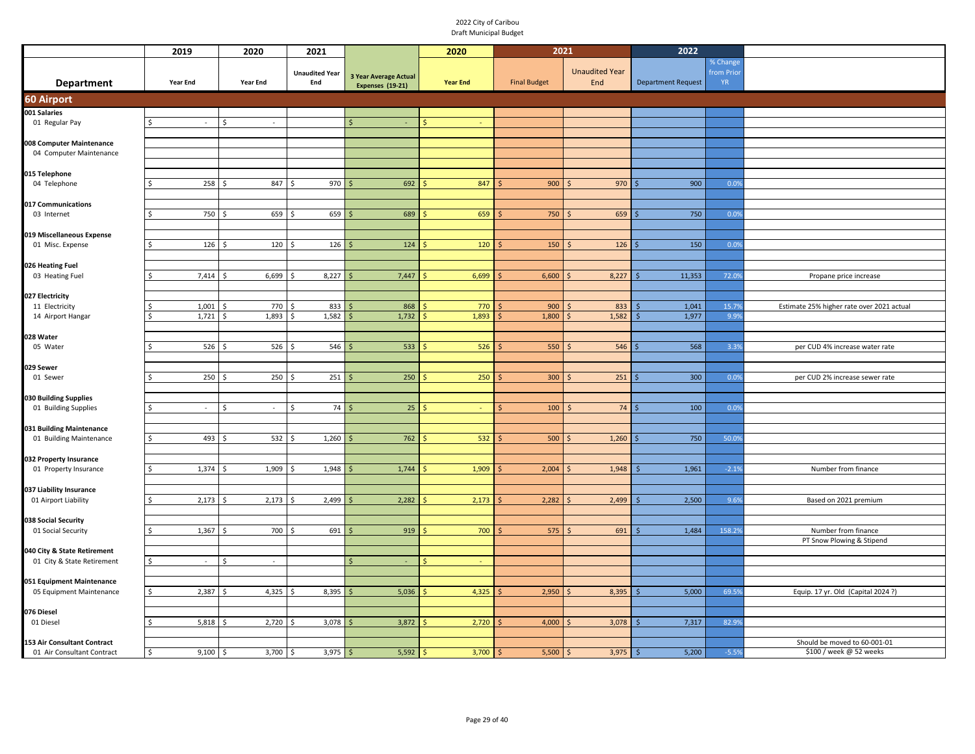|                                                           | 2019                  | 2020            | 2021                         |                                                  | 2020            | 2021                |                              | 2022                      |                                     |                                           |
|-----------------------------------------------------------|-----------------------|-----------------|------------------------------|--------------------------------------------------|-----------------|---------------------|------------------------------|---------------------------|-------------------------------------|-------------------------------------------|
| <b>Department</b>                                         | <b>Year End</b>       | <b>Year End</b> | <b>Unaudited Year</b><br>End | <b>3 Year Average Actual</b><br>Expenses (19-21) | <b>Year End</b> | <b>Final Budget</b> | <b>Unaudited Year</b><br>End | <b>Department Request</b> | % Change<br>from Prior<br><b>YR</b> |                                           |
| 60 Airport                                                |                       |                 |                              |                                                  |                 |                     |                              |                           |                                     |                                           |
| 001 Salaries                                              |                       |                 |                              |                                                  |                 |                     |                              |                           |                                     |                                           |
| 01 Regular Pay                                            | $\sim$<br>\$          | Ŝ.<br>$\sim$    |                              | $\zeta$                                          |                 |                     |                              |                           |                                     |                                           |
|                                                           |                       |                 |                              |                                                  |                 |                     |                              |                           |                                     |                                           |
| 008 Computer Maintenance                                  |                       |                 |                              |                                                  |                 |                     |                              |                           |                                     |                                           |
| 04 Computer Maintenance                                   |                       |                 |                              |                                                  |                 |                     |                              |                           |                                     |                                           |
| 015 Telephone                                             |                       |                 |                              |                                                  |                 |                     |                              |                           |                                     |                                           |
| 04 Telephone                                              | 258<br>S.             | 847             | 970                          | 692                                              | 847             | 900                 | 970<br>-S                    | 900                       | 0.0%                                |                                           |
|                                                           |                       |                 |                              |                                                  |                 |                     |                              |                           |                                     |                                           |
| 017 Communications<br>03 Internet                         | 750                   | 659             | 659<br>ς.                    | 689<br>Ŝ.                                        | 659             | 750                 | 659<br>$\zeta$               | 750                       | 0.0%                                |                                           |
|                                                           |                       |                 |                              |                                                  |                 |                     |                              |                           |                                     |                                           |
| 019 Miscellaneous Expense                                 |                       |                 |                              |                                                  |                 |                     |                              |                           |                                     |                                           |
| 01 Misc. Expense                                          | 126<br>Ŝ              | 120             | 126<br>Ŝ                     | 124                                              | 120             | 150                 | 126                          | 150                       | 0.0%                                |                                           |
|                                                           |                       |                 |                              |                                                  |                 |                     |                              |                           |                                     |                                           |
| 026 Heating Fuel<br>03 Heating Fuel                       | 7,414                 | 6,699           | 8,227                        | 7,447<br>Ŝ.                                      | 6,699           | 6,600               | 8,227                        | 11,353                    | 72.09                               | Propane price increase                    |
|                                                           |                       |                 |                              |                                                  |                 |                     |                              |                           |                                     |                                           |
| 027 Electricity                                           |                       |                 |                              |                                                  |                 |                     |                              |                           |                                     |                                           |
| 11 Electricity                                            | 1,001                 | 770             | 833                          | 868                                              | 770             | 900                 | 833                          | 1,041                     | 15.79                               | Estimate 25% higher rate over 2021 actual |
| 14 Airport Hangar                                         | 1,721                 | 1,893           | 1,582                        | 1,732                                            | 1,893           | 1,800               | 1,582                        | 1,977                     | 9.9%                                |                                           |
| 028 Water                                                 |                       |                 |                              |                                                  |                 |                     |                              |                           |                                     |                                           |
| 05 Water                                                  | 526                   | 526<br>Š.       | 546<br>Ŝ.                    | 533                                              | 526             | 550                 | 546<br>-S                    | 568                       | 3.3%                                | per CUD 4% increase water rate            |
|                                                           |                       |                 |                              |                                                  |                 |                     |                              |                           |                                     |                                           |
| 029 Sewer                                                 |                       |                 |                              |                                                  |                 |                     |                              |                           |                                     |                                           |
| 01 Sewer                                                  | 250                   | 250             | 251                          | 250                                              | 250             | 300                 | 251                          | 300                       | 0.0%                                | per CUD 2% increase sewer rate            |
| 030 Building Supplies                                     |                       |                 |                              |                                                  |                 |                     |                              |                           |                                     |                                           |
| 01 Building Supplies                                      | $\mathcal{A}$         | \$<br>$\sim$    | 74<br>\$                     | 25                                               |                 | 100                 | 74                           | 100                       | 0.0%                                |                                           |
|                                                           |                       |                 |                              |                                                  |                 |                     |                              |                           |                                     |                                           |
| 031 Building Maintenance                                  |                       |                 |                              |                                                  |                 |                     |                              |                           |                                     |                                           |
| 01 Building Maintenance                                   | 493<br>Ŝ.             | 532             | 1,260                        | 762                                              | 532             | 500                 | 1,260                        | 750                       | 50.09                               |                                           |
| 032 Property Insurance                                    |                       |                 |                              |                                                  |                 |                     |                              |                           |                                     |                                           |
| 01 Property Insurance                                     | 1,374                 | 1,909           | 1,948                        | 1,744<br>Ś.                                      | 1,909           | 2,004               | 1,948                        | 1,961                     | $-2.19$                             | Number from finance                       |
|                                                           |                       |                 |                              |                                                  |                 |                     |                              |                           |                                     |                                           |
| 037 Liability Insurance<br>01 Airport Liability           | 2,173                 | 2,173           | 2,499                        | 2,282                                            | 2,173           | 2,282               | 2,499                        | 2,500                     | 9.6%                                | Based on 2021 premium                     |
|                                                           |                       |                 |                              |                                                  |                 |                     |                              |                           |                                     |                                           |
| 038 Social Security                                       |                       |                 |                              |                                                  |                 |                     |                              |                           |                                     |                                           |
| 01 Social Security                                        | 1,367                 | 700             | 691                          | 919                                              | 700             | 575                 | 691                          | 1,484                     | 158.29                              | Number from finance                       |
|                                                           |                       |                 |                              |                                                  |                 |                     |                              |                           |                                     | PT Snow Plowing & Stipend                 |
| 040 City & State Retirement<br>01 City & State Retirement | $\sim$                | Ś<br>$\sim$     |                              | Ś.                                               |                 |                     |                              |                           |                                     |                                           |
|                                                           |                       |                 |                              |                                                  |                 |                     |                              |                           |                                     |                                           |
| 051 Equipment Maintenance                                 |                       |                 |                              |                                                  |                 |                     |                              |                           |                                     |                                           |
| 05 Equipment Maintenance                                  | 2,387<br>$\mathsf{S}$ | 4,325<br>Š.     | 8,395<br>\$.                 | 5,036                                            | 4,325           | 2,950               | 8,395<br><sup>5</sup>        | 5,000                     | 69.5%                               | Equip. 17 yr. Old (Capital 2024 ?)        |
|                                                           |                       |                 |                              |                                                  |                 |                     |                              |                           |                                     |                                           |
| 076 Diesel<br>01 Diesel                                   | 5,818                 | 2,720           | 3,078                        | 3,872<br>Ŝ.                                      | 2,720           | 4,000               | 3,078                        | 7,317                     | 82.99                               |                                           |
|                                                           |                       |                 |                              |                                                  |                 |                     |                              |                           |                                     |                                           |
| 153 Air Consultant Contract                               |                       |                 |                              |                                                  |                 |                     |                              |                           |                                     | Should be moved to 60-001-01              |
| 01 Air Consultant Contract                                | 9,100<br>Ŝ.           | 3,700<br>-\$    | 3,975<br>\$                  | 5,592<br>Ŝ.                                      | 3,700           | $5,500$ \$<br>S     | $3,975$ \$                   | 5,200                     | $-5.5%$                             | \$100 / week @ 52 weeks                   |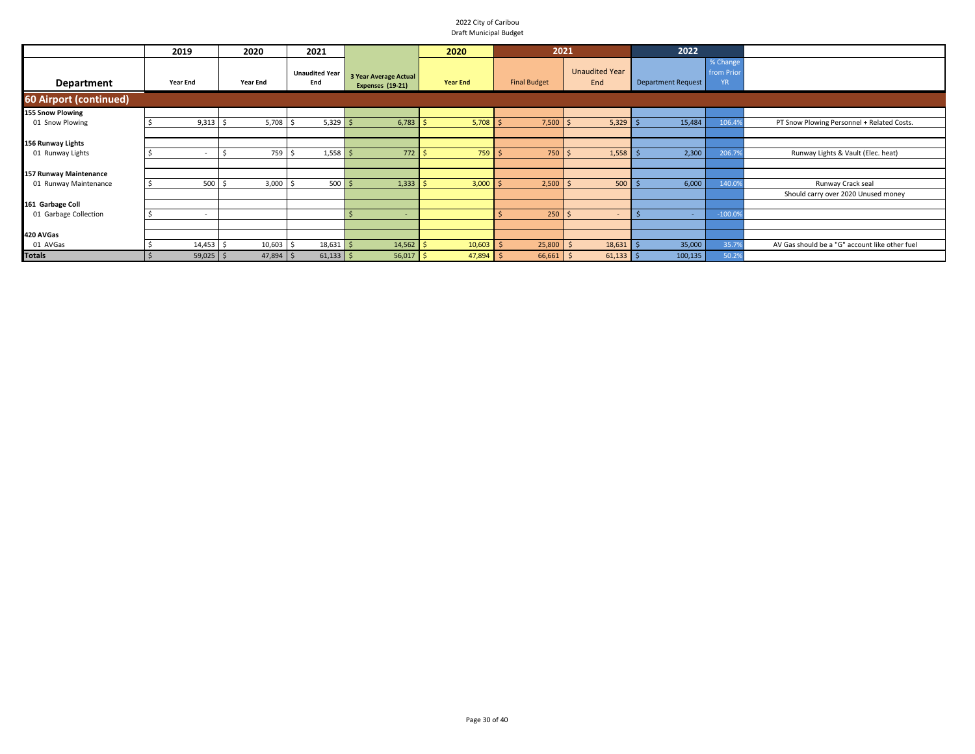|                        | 2019                     |             | 2020        | 2021                                   |                                                  | 2020            | 2021                |                              | 2022                      |                                     |                                                |
|------------------------|--------------------------|-------------|-------------|----------------------------------------|--------------------------------------------------|-----------------|---------------------|------------------------------|---------------------------|-------------------------------------|------------------------------------------------|
| Department             | Year End                 |             | Year End    | <b>Unaudited Year</b><br>End           | 3 Year Average Actual<br><b>Expenses (19-21)</b> | <b>Year End</b> | <b>Final Budget</b> | <b>Unaudited Year</b><br>End | <b>Department Request</b> | % Change<br>from Prior<br><b>YR</b> |                                                |
| 60 Airport (continued) |                          |             |             |                                        |                                                  |                 |                     |                              |                           |                                     |                                                |
| 155 Snow Plowing       |                          |             |             |                                        |                                                  |                 |                     |                              |                           |                                     |                                                |
| 01 Snow Plowing        |                          | 9,313       | 5,708       | $5,329$ \$                             | 6,783                                            | 5,708           | 7,500               | 5,329                        | 15,484                    | 106.49                              | PT Snow Plowing Personnel + Related Costs.     |
|                        |                          |             |             |                                        |                                                  |                 |                     |                              |                           |                                     |                                                |
| 156 Runway Lights      |                          |             |             |                                        |                                                  |                 |                     |                              |                           |                                     |                                                |
| 01 Runway Lights       | $\overline{\phantom{a}}$ |             | 759<br>ž.   | $1,558$ \$<br>$\overline{\phantom{a}}$ | 772                                              | 759             | 750                 | 1,558                        | 2,300                     | 206.79                              | Runway Lights & Vault (Elec. heat)             |
|                        |                          |             |             |                                        |                                                  |                 |                     |                              |                           |                                     |                                                |
| 157 Runway Maintenance |                          |             |             |                                        |                                                  |                 |                     |                              |                           |                                     |                                                |
| 01 Runway Maintenance  |                          | 500         | 3,000       | $500 \, \text{S}$<br>-S                | 1,333                                            | 3,000           | 2,500               | 500                          | 6,000                     | 140.09                              | Runway Crack seal                              |
|                        |                          |             |             |                                        |                                                  |                 |                     |                              |                           |                                     | Should carry over 2020 Unused money            |
| 161 Garbage Coll       |                          |             |             |                                        |                                                  |                 |                     |                              |                           |                                     |                                                |
| 01 Garbage Collection  | $\overline{\phantom{a}}$ |             |             |                                        | -S                                               |                 | 250                 |                              |                           | $-100.09$                           |                                                |
|                        |                          |             |             |                                        |                                                  |                 |                     |                              |                           |                                     |                                                |
| 420 AVGas              |                          |             |             |                                        |                                                  |                 |                     |                              |                           |                                     |                                                |
| 01 AVGas               |                          | 14,453      | $10,603$ \$ | $18,631$ \$                            | 14,562                                           | 10,603          | 25,800              | 18,631                       | 35,000                    | 35.79                               | AV Gas should be a "G" account like other fuel |
| <b>Totals</b>          |                          | $59,025$ \$ | $47,894$ \$ | $61,133$ \$                            | $56,017$ \$                                      | $47,894$ \$     | 66,661              | $61,133$ \$                  | 100,135                   | 50.29                               |                                                |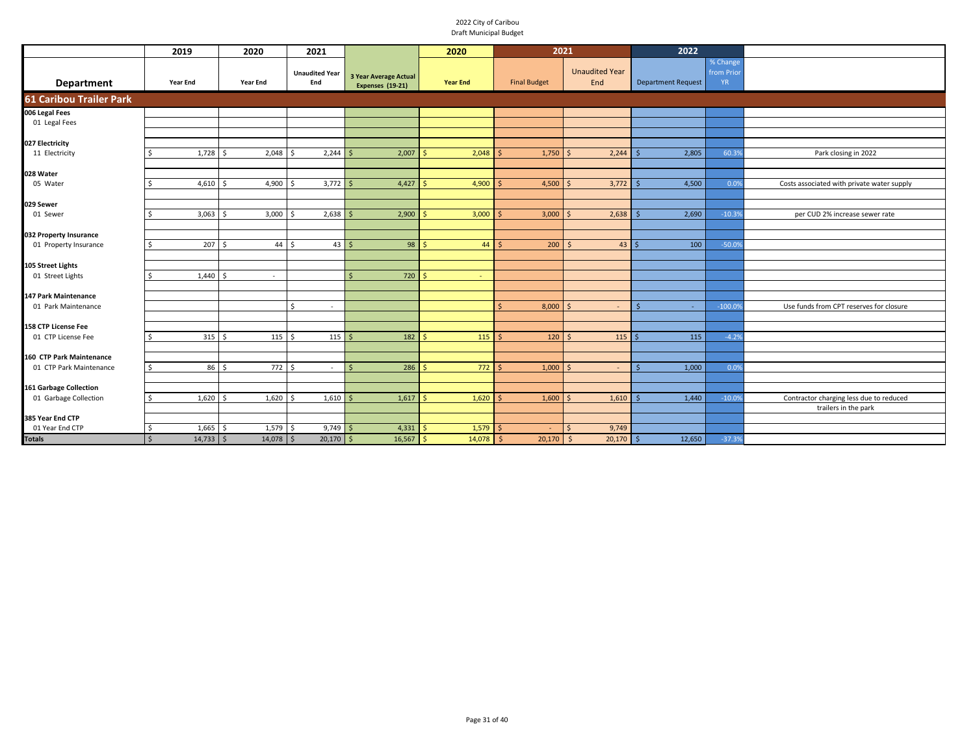|                                     | 2019                   | 2020              | 2021                         |                                                         | 2020            | 2021                |                              | 2022                      |                                     |                                            |
|-------------------------------------|------------------------|-------------------|------------------------------|---------------------------------------------------------|-----------------|---------------------|------------------------------|---------------------------|-------------------------------------|--------------------------------------------|
| Department                          | <b>Year End</b>        | Year End          | <b>Unaudited Year</b><br>End | <b>3 Year Average Actual</b><br><b>Expenses (19-21)</b> | <b>Year End</b> | <b>Final Budget</b> | <b>Unaudited Year</b><br>End | <b>Department Request</b> | % Change<br>from Prior<br><b>YR</b> |                                            |
| <b>61 Caribou Trailer Park</b>      |                        |                   |                              |                                                         |                 |                     |                              |                           |                                     |                                            |
| 006 Legal Fees                      |                        |                   |                              |                                                         |                 |                     |                              |                           |                                     |                                            |
| 01 Legal Fees                       |                        |                   |                              |                                                         |                 |                     |                              |                           |                                     |                                            |
|                                     |                        |                   |                              |                                                         |                 |                     |                              |                           |                                     |                                            |
| 027 Electricity<br>11 Electricity   | 1,728<br>Ś             | 2,048<br>$\zeta$  | 2,244<br>Š.                  | 2,007                                                   | 2,048           | 1,750               | 2,244                        | 2,805                     | 60.39                               | Park closing in 2022                       |
|                                     |                        |                   |                              |                                                         |                 |                     |                              |                           |                                     |                                            |
| 028 Water                           |                        |                   |                              |                                                         |                 |                     |                              |                           |                                     |                                            |
| 05 Water                            | 4,610                  | 4,900<br>S,       | 3,772<br>$\zeta$             | 4,427                                                   | 4,900           | 4,500               | 3,772                        | 4,500                     | 0.0%                                | Costs associated with private water supply |
|                                     |                        |                   |                              |                                                         |                 |                     |                              |                           |                                     |                                            |
| 029 Sewer                           | Ś.                     | $\hat{\zeta}$     | Ś,                           |                                                         |                 |                     |                              |                           |                                     |                                            |
| 01 Sewer                            | 3,063                  | 3,000             | 2,638                        | 2,900                                                   | 3,000           | 3,000               | 2,638                        | 2,690                     | $-10.39$                            | per CUD 2% increase sewer rate             |
| 032 Property Insurance              |                        |                   |                              |                                                         |                 |                     |                              |                           |                                     |                                            |
| 01 Property Insurance               | 207<br>Ś.              | 44<br>l \$        | 43<br>Ŝ.                     | 98                                                      | 44              | 200<br><b>S</b>     | 43<br>$\leq$                 | 100                       | $-50.09$                            |                                            |
|                                     |                        |                   |                              |                                                         |                 |                     |                              |                           |                                     |                                            |
| 105 Street Lights                   |                        |                   |                              |                                                         |                 |                     |                              |                           |                                     |                                            |
| 01 Street Lights                    | 1,440                  | l \$<br>$\sim$    |                              | 720<br>\$                                               | $\sim$          |                     |                              |                           |                                     |                                            |
| 147 Park Maintenance                |                        |                   |                              |                                                         |                 |                     |                              |                           |                                     |                                            |
| 01 Park Maintenance                 |                        |                   | \$<br>$\sim$                 |                                                         |                 | 8,000<br>Ŝ.         | $\sim$                       | -S                        | $-100.09$                           | Use funds from CPT reserves for closure    |
|                                     |                        |                   |                              |                                                         |                 |                     |                              |                           |                                     |                                            |
| 158 CTP License Fee                 |                        |                   |                              |                                                         |                 |                     |                              |                           |                                     |                                            |
| 01 CTP License Fee                  | 315<br>ς               | 115<br>۱s         | 115<br>-Ś                    | 182                                                     | 115             | 120<br>$\zeta$      | 115                          | 115                       | $-4.29$                             |                                            |
| 160 CTP Park Maintenance            |                        |                   |                              |                                                         |                 |                     |                              |                           |                                     |                                            |
| 01 CTP Park Maintenance             | 86<br>Ś.               | $772 \div$<br>l s | $\sim$                       | 286                                                     | 772             | 1,000               | $\sim$                       | 1,000                     | 0.0%                                |                                            |
|                                     |                        |                   |                              |                                                         |                 |                     |                              |                           |                                     |                                            |
| 161 Garbage Collection              |                        |                   |                              |                                                         |                 |                     |                              |                           |                                     |                                            |
| 01 Garbage Collection               | 1,620<br>Ś.            | 1,620             | 1,610<br>Š.                  | 1,617                                                   | 1,620           | 1,600               | 1,610                        | 1,440                     | $-10.09$                            | Contractor charging less due to reduced    |
|                                     |                        |                   |                              |                                                         |                 |                     |                              |                           |                                     | trailers in the park                       |
| 385 Year End CTP<br>01 Year End CTP | 1,665<br>\$            | 1,579<br>-Ś       | 9,749<br>-S                  | 4,331                                                   | 1,579           |                     | 9,749                        |                           |                                     |                                            |
| <b>Totals</b>                       | $14,733$ \$<br>$\zeta$ | $14,078$ \$       | $20,170$ \$                  | $16,567$ \$                                             | $14,078$ \$     | 20,170              | 20,170<br>- Ś                | 12,650                    | $-37.3%$                            |                                            |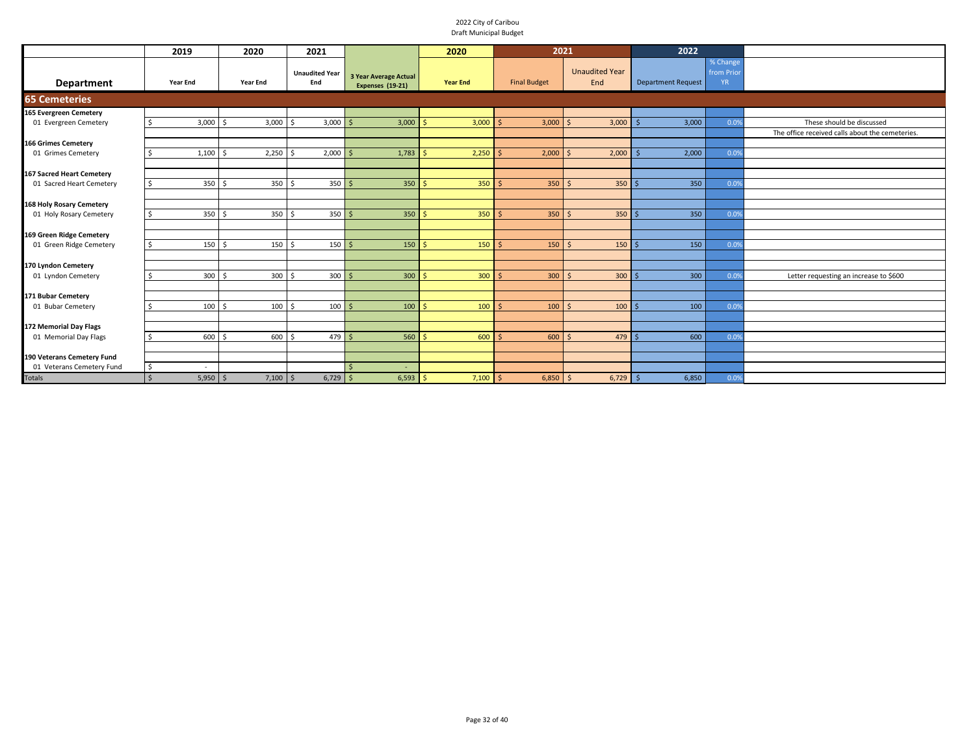|                                                     | 2019                       | 2020            | 2021                         |                                                  | 2020            | 2021                |                              | 2022                      |                                    |                                                 |
|-----------------------------------------------------|----------------------------|-----------------|------------------------------|--------------------------------------------------|-----------------|---------------------|------------------------------|---------------------------|------------------------------------|-------------------------------------------------|
| <b>Department</b>                                   | <b>Year End</b>            | <b>Year End</b> | <b>Unaudited Year</b><br>End | 3 Year Average Actual<br><b>Expenses (19-21)</b> | <b>Year End</b> | <b>Final Budget</b> | <b>Unaudited Year</b><br>End | <b>Department Request</b> | % Change<br>from Prio<br><b>YR</b> |                                                 |
| <b>65 Cemeteries</b>                                |                            |                 |                              |                                                  |                 |                     |                              |                           |                                    |                                                 |
| 165 Evergreen Cemetery                              |                            |                 |                              |                                                  |                 |                     |                              |                           |                                    |                                                 |
| 01 Evergreen Cemetery                               | 3,000                      | 3,000<br>Ś.     | 3,000                        | 3,000                                            | 3,000           | 3,000               | 3,000<br>$\zeta$             | 3,000                     | 0.09                               | These should be discussed                       |
|                                                     |                            |                 |                              |                                                  |                 |                     |                              |                           |                                    | The office received calls about the cemeteries. |
| <b>166 Grimes Cemetery</b>                          |                            |                 |                              |                                                  |                 |                     |                              |                           |                                    |                                                 |
| 01 Grimes Cemetery                                  | 1,100                      | 2,250           | 2,000                        | 1,783                                            | 2,250           | 2,000               | 2,000<br>$\zeta$             | 2,000                     | 0.09                               |                                                 |
|                                                     |                            |                 |                              |                                                  |                 |                     |                              |                           |                                    |                                                 |
| 167 Sacred Heart Cemetery                           |                            |                 |                              |                                                  |                 |                     |                              |                           |                                    |                                                 |
| 01 Sacred Heart Cemetery                            | 350                        | 350<br>- \$     | 350<br>l S                   | 350                                              | 350             | 350<br>-S           | 350<br>-Ś                    | 350                       | 0.09                               |                                                 |
|                                                     |                            |                 |                              |                                                  |                 |                     |                              |                           |                                    |                                                 |
| 168 Holy Rosary Cemetery<br>01 Holy Rosary Cemetery | 350                        | 350<br>$\prec$  | 350<br>$\zeta$               | 350                                              | 350             | $350$ \$<br>Ŝ.      | 350                          | 350                       | 0.09                               |                                                 |
|                                                     |                            |                 |                              |                                                  |                 |                     |                              |                           |                                    |                                                 |
| 169 Green Ridge Cemetery                            |                            |                 |                              |                                                  |                 |                     |                              |                           |                                    |                                                 |
| 01 Green Ridge Cemetery                             | 150                        | 150             | 150<br>Ś,                    | 150                                              | 150             | 150<br>Ś            | 150<br>$\mathsf{S}$          | 150                       | 0.09                               |                                                 |
|                                                     |                            |                 |                              |                                                  |                 |                     |                              |                           |                                    |                                                 |
| 170 Lyndon Cemetery                                 |                            |                 |                              |                                                  |                 |                     |                              |                           |                                    |                                                 |
| 01 Lyndon Cemetery                                  | 300                        | 300<br>$\zeta$  | $300 \, \text{S}$<br>$\zeta$ | 300                                              | 300             | 300<br>Ŝ.           | 300<br>-Ś                    | 300                       | 0.09                               | Letter requesting an increase to \$600          |
|                                                     |                            |                 |                              |                                                  |                 |                     |                              |                           |                                    |                                                 |
| 171 Bubar Cemetery                                  |                            |                 |                              |                                                  |                 |                     |                              |                           |                                    |                                                 |
| 01 Bubar Cemetery                                   | 100                        | 100<br>-Ś       | 100<br>-Ś                    | 100                                              | 100             | 100<br>Š.           | 100<br>$\mathsf{S}$          | 100                       | 0.09                               |                                                 |
|                                                     |                            |                 |                              |                                                  |                 |                     |                              |                           |                                    |                                                 |
| 172 Memorial Day Flags                              |                            |                 |                              |                                                  |                 |                     |                              |                           |                                    |                                                 |
| 01 Memorial Day Flags                               | 600                        | 600             | $479$ \$                     | 560                                              | 600             | 600<br>Ś.           | 479<br>S.                    | 600                       | 0.09                               |                                                 |
|                                                     |                            |                 |                              |                                                  |                 |                     |                              |                           |                                    |                                                 |
| 190 Veterans Cemetery Fund                          |                            |                 |                              |                                                  |                 |                     |                              |                           |                                    |                                                 |
| 01 Veterans Cemetery Fund                           | Ŝ.                         |                 |                              |                                                  |                 |                     |                              |                           |                                    |                                                 |
| <b>Totals</b>                                       | $5,950$ \$<br>$\mathsf{S}$ | $7,100$ \$      | $6,729$ \$                   | $6,593$ \$                                       | $7,100$ \$      | 6,850               | $6,729$ \$<br><b>S</b>       | 6,850                     | 0.0%                               |                                                 |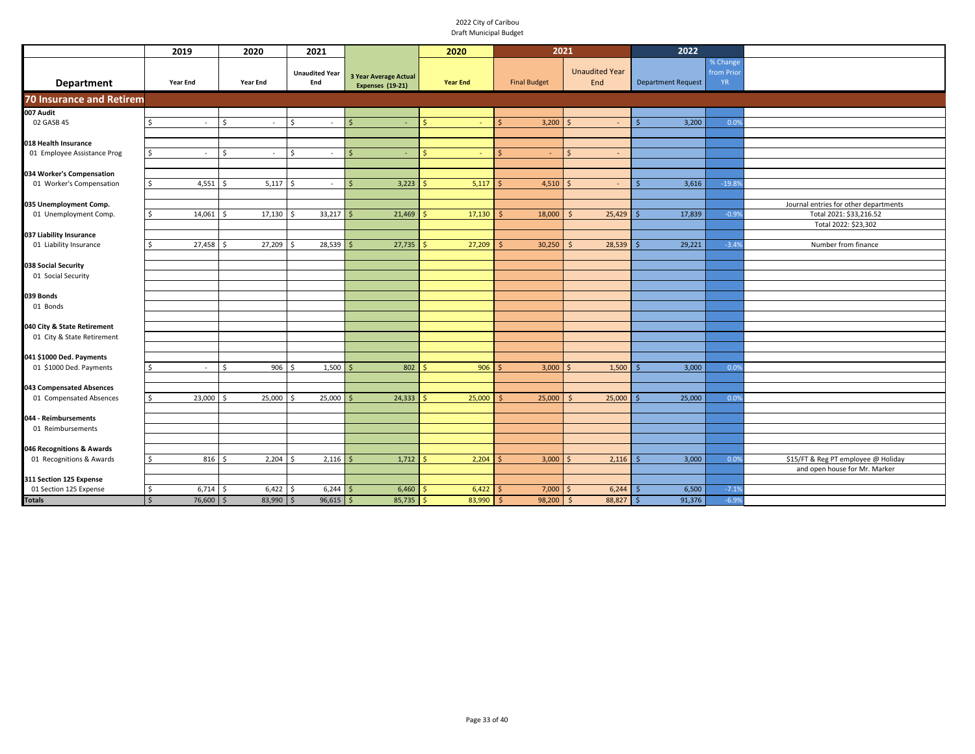|                                                     | 2019                        | 2020                            | 2021                            |                                                  | 2020            | 2021                |                              | 2022                      |                                    |                                                                  |
|-----------------------------------------------------|-----------------------------|---------------------------------|---------------------------------|--------------------------------------------------|-----------------|---------------------|------------------------------|---------------------------|------------------------------------|------------------------------------------------------------------|
| Department                                          | <b>Year End</b>             | Year End                        | <b>Unaudited Year</b><br>End    | <b>3 Year Average Actual</b><br>Expenses (19-21) | <b>Year End</b> | <b>Final Budget</b> | <b>Unaudited Year</b><br>End | <b>Department Request</b> | % Change<br>from Prio<br><b>YR</b> |                                                                  |
| <b>70 Insurance and Retirem</b>                     |                             |                                 |                                 |                                                  |                 |                     |                              |                           |                                    |                                                                  |
| 007 Audit                                           |                             |                                 |                                 |                                                  |                 |                     |                              |                           |                                    |                                                                  |
| 02 GASB 45                                          | Ś.<br>$\sim$                | $\mathsf{\hat{S}}$<br>$\sim$    | <sup>\$</sup><br>$\sim$         |                                                  | Ś               | 3,200<br>Š.         | $\zeta$                      | 3,200                     | 0.09                               |                                                                  |
| 018 Health Insurance                                |                             |                                 |                                 |                                                  |                 |                     |                              |                           |                                    |                                                                  |
| 01 Employee Assistance Prog                         | Ŝ.<br>$\sim$                | <sup>\$</sup><br>$\sim$         | <sup>\$</sup><br>$\sim$         | Ś                                                | Ś<br>÷          | Š.<br>$\sim$        | $\mathsf{S}$<br>$\sim$       |                           |                                    |                                                                  |
|                                                     |                             |                                 |                                 |                                                  |                 |                     |                              |                           |                                    |                                                                  |
| 034 Worker's Compensation                           |                             |                                 |                                 |                                                  |                 |                     |                              |                           |                                    |                                                                  |
| 01 Worker's Compensation                            | $4,551$ \$<br>\$            | $5,117$ \$                      |                                 | 3,223<br>Ś                                       | 5,117           | 4,510               | $\mathsf{S}$                 | 3,616<br>Ś                | $-19.89$                           |                                                                  |
|                                                     |                             |                                 |                                 |                                                  |                 |                     |                              |                           |                                    |                                                                  |
| 035 Unemployment Comp.<br>01 Unemployment Comp.     | 14,061<br>Ś                 | 17,130<br>$\breve{\phantom{1}}$ | 33,217                          | 21,469                                           | 17,130          | 18,000              | 25,429<br>-Ś                 | 17,839                    | $-0.99$                            | Journal entries for other departments<br>Total 2021: \$33,216.52 |
|                                                     |                             |                                 |                                 |                                                  |                 |                     |                              |                           |                                    | Total 2022: \$23,302                                             |
| 037 Liability Insurance                             |                             |                                 |                                 |                                                  |                 |                     |                              |                           |                                    |                                                                  |
| 01 Liability Insurance                              | 27,458<br>ς.                | 27,209<br>- Ś                   | 28,539<br>$\breve{\phantom{1}}$ | 27,735                                           | 27,209          | 30,250              | 28,539<br>-Ś                 | 29,221                    | $-3.49$                            | Number from finance                                              |
|                                                     |                             |                                 |                                 |                                                  |                 |                     |                              |                           |                                    |                                                                  |
| 038 Social Security                                 |                             |                                 |                                 |                                                  |                 |                     |                              |                           |                                    |                                                                  |
| 01 Social Security                                  |                             |                                 |                                 |                                                  |                 |                     |                              |                           |                                    |                                                                  |
| 039 Bonds                                           |                             |                                 |                                 |                                                  |                 |                     |                              |                           |                                    |                                                                  |
| 01 Bonds                                            |                             |                                 |                                 |                                                  |                 |                     |                              |                           |                                    |                                                                  |
|                                                     |                             |                                 |                                 |                                                  |                 |                     |                              |                           |                                    |                                                                  |
| 040 City & State Retirement                         |                             |                                 |                                 |                                                  |                 |                     |                              |                           |                                    |                                                                  |
| 01 City & State Retirement                          |                             |                                 |                                 |                                                  |                 |                     |                              |                           |                                    |                                                                  |
|                                                     |                             |                                 |                                 |                                                  |                 |                     |                              |                           |                                    |                                                                  |
| 041 \$1000 Ded. Payments<br>01 \$1000 Ded. Payments | ς.<br>$\sim$                | 906<br><sup>\$</sup>            | 1,500<br>S,                     | 802                                              | 906             | 3,000               | 1,500<br>$\zeta$             | 3,000                     | 0.09                               |                                                                  |
|                                                     |                             |                                 |                                 |                                                  |                 |                     |                              |                           |                                    |                                                                  |
| 043 Compensated Absences                            |                             |                                 |                                 |                                                  |                 |                     |                              |                           |                                    |                                                                  |
| 01 Compensated Absences                             | 23,000<br>ς.                | 25,000                          | 25,000                          | 24,333                                           | 25,000          | 25,000              | 25,000<br>S,                 | 25,000                    | 0.0%                               |                                                                  |
|                                                     |                             |                                 |                                 |                                                  |                 |                     |                              |                           |                                    |                                                                  |
| 044 - Reimbursements                                |                             |                                 |                                 |                                                  |                 |                     |                              |                           |                                    |                                                                  |
| 01 Reimbursements                                   |                             |                                 |                                 |                                                  |                 |                     |                              |                           |                                    |                                                                  |
| 046 Recognitions & Awards                           |                             |                                 |                                 |                                                  |                 |                     |                              |                           |                                    |                                                                  |
| 01 Recognitions & Awards                            | \$                          | 8165<br>2,204                   | 2,116<br>l \$                   | 1,712                                            | 2,204           | 3,000               | 2,116                        | 3,000                     | 0.09                               | \$15/FT & Reg PT employee @ Holiday                              |
|                                                     |                             |                                 |                                 |                                                  |                 |                     |                              |                           |                                    | and open house for Mr. Marker                                    |
| 311 Section 125 Expense                             |                             |                                 |                                 |                                                  |                 |                     |                              |                           |                                    |                                                                  |
| 01 Section 125 Expense                              | 6,714<br>\$                 | 6,422<br>-Ś                     | 6,244<br>l \$                   | 6,460                                            | 6,422           | 7,000               | 6,244                        | 6,500                     | $-7.19$                            |                                                                  |
| <b>Totals</b>                                       | $76,600$ \$<br>$\mathsf{S}$ | $83,990$ \$                     | $96,615$ \$                     | $85,735$ \$                                      | 83,990          | $98,200$ \$<br>S.   | 88,827                       | 91,376<br>l S             | $-6.9%$                            |                                                                  |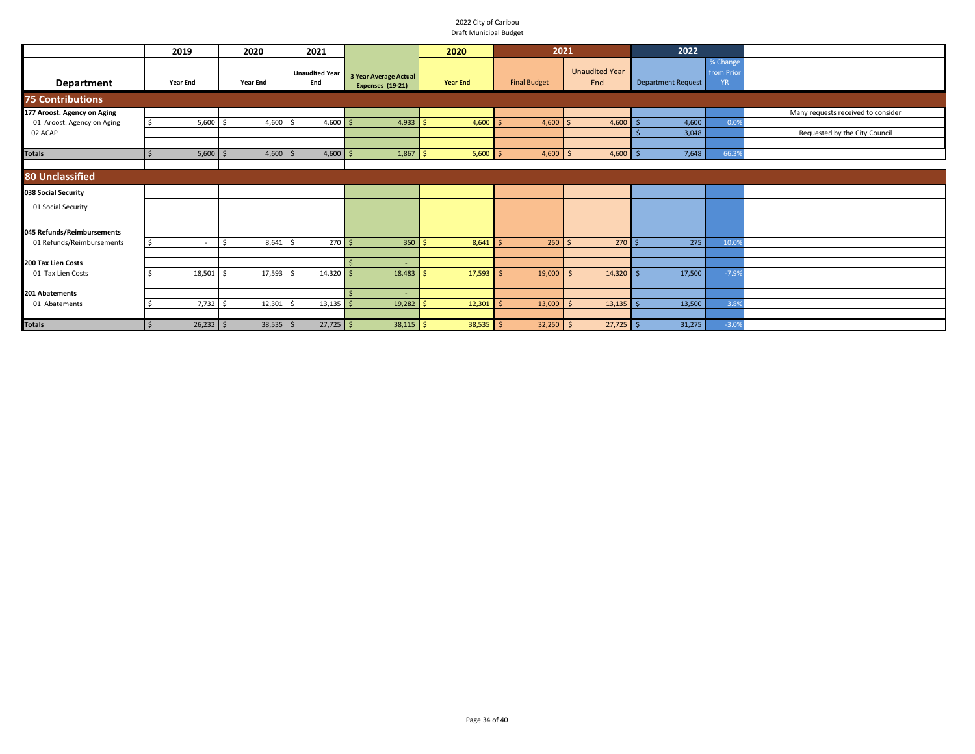|                                                           | 2019             | 2020            | 2021                         |                                           | 2020            | 2021                |                              | 2022                      |                                    |                                    |
|-----------------------------------------------------------|------------------|-----------------|------------------------------|-------------------------------------------|-----------------|---------------------|------------------------------|---------------------------|------------------------------------|------------------------------------|
| <b>Department</b>                                         | <b>Year End</b>  | <b>Year End</b> | <b>Unaudited Year</b><br>End | 3 Year Average Actual<br>Expenses (19-21) | <b>Year End</b> | <b>Final Budget</b> | <b>Unaudited Year</b><br>End | <b>Department Request</b> | % Change<br>from Prio<br><b>YR</b> |                                    |
| <b>75 Contributions</b>                                   |                  |                 |                              |                                           |                 |                     |                              |                           |                                    |                                    |
| 177 Aroost. Agency on Aging<br>01 Aroost. Agency on Aging | $5,600$ \$<br>-Ś | $4,600$ \$      | 4,600                        | 4,933                                     | 4,600<br>-S     | 4,600               | 4,600                        | 4,600                     | 0.09                               | Many requests received to consider |
| 02 ACAP                                                   |                  |                 |                              |                                           |                 |                     |                              | 3,048                     |                                    | Requested by the City Council      |
| <b>Totals</b>                                             | 5,600            | $4,600$ \$      | $4,600$ \$                   | $1,867$ \$                                | $5,600$ \$      | $4,600$ \$          | $4,600$ \$                   | 7,648                     | 66.39                              |                                    |
| <b>80 Unclassified</b>                                    |                  |                 |                              |                                           |                 |                     |                              |                           |                                    |                                    |
| 038 Social Security                                       |                  |                 |                              |                                           |                 |                     |                              |                           |                                    |                                    |
| 01 Social Security                                        |                  |                 |                              |                                           |                 |                     |                              |                           |                                    |                                    |
| 045 Refunds/Reimbursements                                |                  |                 |                              |                                           |                 |                     |                              |                           |                                    |                                    |
| 01 Refunds/Reimbursements                                 | - Ś              | 8,641           | $270 \, \text{S}$            | 350                                       | 8,641<br>-Ś     | 250                 | 270                          | 275                       | 10.09                              |                                    |
| 200 Tax Lien Costs                                        |                  |                 |                              |                                           |                 |                     |                              |                           |                                    |                                    |
| 01 Tax Lien Costs                                         | 18,501           | 17,593          | 14,320                       | 18,483<br>\$                              | 17,593          | 19,000              | 14,320                       | 17,500                    | $-7.99$                            |                                    |
| 201 Abatements                                            |                  |                 |                              |                                           |                 |                     |                              |                           |                                    |                                    |
| 01 Abatements                                             | 7,732            | 12,301          | 13,135                       | 19,282<br>Ś                               | 12,301          | 13,000              | 13,135                       | 13,500                    | 3.8%                               |                                    |
| <b>Totals</b>                                             | $26,232$ \$      | $38,535$ \$     | $27,725$ \$                  | $38,115$ \$                               | $38,535$ \$     | $32,250$ \$         | $27,725$ \$                  | 31,275                    | $-3.09$                            |                                    |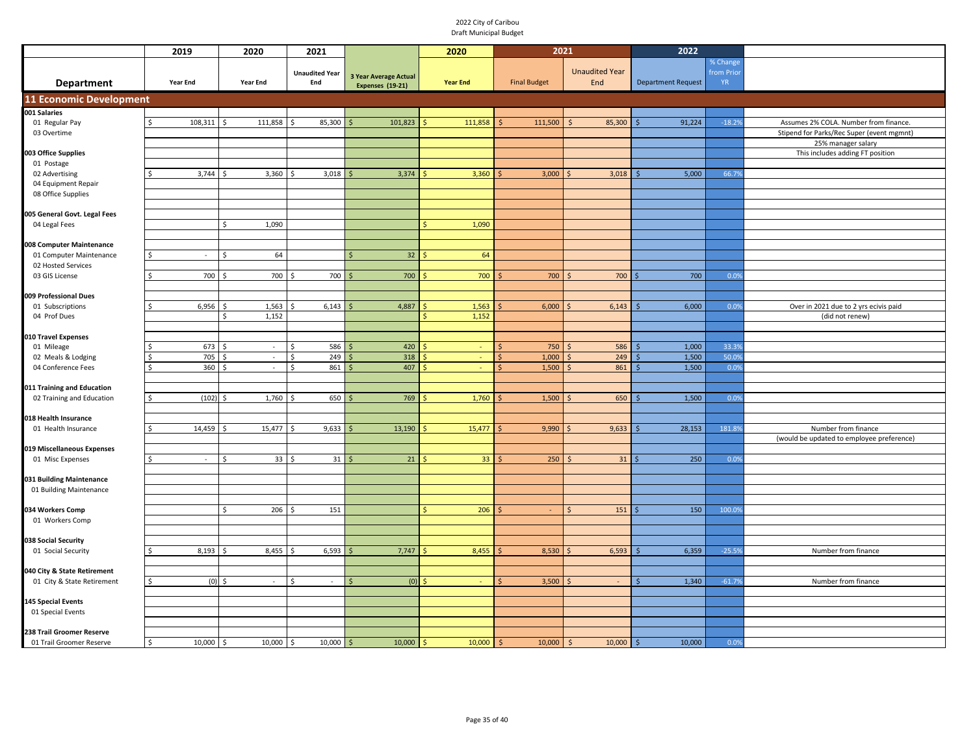|                                     | 2019                 | 2020                                                       | 2021                                  |                              | 2020            | 2021                |                         | 2022                      |               |                                           |
|-------------------------------------|----------------------|------------------------------------------------------------|---------------------------------------|------------------------------|-----------------|---------------------|-------------------------|---------------------------|---------------|-------------------------------------------|
|                                     |                      |                                                            |                                       |                              |                 |                     |                         |                           | % Change      |                                           |
|                                     |                      |                                                            | <b>Unaudited Year</b>                 | <b>3 Year Average Actual</b> |                 |                     | <b>Unaudited Year</b>   |                           | from Prio     |                                           |
| <b>Department</b>                   | <b>Year End</b>      | <b>Year End</b>                                            | End                                   | Expenses (19-21)             | <b>Year End</b> | <b>Final Budget</b> | End                     | <b>Department Request</b> | YR.           |                                           |
| <b>11 Economic Development</b>      |                      |                                                            |                                       |                              |                 |                     |                         |                           |               |                                           |
| 001 Salaries                        |                      |                                                            |                                       |                              |                 |                     |                         |                           |               |                                           |
| 01 Regular Pay                      | 108,311              | 111,858<br>Ŝ.                                              | Ś<br>85,300                           | 101,823                      | 111,858         | 111,500             | 85,300<br><sup>\$</sup> | 91,224                    | $-18.29$      | Assumes 2% COLA. Number from finance.     |
| 03 Overtime                         |                      |                                                            |                                       |                              |                 |                     |                         |                           |               | Stipend for Parks/Rec Super (event mgmnt) |
|                                     |                      |                                                            |                                       |                              |                 |                     |                         |                           |               | 25% manager salary                        |
| 003 Office Supplies                 |                      |                                                            |                                       |                              |                 |                     |                         |                           |               | This includes adding FT position          |
| 01 Postage                          |                      |                                                            |                                       |                              |                 |                     |                         |                           |               |                                           |
| 02 Advertising                      | 3,744<br>ς           | 3,360<br>$\breve{\phantom{1}}$                             | 3,018<br>Ś                            | 3,374                        | 3,360           | 3,000               | 3,018                   | 5,000                     | 66.79         |                                           |
| 04 Equipment Repair                 |                      |                                                            |                                       |                              |                 |                     |                         |                           |               |                                           |
| 08 Office Supplies                  |                      |                                                            |                                       |                              |                 |                     |                         |                           |               |                                           |
| 005 General Govt. Legal Fees        |                      |                                                            |                                       |                              |                 |                     |                         |                           |               |                                           |
| 04 Legal Fees                       |                      | \$<br>1,090                                                |                                       |                              | 1,090           |                     |                         |                           |               |                                           |
|                                     |                      |                                                            |                                       |                              |                 |                     |                         |                           |               |                                           |
| 008 Computer Maintenance            |                      |                                                            |                                       |                              |                 |                     |                         |                           |               |                                           |
| 01 Computer Maintenance             | $\sim$               | 64                                                         |                                       | 32                           | 64              |                     |                         |                           |               |                                           |
| 02 Hosted Services                  |                      |                                                            |                                       |                              |                 |                     |                         |                           |               |                                           |
| 03 GIS License                      | 700<br>Ŝ.            | 700<br>Ŝ.                                                  | 700<br>Ŝ.                             | 700<br><b>S</b>              | 700             | 700                 | 700                     | 700                       | 0.0%          |                                           |
|                                     |                      |                                                            |                                       |                              |                 |                     |                         |                           |               |                                           |
| 009 Professional Dues               |                      |                                                            |                                       |                              |                 |                     |                         |                           |               |                                           |
| 01 Subscriptions                    | 6,956<br>\$          | 1,563<br>.S                                                | 6,143<br>Ŝ.                           | 4,887                        | 1,563           | 6,000               | 6,143                   | 6,000                     | 0.0%          | Over in 2021 due to 2 yrs ecivis paid     |
| 04 Prof Dues                        |                      | 1,152<br>Ś                                                 |                                       |                              | 1,152           |                     |                         |                           |               | (did not renew)                           |
|                                     |                      |                                                            |                                       |                              |                 |                     |                         |                           |               |                                           |
| 010 Travel Expenses                 |                      |                                                            |                                       |                              |                 |                     |                         |                           |               |                                           |
| 01 Mileage                          | 673<br>\$            | $\sim$<br>.\$                                              | 586<br>$\mathsf{\hat{S}}$             | 420                          | ÷               | 750                 | 586<br>\$               | 1,000                     | 33.3%         |                                           |
| 02 Meals & Lodging                  | 705<br>ς<br>360<br>ς | <sup>\$</sup><br>$\sim$<br>$\sim$<br>$\breve{\phantom{1}}$ | 249<br>Ś<br>861<br>$\mathsf{\hat{S}}$ | 318<br>407                   | ä,<br>÷.        | 1,000<br>1,500      | 249<br>861              | 1,500<br>1,500            | 50.09<br>0.09 |                                           |
| 04 Conference Fees                  |                      |                                                            |                                       |                              |                 |                     |                         |                           |               |                                           |
| 011 Training and Education          |                      |                                                            |                                       |                              |                 |                     |                         |                           |               |                                           |
| 02 Training and Education           | (102)<br>Ś           | 1,760<br>l \$                                              | 650<br>$\mathsf{\hat{S}}$             | 769                          | 1,760           | 1,500               | 650<br>Ś                | 1,500                     | 0.0%          |                                           |
|                                     |                      |                                                            |                                       |                              |                 |                     |                         |                           |               |                                           |
| 018 Health Insurance                |                      |                                                            |                                       |                              |                 |                     |                         |                           |               |                                           |
| 01 Health Insurance                 | 14,459<br>\$         | 15,477<br>.\$                                              | 9,633<br>Ś.                           | 13,190                       | 15,477          | 9,990               | 9,633                   | 28,153                    | 181.89        | Number from finance                       |
|                                     |                      |                                                            |                                       |                              |                 |                     |                         |                           |               | (would be updated to employee preference) |
| 019 Miscellaneous Expenses          |                      |                                                            |                                       |                              |                 |                     |                         |                           |               |                                           |
| 01 Misc Expenses                    | Ś<br>$\sim$          | $\mathsf{\hat{S}}$<br>33                                   | 31                                    | 21                           | 33              | 250                 | 31                      | 250                       | 0.0%          |                                           |
|                                     |                      |                                                            |                                       |                              |                 |                     |                         |                           |               |                                           |
| 031 Building Maintenance            |                      |                                                            |                                       |                              |                 |                     |                         |                           |               |                                           |
| 01 Building Maintenance             |                      |                                                            |                                       |                              |                 |                     |                         |                           |               |                                           |
|                                     |                      | Ś                                                          |                                       |                              |                 |                     | $\overline{\mathsf{S}}$ |                           |               |                                           |
| 034 Workers Comp<br>01 Workers Comp |                      | 206                                                        | 151                                   |                              | 206             |                     | 151                     | 150                       | 100.09        |                                           |
|                                     |                      |                                                            |                                       |                              |                 |                     |                         |                           |               |                                           |
| 038 Social Security                 |                      |                                                            |                                       |                              |                 |                     |                         |                           |               |                                           |
| 01 Social Security                  | 8,193<br>\$          | 8,455<br>Ŝ.                                                | 6,593<br>Ŝ.                           | 7,747<br>Ś                   | 8,455           | 8,530               | 6,593                   | 6,359                     | $-25.59$      | Number from finance                       |
|                                     |                      |                                                            |                                       |                              |                 |                     |                         |                           |               |                                           |
| 040 City & State Retirement         |                      |                                                            |                                       |                              |                 |                     |                         |                           |               |                                           |
| 01 City & State Retirement          | \$                   | $(0)$ \$<br>$\sim$                                         | \$<br>$\sim$                          | (0)<br>\$                    | ς<br>$\sim$     | 3,500               | $\sim$                  | 1,340                     | $-61.79$      | Number from finance                       |
|                                     |                      |                                                            |                                       |                              |                 |                     |                         |                           |               |                                           |
| <b>145 Special Events</b>           |                      |                                                            |                                       |                              |                 |                     |                         |                           |               |                                           |
| 01 Special Events                   |                      |                                                            |                                       |                              |                 |                     |                         |                           |               |                                           |
|                                     |                      |                                                            |                                       |                              |                 |                     |                         |                           |               |                                           |
| 238 Trail Groomer Reserve           |                      |                                                            |                                       |                              |                 |                     |                         |                           |               |                                           |
| 01 Trail Groomer Reserve            | 10,000<br>\$         | 10,000<br>- Ś                                              | 10,000<br>- Ś                         | 10,000                       | 10,000          | 10,000<br>Ŝ.        | 10,000<br>- \$          | 10,000<br>∫<              | 0.0%          |                                           |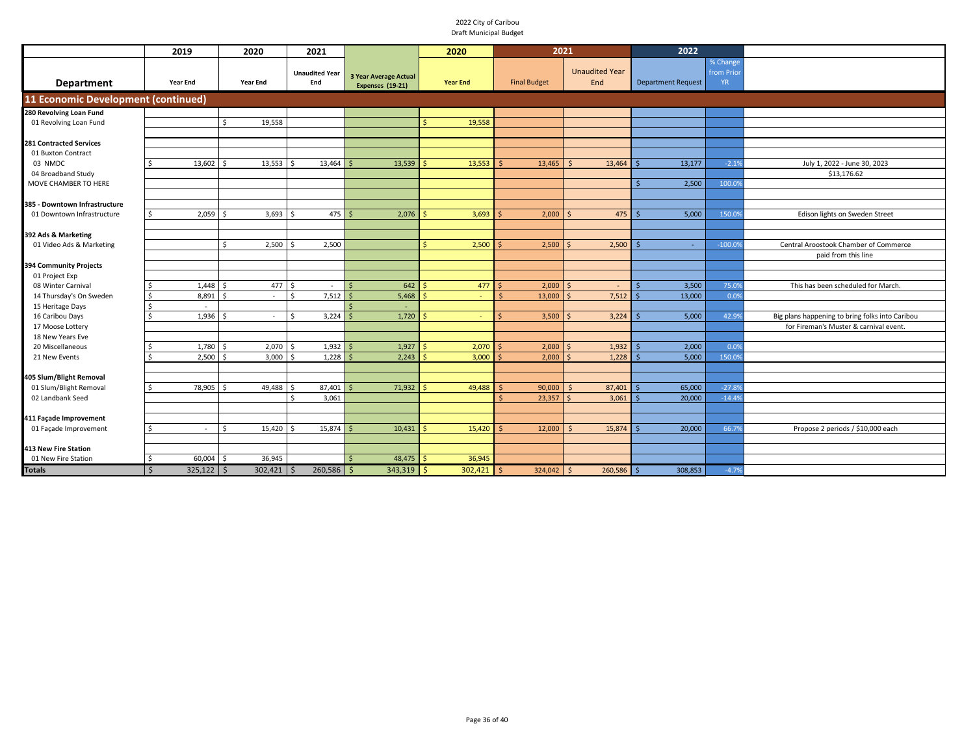|                                      | 2019                    | 2020             | 2021                            |                                                  | 2020            | 2021                |                               | 2022                      |                                    |                                                 |
|--------------------------------------|-------------------------|------------------|---------------------------------|--------------------------------------------------|-----------------|---------------------|-------------------------------|---------------------------|------------------------------------|-------------------------------------------------|
| Department                           | <b>Year End</b>         | <b>Year End</b>  | <b>Unaudited Year</b><br>End    | <b>3 Year Average Actual</b><br>Expenses (19-21) | <b>Year End</b> | <b>Final Budget</b> | <b>Unaudited Year</b><br>End  | <b>Department Request</b> | % Change<br>from Prio<br><b>YR</b> |                                                 |
| 11 Economic Development (continued)  |                         |                  |                                 |                                                  |                 |                     |                               |                           |                                    |                                                 |
| 280 Revolving Loan Fund              |                         |                  |                                 |                                                  |                 |                     |                               |                           |                                    |                                                 |
| 01 Revolving Loan Fund               |                         | Ŝ.<br>19,558     |                                 |                                                  | 19,558          |                     |                               |                           |                                    |                                                 |
|                                      |                         |                  |                                 |                                                  |                 |                     |                               |                           |                                    |                                                 |
| <b>281 Contracted Services</b>       |                         |                  |                                 |                                                  |                 |                     |                               |                           |                                    |                                                 |
| 01 Buxton Contract                   |                         |                  |                                 |                                                  |                 |                     |                               |                           |                                    |                                                 |
| 03 NMDC                              | 13,602                  | 13,553<br>Ś,     | 13,464                          | 13,539                                           | 13,553          | 13,465              | 13,464<br>$\breve{\varsigma}$ | 13,177                    | $-2.19$                            | July 1, 2022 - June 30, 2023                    |
| 04 Broadband Study                   |                         |                  |                                 |                                                  |                 |                     |                               |                           |                                    | \$13,176.62                                     |
| MOVE CHAMBER TO HERE                 |                         |                  |                                 |                                                  |                 |                     |                               | 2,500                     | 100.09                             |                                                 |
|                                      |                         |                  |                                 |                                                  |                 |                     |                               |                           |                                    |                                                 |
| 385 - Downtown Infrastructure        |                         |                  |                                 |                                                  |                 |                     |                               |                           |                                    |                                                 |
| 01 Downtown Infrastructure           | 2,059<br>Ŝ.             | 3,693<br>S,      | 475<br>S,                       | 2,076                                            | 3,693           | 2,000               | 475                           | 5,000                     | 150.0                              | Edison lights on Sweden Street                  |
|                                      |                         |                  |                                 |                                                  |                 |                     |                               |                           |                                    |                                                 |
| 392 Ads & Marketing                  |                         |                  |                                 |                                                  |                 |                     |                               |                           |                                    |                                                 |
| 01 Video Ads & Marketing             |                         | $\zeta$<br>2,500 | 2,500                           |                                                  | 2,500           | 2,500               | 2,500                         | $\sim$                    | $-100.09$                          | Central Aroostook Chamber of Commerce           |
|                                      |                         |                  |                                 |                                                  |                 |                     |                               |                           |                                    | paid from this line                             |
| 394 Community Projects               |                         |                  |                                 |                                                  |                 |                     |                               |                           |                                    |                                                 |
| 01 Project Exp<br>08 Winter Carnival | 1,448                   | Ŝ.               | -Ś                              | 642                                              | 477             |                     | <sup>5</sup>                  | 3,500                     |                                    | This has been scheduled for March.              |
| 14 Thursday's On Sweden              | 8,891                   | 477<br>Ŝ.        | $\sim$<br>7,512<br>$\mathsf{S}$ | 5,468                                            |                 | 2,000<br>13,000     | 7,512                         | 13,000                    | 75.09<br>0.09                      |                                                 |
| 15 Heritage Days                     |                         | $\sim$           |                                 |                                                  |                 |                     |                               |                           |                                    |                                                 |
| 16 Caribou Days                      | $\sim$<br>1,936         | Ś.<br>$\sim$     | 3,224<br>\$                     | 1,720                                            |                 | 3,500               | 3,224                         | 5,000                     | 42.99                              | Big plans happening to bring folks into Caribou |
| 17 Moose Lottery                     |                         |                  |                                 |                                                  |                 |                     |                               |                           |                                    | for Fireman's Muster & carnival event.          |
| 18 New Years Eve                     |                         |                  |                                 |                                                  |                 |                     |                               |                           |                                    |                                                 |
| 20 Miscellaneous                     | 1,780                   | 2,070            | 1,932                           | 1,927                                            | 2,070           | 2,000               | 1,932                         | 2,000                     | 0.09                               |                                                 |
| 21 New Events                        | 2,500                   | 3,000            | 1,228                           | 2,243                                            | 3,000           | 2,000               | 1,228                         | 5,000                     | 150.09                             |                                                 |
|                                      |                         |                  |                                 |                                                  |                 |                     |                               |                           |                                    |                                                 |
| 405 Slum/Blight Removal              |                         |                  |                                 |                                                  |                 |                     |                               |                           |                                    |                                                 |
| 01 Slum/Blight Removal               | 78,905                  | 49,488           | 87,401                          | 71,932                                           | 49,488          | 90,000              | 87,401                        | 65,000                    | $-27.89$                           |                                                 |
| 02 Landbank Seed                     |                         |                  | 3,061<br>Ś,                     |                                                  |                 | 23,357<br>$\leq$    | 3,061                         | 20,000                    | $-14.49$                           |                                                 |
|                                      |                         |                  |                                 |                                                  |                 |                     |                               |                           |                                    |                                                 |
| 411 Façade Improvement               |                         |                  |                                 |                                                  |                 |                     |                               |                           |                                    |                                                 |
| 01 Façade Improvement                | ς.<br>$\sim$            | 15,420<br>Ś      | 15,874                          | 10,431                                           | 15,420          | 12,000              | 15,874<br>S,                  | 20,000                    | 66.79                              | Propose 2 periods / \$10,000 each               |
|                                      |                         |                  |                                 |                                                  |                 |                     |                               |                           |                                    |                                                 |
| 413 New Fire Station                 |                         |                  |                                 |                                                  |                 |                     |                               |                           |                                    |                                                 |
| 01 New Fire Station                  | 60,004<br>Ŝ.            | 36,945<br>S,     |                                 | 48,475                                           | 36,945          |                     |                               |                           |                                    |                                                 |
| <b>Totals</b>                        | $\mathsf{S}$<br>325,122 | l \$<br>302,421  | $260,586$ \$<br>-S              | $343,319$ \$                                     | 302,421         | 324,042<br>\$       | $\mathsf{S}$<br>260,586       | 308,853                   | $-4.7%$                            |                                                 |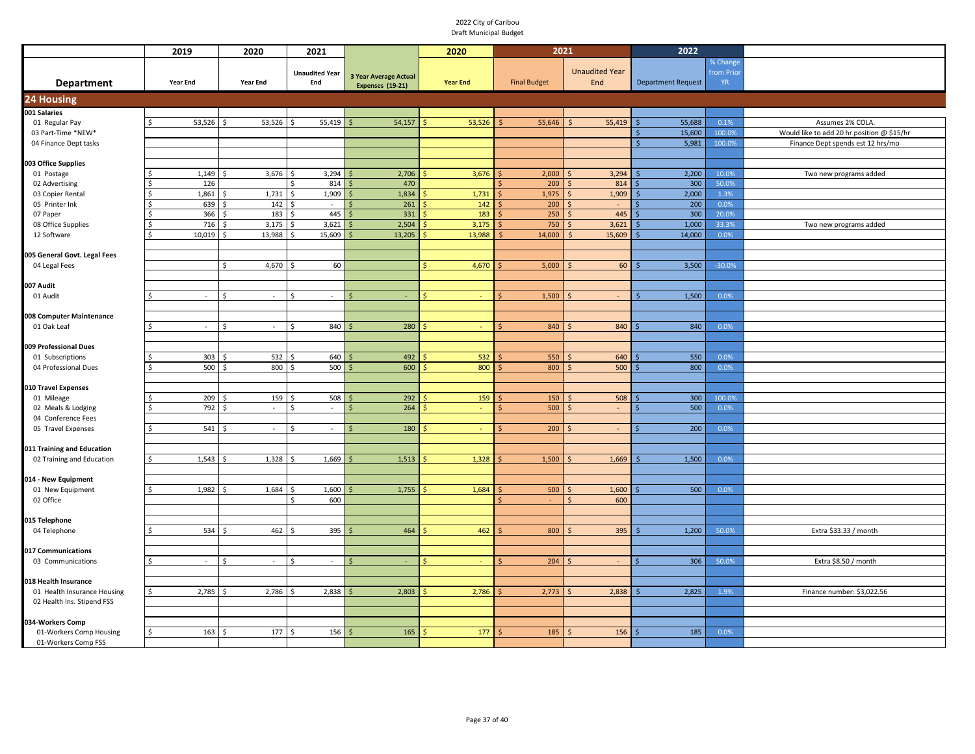|                                           | 2019            | 2020                    | 2021                      |                       | 2020            | 2021                |                       | 2022                      |           |                                            |  |
|-------------------------------------------|-----------------|-------------------------|---------------------------|-----------------------|-----------------|---------------------|-----------------------|---------------------------|-----------|--------------------------------------------|--|
|                                           |                 |                         |                           |                       |                 |                     |                       |                           | % Change  |                                            |  |
|                                           |                 |                         | <b>Unaudited Year</b>     | 3 Year Average Actual |                 |                     | <b>Unaudited Year</b> |                           | from Prio |                                            |  |
| <b>Department</b>                         | <b>Year End</b> | <b>Year End</b>         | End                       | Expenses (19-21)      | <b>Year End</b> | <b>Final Budget</b> | End                   | <b>Department Request</b> | YR.       |                                            |  |
| <b>24 Housing</b>                         |                 |                         |                           |                       |                 |                     |                       |                           |           |                                            |  |
| 001 Salaries                              |                 |                         |                           |                       |                 |                     |                       |                           |           |                                            |  |
| 01 Regular Pay                            | 53,526          | 53,526                  | 55,419<br>Ŝ               | 54,157                | 53,526          | 55,646              | 55,419                | 55,688                    | 0.1%      | Assumes 2% COLA.                           |  |
| 03 Part-Time *NEW*                        |                 |                         |                           |                       |                 |                     |                       | 15,600                    | 100.0%    | Would like to add 20 hr position @ \$15/hr |  |
| 04 Finance Dept tasks                     |                 |                         |                           |                       |                 |                     |                       | 5,981                     | 100.0%    | Finance Dept spends est 12 hrs/mo          |  |
|                                           |                 |                         |                           |                       |                 |                     |                       |                           |           |                                            |  |
| 003 Office Supplies<br>01 Postage         | 1,149           | 3,676<br>\$             | 3,294<br>\$               | 2,706                 | 3,676           | 2,000               | 3,294<br>-Ś           | 2,200                     | 10.0%     | Two new programs added                     |  |
| 02 Advertising                            | 126             |                         | 814                       | 470                   |                 | 200                 | 814<br>$\zeta$        | 300                       | 50.0%     |                                            |  |
| 03 Copier Rental                          | 1,861           | 1,731                   | 1,909<br>\$               | 1,834                 | 1,731           | 1,975               | 1,909<br>-Ś           | 2,000                     | 1.3%      |                                            |  |
| 05 Printer Ink                            | 639             | 142<br>\$               | \$                        | 261                   | 142             | 200                 | $\mathsf{S}$          | 200                       | 0.0%      |                                            |  |
| 07 Paper                                  | 366             | 183<br>Ś,               | 445<br>\$                 | 331                   | 183             | 250                 | 445<br>$\mathsf{S}$   | 300                       | 20.0%     |                                            |  |
| 08 Office Supplies                        | 716             | 3,175                   | 3,621                     | 2,504                 | 3,175           | 750                 | 3,621<br>$\zeta$      | 1,000                     | 33.3%     | Two new programs added                     |  |
| 12 Software                               | 10,019          | 13,988                  | 15,609                    | 13,205                | 13,988          | 14,000              | 15,609<br>S,          | 14,000                    | 0.0%      |                                            |  |
|                                           |                 |                         |                           |                       |                 |                     |                       |                           |           |                                            |  |
| 005 General Govt. Legal Fees              |                 |                         |                           |                       |                 |                     |                       |                           |           |                                            |  |
| 04 Legal Fees                             |                 | \$<br>4,670             | 60<br>Ŝ.                  |                       | 4,670           | 5,000               | 60                    | 3,500                     | $-30.0%$  |                                            |  |
|                                           |                 |                         |                           |                       |                 |                     |                       |                           |           |                                            |  |
| 007 Audit                                 |                 |                         |                           |                       |                 |                     |                       |                           |           |                                            |  |
| 01 Audit                                  | $\sim$          | <sup>\$</sup><br>$\sim$ | <sup>\$</sup><br>$\sim$   | ς                     |                 | 1,500               |                       | 1,500                     | 0.0%      |                                            |  |
|                                           |                 |                         |                           |                       |                 |                     |                       |                           |           |                                            |  |
| 008 Computer Maintenance                  |                 |                         |                           |                       |                 |                     |                       |                           |           |                                            |  |
| 01 Oak Leaf                               | Ś<br>$\sim$     | Ŝ.<br>$\sim$            | Ŝ.<br>840                 | 280                   |                 | 840                 | 840                   | 840                       | 0.0%      |                                            |  |
|                                           |                 |                         |                           |                       |                 |                     |                       |                           |           |                                            |  |
| 009 Professional Dues<br>01 Subscriptions | 303             | 532<br>¢                | 640                       | 492                   | 532             | 550                 | 640                   | 550                       | 0.0%      |                                            |  |
| 04 Professional Dues                      | 500             | 800<br><sub>\$</sub>    | 500<br>$\mathsf{\hat{S}}$ | 600                   | 800             | 800                 | 500                   | 800                       | 0.0%      |                                            |  |
|                                           |                 |                         |                           |                       |                 |                     |                       |                           |           |                                            |  |
| 010 Travel Expenses                       |                 |                         |                           |                       |                 |                     |                       |                           |           |                                            |  |
| 01 Mileage                                | 209             | 159                     | 508                       | 292<br>S              | 159             | 150                 | 508                   | 300                       | 100.0%    |                                            |  |
| 02 Meals & Lodging                        | 792             | $\sim$                  | S<br>$\sim$               | 264                   | $\blacksquare$  | 500                 |                       | 500                       | 0.0%      |                                            |  |
| 04 Conference Fees                        |                 |                         |                           |                       |                 |                     |                       |                           |           |                                            |  |
| 05 Travel Expenses                        | 541<br>Ŝ.       | $\sim$                  | Ŝ.<br>$\sim$              | 180                   | $\blacksquare$  | 200                 | $\sim$                | 200                       | 0.0%      |                                            |  |
|                                           |                 |                         |                           |                       |                 |                     |                       |                           |           |                                            |  |
| 011 Training and Education                |                 |                         |                           |                       |                 |                     |                       |                           |           |                                            |  |
| 02 Training and Education                 | 1,543<br>Ś      | 1,328                   | 1,669                     | 1,513                 | 1,328           | 1,500               | 1,669                 | 1,500                     | 0.0%      |                                            |  |
|                                           |                 |                         |                           |                       |                 |                     |                       |                           |           |                                            |  |
| 014 - New Equipment                       |                 |                         |                           |                       |                 |                     |                       |                           |           |                                            |  |
| 01 New Equipment<br>02 Office             | 1,982           | 1,684<br>-Ś             | 1,600<br>-Ś<br>600<br>\$. | 1,755                 | 1,684           | 500                 | 1,600<br>600<br>Ś     | 500                       | 0.0%      |                                            |  |
|                                           |                 |                         |                           |                       |                 |                     |                       |                           |           |                                            |  |
| 015 Telephone                             |                 |                         |                           |                       |                 |                     |                       |                           |           |                                            |  |
| 04 Telephone                              | 534             | 462<br>\$               | 395<br>Ś,                 | 464                   | 462             | 800                 | 395<br>$\zeta$        | 1,200                     | 50.0%     | Extra \$33.33 / month                      |  |
|                                           |                 |                         |                           |                       |                 |                     |                       |                           |           |                                            |  |
| 017 Communications                        |                 |                         |                           |                       |                 |                     |                       |                           |           |                                            |  |
| 03 Communications                         | ς.<br>$\sim$    | \$<br>$\sim$            | Ŝ.<br>$\sim$              | Ś.                    |                 | 204                 | S.                    | 306                       | 50.0%     | Extra \$8.50 / month                       |  |
|                                           |                 |                         |                           |                       |                 |                     |                       |                           |           |                                            |  |
| 018 Health Insurance                      |                 |                         |                           |                       |                 |                     |                       |                           |           |                                            |  |
| 01 Health Insurance Housing               | 2,785           | 2,786                   | 2,838                     | 2,803                 | 2,786           | 2,773               | 2,838                 | 2,825                     | 1.9%      | Finance number: \$3,022.56                 |  |
| 02 Health Ins. Stipend FSS                |                 |                         |                           |                       |                 |                     |                       |                           |           |                                            |  |
|                                           |                 |                         |                           |                       |                 |                     |                       |                           |           |                                            |  |
| 034-Workers Comp                          |                 |                         |                           |                       |                 |                     |                       |                           |           |                                            |  |
| 01-Workers Comp Housing                   | 163<br>Ŝ        | 177<br>S,               | 156<br>∫ <                | 165                   | 177             | 185                 | 156                   | 185                       | 0.0%      |                                            |  |
| 01-Workers Comp FSS                       |                 |                         |                           |                       |                 |                     |                       |                           |           |                                            |  |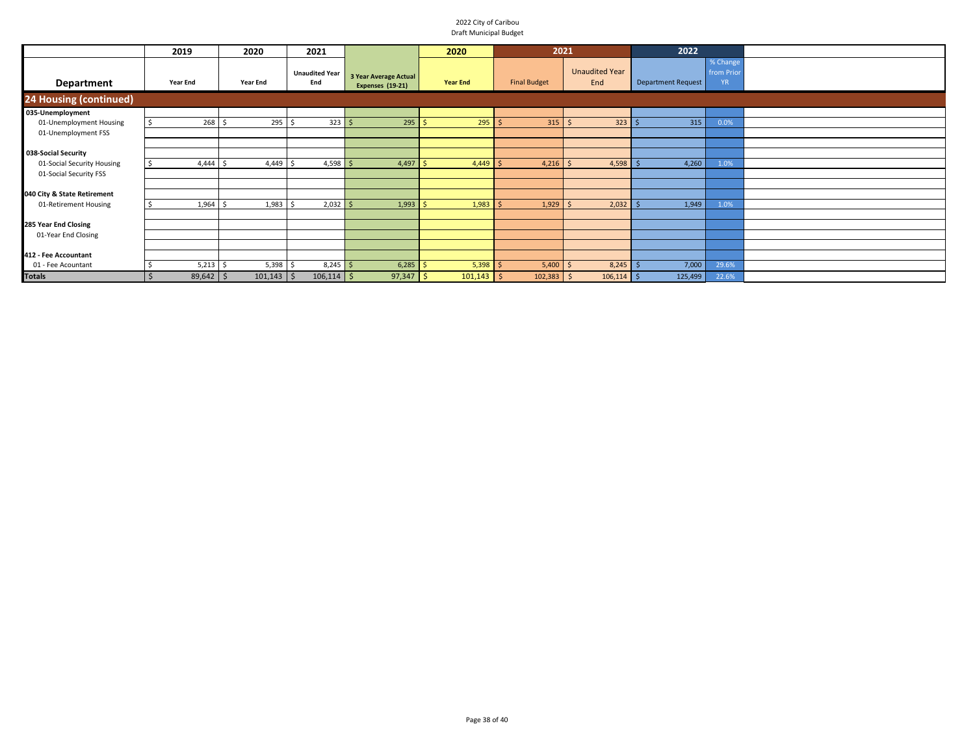|                                                                             | 2019                      | 2020                       | 2021                         |                                           | 2020                       | 2021                       |                              | 2022                      |                                     |  |
|-----------------------------------------------------------------------------|---------------------------|----------------------------|------------------------------|-------------------------------------------|----------------------------|----------------------------|------------------------------|---------------------------|-------------------------------------|--|
| Department                                                                  | <b>Year End</b>           | <b>Year End</b>            | <b>Unaudited Year</b><br>End | 3 Year Average Actual<br>Expenses (19-21) | <b>Year End</b>            | <b>Final Budget</b>        | <b>Unaudited Year</b><br>End | <b>Department Request</b> | % Change<br>from Prior<br><b>YR</b> |  |
| 24 Housing (continued)                                                      |                           |                            |                              |                                           |                            |                            |                              |                           |                                     |  |
| 035-Unemployment<br>01-Unemployment Housing<br>01-Unemployment FSS          | $268$ \$                  | $295$ \$                   | $323 \mid 5$                 | $295$ \$                                  | $295$ \$                   | $315$ \$                   | $323$ \$                     | 315                       | 0.0%                                |  |
| 038-Social Security<br>01-Social Security Housing<br>01-Social Security FSS | 4,444                     | 4,449                      | $4,598$ \$                   | 4,497                                     | 4,449                      | 4,216                      | 4,598<br>l S                 | 4,260                     | 1.0%                                |  |
| 040 City & State Retirement<br>01-Retirement Housing                        | 1,964                     | 1,983                      | $2,032$ \$                   | 1,993                                     | $1,983$ \$                 | $1,929$ \$                 | 2,032                        | 1,949                     | 1.0%                                |  |
| 285 Year End Closing<br>01-Year End Closing                                 |                           |                            |                              |                                           |                            |                            |                              |                           |                                     |  |
| 412 - Fee Accountant<br>01 - Fee Acountant<br><b>Totals</b>                 | $5,213$ \$<br>$89,642$ \$ | $5,398$ \$<br>$101,143$ \$ | $8,245$ \$<br>$106,114$ \$   | 6,285<br>$97,347$ \$                      | $5,398$ \$<br>$101,143$ \$ | $5,400$ \$<br>$102,383$ \$ | 8,245<br>$106,114$ \$        | 7,000<br>125,499          | 29.6%<br>22.6%                      |  |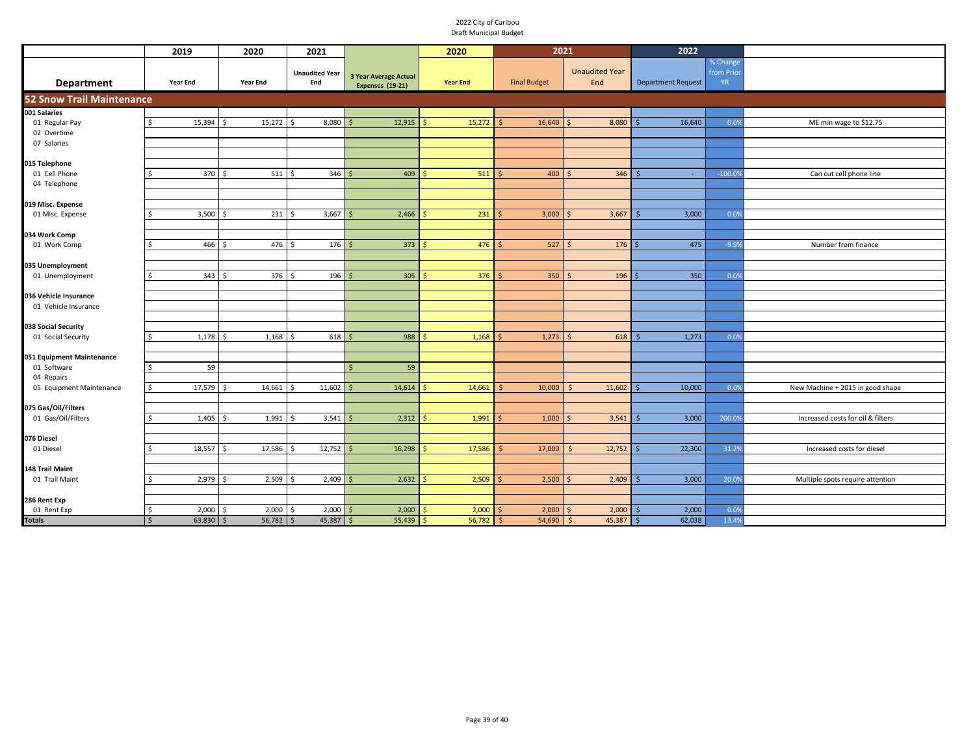| % Change<br><b>Unaudited Year</b><br>from Prio<br><b>Unaudited Year</b><br><b>3 Year Average Actual</b><br><b>Year End</b><br>End<br><b>Final Budget</b><br>End<br><b>Department Request</b><br><b>YR</b><br>Department<br><b>Year End</b><br><b>Year End</b><br>Expenses (19-21)<br>15,394<br>15,272<br>8,080<br>12,915<br>15,272<br>16,640<br>8,080<br>16,640<br>01 Regular Pay<br>0.09<br>ME min wage to \$12.75<br>02 Overtime<br>07 Salaries<br>015 Telephone<br>370<br>511<br>01 Cell Phone<br>$511 \,$ \$<br>346<br>409<br>400<br>346<br>Can cut cell phone line<br>Ŝ.<br>-Ś<br>-Ś<br>$-100.09$<br>$\sim$<br>04 Telephone<br>3,500<br>231<br>3,667<br>2,466<br>231<br>3,000<br>3,667<br>3,000<br>01 Misc. Expense<br>ς.<br>-Ś<br>0.09<br>l \$<br>034 Work Comp<br>466<br>476<br>176<br>373<br>476<br>527<br>475<br>01 Work Comp<br>176<br>$-9.99$<br>Number from finance<br>ς.<br>Ś,<br>- Ś<br>$\leq$<br>035 Unemployment<br>376<br>01 Unemployment<br>343<br>376<br>196<br>305<br>$350$ \$<br>196<br>350<br>Ŝ.<br>l \$<br>Ś<br>0.09<br>Ś<br>Ś<br>-Ś<br>01 Vehicle Insurance<br>038 Social Security<br>1,178<br>1,168<br>618<br>988<br>1,168<br>618<br>1,273<br>01 Social Security<br>1,273<br>$\prec$<br>0.0%<br>ς.<br>59<br>59<br>01 Software<br>Ŝ.<br>\$<br>04 Repairs<br>17,579<br>14,661<br>11,602<br>14,614<br>14,661<br>10,000<br>11,602<br>10,000<br>05 Equipment Maintenance<br>0.0%<br>New Machine + 2015 in good shape<br>Ś.<br>$\breve{\varsigma}$<br>075 Gas/Oil/Filters<br>3,541<br>2,312<br>1,991<br>3,000<br>Increased costs for oil & filters<br>01 Gas/Oil/Filters<br>1,405<br>1,991<br>1,000<br>3,541<br>200.09<br>Ŝ.<br>l \$<br>Ś<br>-S<br>-S<br>18,557<br>17,586<br>12,752<br>16,298<br>17,586<br>22,300<br>17,000<br>12,752<br>31.29<br>Increased costs for diesel<br>01 Diesel<br>Ŝ<br>-Ś<br>2,979<br>2,509<br>2,409<br>2,632<br>2,509<br>2,500<br>3,000<br>01 Trail Maint<br>2,409<br>20.09<br>Multiple spots require attention<br>$\prec$<br>286 Rent Exp<br>01 Rent Exp<br>\$<br>2,000<br>2,000<br>2,000<br>2,000<br>2,000<br>2,000<br>2,000<br>2,000<br>l \$<br>l \$<br>0.09<br>-S<br>-Ś<br>-S<br>- S<br>$45,387$ \$ |                                  | 2019                         | 2020                 | 2021       |        | 2020   | 2021         |                | 2022   |       |  |  |
|--------------------------------------------------------------------------------------------------------------------------------------------------------------------------------------------------------------------------------------------------------------------------------------------------------------------------------------------------------------------------------------------------------------------------------------------------------------------------------------------------------------------------------------------------------------------------------------------------------------------------------------------------------------------------------------------------------------------------------------------------------------------------------------------------------------------------------------------------------------------------------------------------------------------------------------------------------------------------------------------------------------------------------------------------------------------------------------------------------------------------------------------------------------------------------------------------------------------------------------------------------------------------------------------------------------------------------------------------------------------------------------------------------------------------------------------------------------------------------------------------------------------------------------------------------------------------------------------------------------------------------------------------------------------------------------------------------------------------------------------------------------------------------------------------------------------------------------------------------------------------------------------------------------------------------------------------------------------------------------------------------------------------------------------------------------------------------------------------------------------------------------------------------|----------------------------------|------------------------------|----------------------|------------|--------|--------|--------------|----------------|--------|-------|--|--|
|                                                                                                                                                                                                                                                                                                                                                                                                                                                                                                                                                                                                                                                                                                                                                                                                                                                                                                                                                                                                                                                                                                                                                                                                                                                                                                                                                                                                                                                                                                                                                                                                                                                                                                                                                                                                                                                                                                                                                                                                                                                                                                                                                        |                                  |                              |                      |            |        |        |              |                |        |       |  |  |
|                                                                                                                                                                                                                                                                                                                                                                                                                                                                                                                                                                                                                                                                                                                                                                                                                                                                                                                                                                                                                                                                                                                                                                                                                                                                                                                                                                                                                                                                                                                                                                                                                                                                                                                                                                                                                                                                                                                                                                                                                                                                                                                                                        | <b>52 Snow Trail Maintenance</b> |                              |                      |            |        |        |              |                |        |       |  |  |
|                                                                                                                                                                                                                                                                                                                                                                                                                                                                                                                                                                                                                                                                                                                                                                                                                                                                                                                                                                                                                                                                                                                                                                                                                                                                                                                                                                                                                                                                                                                                                                                                                                                                                                                                                                                                                                                                                                                                                                                                                                                                                                                                                        | 001 Salaries                     |                              |                      |            |        |        |              |                |        |       |  |  |
|                                                                                                                                                                                                                                                                                                                                                                                                                                                                                                                                                                                                                                                                                                                                                                                                                                                                                                                                                                                                                                                                                                                                                                                                                                                                                                                                                                                                                                                                                                                                                                                                                                                                                                                                                                                                                                                                                                                                                                                                                                                                                                                                                        |                                  |                              |                      |            |        |        |              |                |        |       |  |  |
|                                                                                                                                                                                                                                                                                                                                                                                                                                                                                                                                                                                                                                                                                                                                                                                                                                                                                                                                                                                                                                                                                                                                                                                                                                                                                                                                                                                                                                                                                                                                                                                                                                                                                                                                                                                                                                                                                                                                                                                                                                                                                                                                                        |                                  |                              |                      |            |        |        |              |                |        |       |  |  |
|                                                                                                                                                                                                                                                                                                                                                                                                                                                                                                                                                                                                                                                                                                                                                                                                                                                                                                                                                                                                                                                                                                                                                                                                                                                                                                                                                                                                                                                                                                                                                                                                                                                                                                                                                                                                                                                                                                                                                                                                                                                                                                                                                        |                                  |                              |                      |            |        |        |              |                |        |       |  |  |
|                                                                                                                                                                                                                                                                                                                                                                                                                                                                                                                                                                                                                                                                                                                                                                                                                                                                                                                                                                                                                                                                                                                                                                                                                                                                                                                                                                                                                                                                                                                                                                                                                                                                                                                                                                                                                                                                                                                                                                                                                                                                                                                                                        |                                  |                              |                      |            |        |        |              |                |        |       |  |  |
|                                                                                                                                                                                                                                                                                                                                                                                                                                                                                                                                                                                                                                                                                                                                                                                                                                                                                                                                                                                                                                                                                                                                                                                                                                                                                                                                                                                                                                                                                                                                                                                                                                                                                                                                                                                                                                                                                                                                                                                                                                                                                                                                                        |                                  |                              |                      |            |        |        |              |                |        |       |  |  |
|                                                                                                                                                                                                                                                                                                                                                                                                                                                                                                                                                                                                                                                                                                                                                                                                                                                                                                                                                                                                                                                                                                                                                                                                                                                                                                                                                                                                                                                                                                                                                                                                                                                                                                                                                                                                                                                                                                                                                                                                                                                                                                                                                        |                                  |                              |                      |            |        |        |              |                |        |       |  |  |
|                                                                                                                                                                                                                                                                                                                                                                                                                                                                                                                                                                                                                                                                                                                                                                                                                                                                                                                                                                                                                                                                                                                                                                                                                                                                                                                                                                                                                                                                                                                                                                                                                                                                                                                                                                                                                                                                                                                                                                                                                                                                                                                                                        |                                  |                              |                      |            |        |        |              |                |        |       |  |  |
|                                                                                                                                                                                                                                                                                                                                                                                                                                                                                                                                                                                                                                                                                                                                                                                                                                                                                                                                                                                                                                                                                                                                                                                                                                                                                                                                                                                                                                                                                                                                                                                                                                                                                                                                                                                                                                                                                                                                                                                                                                                                                                                                                        | 019 Misc. Expense                |                              |                      |            |        |        |              |                |        |       |  |  |
|                                                                                                                                                                                                                                                                                                                                                                                                                                                                                                                                                                                                                                                                                                                                                                                                                                                                                                                                                                                                                                                                                                                                                                                                                                                                                                                                                                                                                                                                                                                                                                                                                                                                                                                                                                                                                                                                                                                                                                                                                                                                                                                                                        |                                  |                              |                      |            |        |        |              |                |        |       |  |  |
|                                                                                                                                                                                                                                                                                                                                                                                                                                                                                                                                                                                                                                                                                                                                                                                                                                                                                                                                                                                                                                                                                                                                                                                                                                                                                                                                                                                                                                                                                                                                                                                                                                                                                                                                                                                                                                                                                                                                                                                                                                                                                                                                                        |                                  |                              |                      |            |        |        |              |                |        |       |  |  |
|                                                                                                                                                                                                                                                                                                                                                                                                                                                                                                                                                                                                                                                                                                                                                                                                                                                                                                                                                                                                                                                                                                                                                                                                                                                                                                                                                                                                                                                                                                                                                                                                                                                                                                                                                                                                                                                                                                                                                                                                                                                                                                                                                        |                                  |                              |                      |            |        |        |              |                |        |       |  |  |
|                                                                                                                                                                                                                                                                                                                                                                                                                                                                                                                                                                                                                                                                                                                                                                                                                                                                                                                                                                                                                                                                                                                                                                                                                                                                                                                                                                                                                                                                                                                                                                                                                                                                                                                                                                                                                                                                                                                                                                                                                                                                                                                                                        |                                  |                              |                      |            |        |        |              |                |        |       |  |  |
|                                                                                                                                                                                                                                                                                                                                                                                                                                                                                                                                                                                                                                                                                                                                                                                                                                                                                                                                                                                                                                                                                                                                                                                                                                                                                                                                                                                                                                                                                                                                                                                                                                                                                                                                                                                                                                                                                                                                                                                                                                                                                                                                                        |                                  |                              |                      |            |        |        |              |                |        |       |  |  |
|                                                                                                                                                                                                                                                                                                                                                                                                                                                                                                                                                                                                                                                                                                                                                                                                                                                                                                                                                                                                                                                                                                                                                                                                                                                                                                                                                                                                                                                                                                                                                                                                                                                                                                                                                                                                                                                                                                                                                                                                                                                                                                                                                        |                                  |                              |                      |            |        |        |              |                |        |       |  |  |
|                                                                                                                                                                                                                                                                                                                                                                                                                                                                                                                                                                                                                                                                                                                                                                                                                                                                                                                                                                                                                                                                                                                                                                                                                                                                                                                                                                                                                                                                                                                                                                                                                                                                                                                                                                                                                                                                                                                                                                                                                                                                                                                                                        |                                  |                              |                      |            |        |        |              |                |        |       |  |  |
|                                                                                                                                                                                                                                                                                                                                                                                                                                                                                                                                                                                                                                                                                                                                                                                                                                                                                                                                                                                                                                                                                                                                                                                                                                                                                                                                                                                                                                                                                                                                                                                                                                                                                                                                                                                                                                                                                                                                                                                                                                                                                                                                                        | 036 Vehicle Insurance            |                              |                      |            |        |        |              |                |        |       |  |  |
|                                                                                                                                                                                                                                                                                                                                                                                                                                                                                                                                                                                                                                                                                                                                                                                                                                                                                                                                                                                                                                                                                                                                                                                                                                                                                                                                                                                                                                                                                                                                                                                                                                                                                                                                                                                                                                                                                                                                                                                                                                                                                                                                                        |                                  |                              |                      |            |        |        |              |                |        |       |  |  |
|                                                                                                                                                                                                                                                                                                                                                                                                                                                                                                                                                                                                                                                                                                                                                                                                                                                                                                                                                                                                                                                                                                                                                                                                                                                                                                                                                                                                                                                                                                                                                                                                                                                                                                                                                                                                                                                                                                                                                                                                                                                                                                                                                        |                                  |                              |                      |            |        |        |              |                |        |       |  |  |
|                                                                                                                                                                                                                                                                                                                                                                                                                                                                                                                                                                                                                                                                                                                                                                                                                                                                                                                                                                                                                                                                                                                                                                                                                                                                                                                                                                                                                                                                                                                                                                                                                                                                                                                                                                                                                                                                                                                                                                                                                                                                                                                                                        |                                  |                              |                      |            |        |        |              |                |        |       |  |  |
|                                                                                                                                                                                                                                                                                                                                                                                                                                                                                                                                                                                                                                                                                                                                                                                                                                                                                                                                                                                                                                                                                                                                                                                                                                                                                                                                                                                                                                                                                                                                                                                                                                                                                                                                                                                                                                                                                                                                                                                                                                                                                                                                                        |                                  |                              |                      |            |        |        |              |                |        |       |  |  |
|                                                                                                                                                                                                                                                                                                                                                                                                                                                                                                                                                                                                                                                                                                                                                                                                                                                                                                                                                                                                                                                                                                                                                                                                                                                                                                                                                                                                                                                                                                                                                                                                                                                                                                                                                                                                                                                                                                                                                                                                                                                                                                                                                        | 051 Equipment Maintenance        |                              |                      |            |        |        |              |                |        |       |  |  |
|                                                                                                                                                                                                                                                                                                                                                                                                                                                                                                                                                                                                                                                                                                                                                                                                                                                                                                                                                                                                                                                                                                                                                                                                                                                                                                                                                                                                                                                                                                                                                                                                                                                                                                                                                                                                                                                                                                                                                                                                                                                                                                                                                        |                                  |                              |                      |            |        |        |              |                |        |       |  |  |
|                                                                                                                                                                                                                                                                                                                                                                                                                                                                                                                                                                                                                                                                                                                                                                                                                                                                                                                                                                                                                                                                                                                                                                                                                                                                                                                                                                                                                                                                                                                                                                                                                                                                                                                                                                                                                                                                                                                                                                                                                                                                                                                                                        |                                  |                              |                      |            |        |        |              |                |        |       |  |  |
|                                                                                                                                                                                                                                                                                                                                                                                                                                                                                                                                                                                                                                                                                                                                                                                                                                                                                                                                                                                                                                                                                                                                                                                                                                                                                                                                                                                                                                                                                                                                                                                                                                                                                                                                                                                                                                                                                                                                                                                                                                                                                                                                                        |                                  |                              |                      |            |        |        |              |                |        |       |  |  |
|                                                                                                                                                                                                                                                                                                                                                                                                                                                                                                                                                                                                                                                                                                                                                                                                                                                                                                                                                                                                                                                                                                                                                                                                                                                                                                                                                                                                                                                                                                                                                                                                                                                                                                                                                                                                                                                                                                                                                                                                                                                                                                                                                        |                                  |                              |                      |            |        |        |              |                |        |       |  |  |
|                                                                                                                                                                                                                                                                                                                                                                                                                                                                                                                                                                                                                                                                                                                                                                                                                                                                                                                                                                                                                                                                                                                                                                                                                                                                                                                                                                                                                                                                                                                                                                                                                                                                                                                                                                                                                                                                                                                                                                                                                                                                                                                                                        |                                  |                              |                      |            |        |        |              |                |        |       |  |  |
|                                                                                                                                                                                                                                                                                                                                                                                                                                                                                                                                                                                                                                                                                                                                                                                                                                                                                                                                                                                                                                                                                                                                                                                                                                                                                                                                                                                                                                                                                                                                                                                                                                                                                                                                                                                                                                                                                                                                                                                                                                                                                                                                                        |                                  |                              |                      |            |        |        |              |                |        |       |  |  |
|                                                                                                                                                                                                                                                                                                                                                                                                                                                                                                                                                                                                                                                                                                                                                                                                                                                                                                                                                                                                                                                                                                                                                                                                                                                                                                                                                                                                                                                                                                                                                                                                                                                                                                                                                                                                                                                                                                                                                                                                                                                                                                                                                        | 076 Diesel                       |                              |                      |            |        |        |              |                |        |       |  |  |
|                                                                                                                                                                                                                                                                                                                                                                                                                                                                                                                                                                                                                                                                                                                                                                                                                                                                                                                                                                                                                                                                                                                                                                                                                                                                                                                                                                                                                                                                                                                                                                                                                                                                                                                                                                                                                                                                                                                                                                                                                                                                                                                                                        |                                  |                              |                      |            |        |        |              |                |        |       |  |  |
|                                                                                                                                                                                                                                                                                                                                                                                                                                                                                                                                                                                                                                                                                                                                                                                                                                                                                                                                                                                                                                                                                                                                                                                                                                                                                                                                                                                                                                                                                                                                                                                                                                                                                                                                                                                                                                                                                                                                                                                                                                                                                                                                                        |                                  |                              |                      |            |        |        |              |                |        |       |  |  |
|                                                                                                                                                                                                                                                                                                                                                                                                                                                                                                                                                                                                                                                                                                                                                                                                                                                                                                                                                                                                                                                                                                                                                                                                                                                                                                                                                                                                                                                                                                                                                                                                                                                                                                                                                                                                                                                                                                                                                                                                                                                                                                                                                        | 148 Trail Maint                  |                              |                      |            |        |        |              |                |        |       |  |  |
|                                                                                                                                                                                                                                                                                                                                                                                                                                                                                                                                                                                                                                                                                                                                                                                                                                                                                                                                                                                                                                                                                                                                                                                                                                                                                                                                                                                                                                                                                                                                                                                                                                                                                                                                                                                                                                                                                                                                                                                                                                                                                                                                                        |                                  |                              |                      |            |        |        |              |                |        |       |  |  |
|                                                                                                                                                                                                                                                                                                                                                                                                                                                                                                                                                                                                                                                                                                                                                                                                                                                                                                                                                                                                                                                                                                                                                                                                                                                                                                                                                                                                                                                                                                                                                                                                                                                                                                                                                                                                                                                                                                                                                                                                                                                                                                                                                        |                                  |                              |                      |            |        |        |              |                |        |       |  |  |
|                                                                                                                                                                                                                                                                                                                                                                                                                                                                                                                                                                                                                                                                                                                                                                                                                                                                                                                                                                                                                                                                                                                                                                                                                                                                                                                                                                                                                                                                                                                                                                                                                                                                                                                                                                                                                                                                                                                                                                                                                                                                                                                                                        |                                  |                              |                      |            |        |        |              |                |        |       |  |  |
|                                                                                                                                                                                                                                                                                                                                                                                                                                                                                                                                                                                                                                                                                                                                                                                                                                                                                                                                                                                                                                                                                                                                                                                                                                                                                                                                                                                                                                                                                                                                                                                                                                                                                                                                                                                                                                                                                                                                                                                                                                                                                                                                                        | <b>Totals</b>                    | 63,830<br>$\mathsf{\hat{S}}$ | 56,782<br>$\sqrt{5}$ | $\sqrt{5}$ | 55,439 | 56,782 | 54,690<br>S. | 45,387<br>- \$ | 62,038 | 13.4% |  |  |